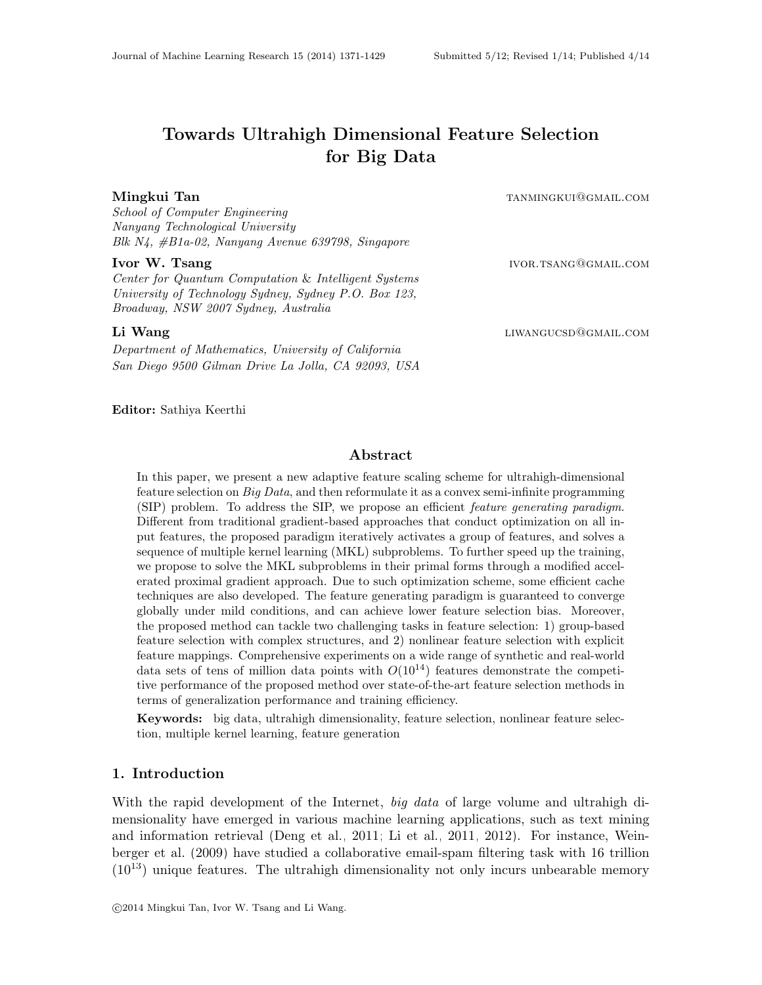# Towards Ultrahigh Dimensional Feature Selection for Big Data

Mingkui Tan tanan tanàna amin'ny kaominina dia kaominina mpikambana amin'ny fivondronan-kaominin'i Communister

School of Computer Engineering Nanyang Technological University Blk N4, #B1a-02, Nanyang Avenue 639798, Singapore

#### **Ivor W. Tsang ivor.the interval in the set of the interval interval in the interval interval in the interval i**

Center for Quantum Computation & Intelligent Systems University of Technology Sydney, Sydney P.O. Box 123, Broadway, NSW 2007 Sydney, Australia

Department of Mathematics, University of California San Diego 9500 Gilman Drive La Jolla, CA 92093, USA

Li Wang liwangucsda kalendaryo ng mga kalendaryo ng mga kuwangucsda kalendaryo ng mga kalendaryo ng mga kalendaryo ng mga kalendaryo ng mga kalendaryo ng mga kalendaryo ng mga kalendaryo ng mga kalendaryo ng mga kalendaryo

#### Editor: Sathiya Keerthi

#### Abstract

In this paper, we present a new adaptive feature scaling scheme for ultrahigh-dimensional feature selection on  $Big Data$ , and then reformulate it as a convex semi-infinite programming (SIP) problem. To address the SIP, we propose an efficient feature generating paradigm. Different from traditional gradient-based approaches that conduct optimization on all input features, the proposed paradigm iteratively activates a group of features, and solves a sequence of multiple kernel learning (MKL) subproblems. To further speed up the training, we propose to solve the MKL subproblems in their primal forms through a modified accelerated proximal gradient approach. Due to such optimization scheme, some efficient cache techniques are also developed. The feature generating paradigm is guaranteed to converge globally under mild conditions, and can achieve lower feature selection bias. Moreover, the proposed method can tackle two challenging tasks in feature selection: 1) group-based feature selection with complex structures, and 2) nonlinear feature selection with explicit feature mappings. Comprehensive experiments on a wide range of synthetic and real-world data sets of tens of million data points with  $O(10^{14})$  features demonstrate the competitive performance of the proposed method over state-of-the-art feature selection methods in terms of generalization performance and training efficiency.

Keywords: big data, ultrahigh dimensionality, feature selection, nonlinear feature selection, multiple kernel learning, feature generation

### 1. Introduction

With the rapid development of the Internet, big data of large volume and ultrahigh dimensionality have emerged in various machine learning applications, such as text mining and information retrieval [\(Deng et al., 2011;](#page-53-0) [Li et al., 2011,](#page-55-0) [2012\)](#page-55-1). For instance, [Wein](#page-57-0)[berger et al.](#page-57-0) [\(2009\)](#page-57-0) have studied a collaborative email-spam filtering task with 16 trillion  $(10^{13})$  unique features. The ultrahigh dimensionality not only incurs unbearable memory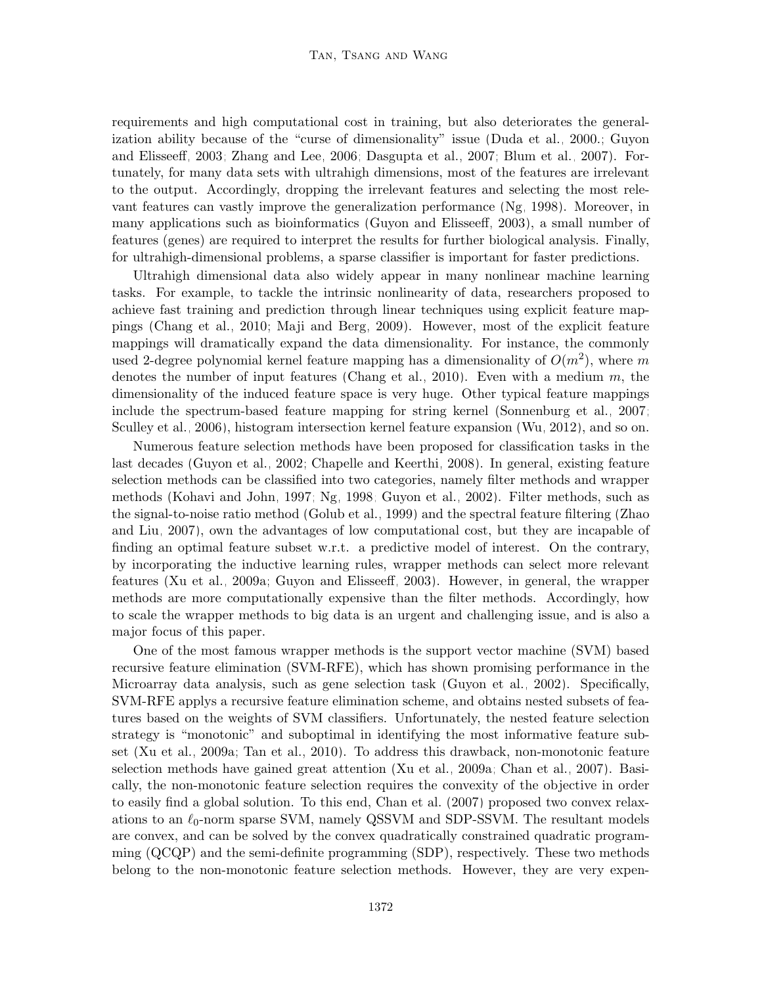requirements and high computational cost in training, but also deteriorates the generalization ability because of the "curse of dimensionality" issue [\(Duda et al., 2000.;](#page-54-0) [Guyon](#page-54-1) [and Elisseeff, 2003;](#page-54-1) [Zhang and Lee, 2006;](#page-58-0) [Dasgupta et al., 2007;](#page-53-1) [Blum et al., 2007\)](#page-53-2). Fortunately, for many data sets with ultrahigh dimensions, most of the features are irrelevant to the output. Accordingly, dropping the irrelevant features and selecting the most relevant features can vastly improve the generalization performance [\(Ng, 1998\)](#page-56-0). Moreover, in many applications such as bioinformatics [\(Guyon and Elisseeff, 2003\)](#page-54-1), a small number of features (genes) are required to interpret the results for further biological analysis. Finally, for ultrahigh-dimensional problems, a sparse classifier is important for faster predictions.

Ultrahigh dimensional data also widely appear in many nonlinear machine learning tasks. For example, to tackle the intrinsic nonlinearity of data, researchers proposed to achieve fast training and prediction through linear techniques using explicit feature mappings [\(Chang et al., 2010;](#page-53-3) [Maji and Berg, 2009\)](#page-55-2). However, most of the explicit feature mappings will dramatically expand the data dimensionality. For instance, the commonly used 2-degree polynomial kernel feature mapping has a dimensionality of  $O(m^2)$ , where m denotes the number of input features [\(Chang et al., 2010\)](#page-53-3). Even with a medium  $m$ , the dimensionality of the induced feature space is very huge. Other typical feature mappings include the spectrum-based feature mapping for string kernel [\(Sonnenburg et al., 2007;](#page-56-1) [Sculley et al., 2006\)](#page-56-2), histogram intersection kernel feature expansion [\(Wu, 2012\)](#page-57-1), and so on.

Numerous feature selection methods have been proposed for classification tasks in the last decades [\(Guyon et al., 2002;](#page-54-2) [Chapelle and Keerthi, 2008\)](#page-53-4). In general, existing feature selection methods can be classified into two categories, namely filter methods and wrapper methods [\(Kohavi and John, 1997;](#page-55-3) [Ng, 1998;](#page-56-0) [Guyon et al., 2002\)](#page-54-2). Filter methods, such as the signal-to-noise ratio method [\(Golub et al., 1999\)](#page-54-3) and the spectral feature filtering [\(Zhao](#page-58-1) [and Liu, 2007\)](#page-58-1), own the advantages of low computational cost, but they are incapable of finding an optimal feature subset w.r.t. a predictive model of interest. On the contrary, by incorporating the inductive learning rules, wrapper methods can select more relevant features [\(Xu et al., 2009a;](#page-57-2) [Guyon and Elisseeff, 2003\)](#page-54-1). However, in general, the wrapper methods are more computationally expensive than the filter methods. Accordingly, how to scale the wrapper methods to big data is an urgent and challenging issue, and is also a major focus of this paper.

One of the most famous wrapper methods is the support vector machine (SVM) based recursive feature elimination (SVM-RFE), which has shown promising performance in the Microarray data analysis, such as gene selection task [\(Guyon et al., 2002\)](#page-54-2). Specifically, SVM-RFE applys a recursive feature elimination scheme, and obtains nested subsets of features based on the weights of SVM classifiers. Unfortunately, the nested feature selection strategy is "monotonic" and suboptimal in identifying the most informative feature subset [\(Xu et al., 2009a;](#page-57-2) [Tan et al., 2010\)](#page-57-3). To address this drawback, non-monotonic feature selection methods have gained great attention [\(Xu et al., 2009a;](#page-57-2) [Chan et al., 2007\)](#page-53-5). Basically, the non-monotonic feature selection requires the convexity of the objective in order to easily find a global solution. To this end, [Chan et al.](#page-53-5) [\(2007\)](#page-53-5) proposed two convex relaxations to an  $\ell_0$ -norm sparse SVM, namely QSSVM and SDP-SSVM. The resultant models are convex, and can be solved by the convex quadratically constrained quadratic programming (QCQP) and the semi-definite programming (SDP), respectively. These two methods belong to the non-monotonic feature selection methods. However, they are very expen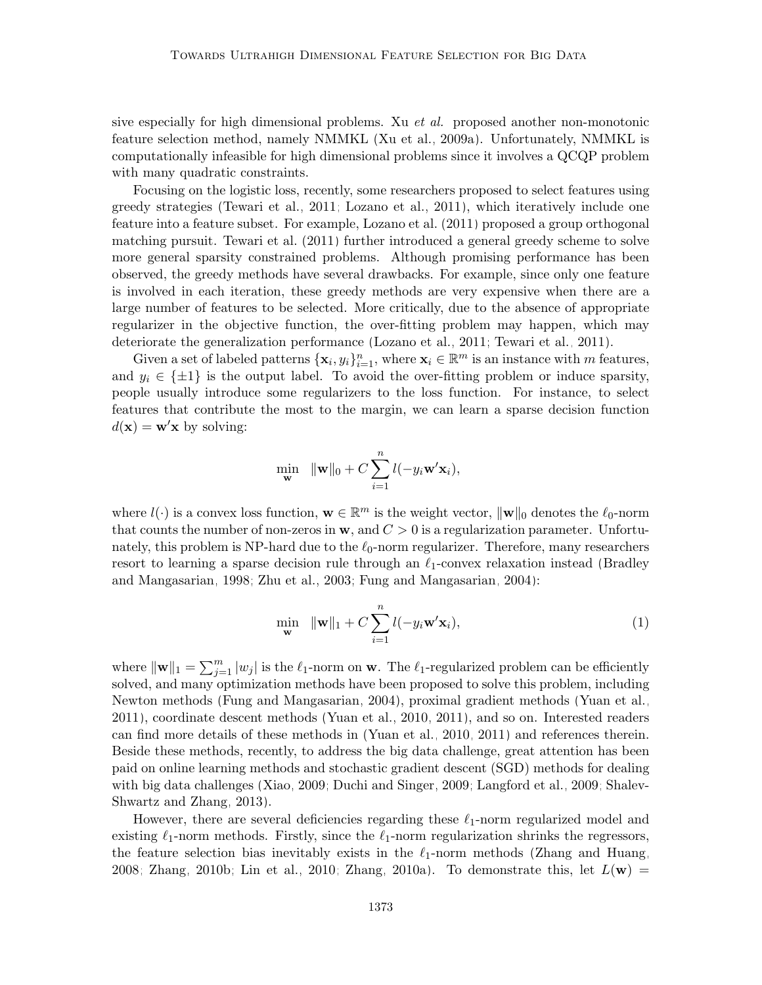sive especially for high dimensional problems. Xu *et al.* proposed another non-monotonic feature selection method, namely NMMKL [\(Xu et al., 2009a\)](#page-57-2). Unfortunately, NMMKL is computationally infeasible for high dimensional problems since it involves a QCQP problem with many quadratic constraints.

Focusing on the logistic loss, recently, some researchers proposed to select features using greedy strategies [\(Tewari et al., 2011;](#page-57-4) [Lozano et al., 2011\)](#page-55-4), which iteratively include one feature into a feature subset. For example, [Lozano et al.](#page-55-4) [\(2011\)](#page-55-4) proposed a group orthogonal matching pursuit. [Tewari et al.](#page-57-4) [\(2011\)](#page-57-4) further introduced a general greedy scheme to solve more general sparsity constrained problems. Although promising performance has been observed, the greedy methods have several drawbacks. For example, since only one feature is involved in each iteration, these greedy methods are very expensive when there are a large number of features to be selected. More critically, due to the absence of appropriate regularizer in the objective function, the over-fitting problem may happen, which may deteriorate the generalization performance [\(Lozano et al., 2011;](#page-55-4) [Tewari et al., 2011\)](#page-57-4).

Given a set of labeled patterns  $\{\mathbf x_i, y_i\}_{i=1}^n$ , where  $\mathbf x_i \in \mathbb{R}^m$  is an instance with m features, and  $y_i \in {\pm 1}$  is the output label. To avoid the over-fitting problem or induce sparsity, people usually introduce some regularizers to the loss function. For instance, to select features that contribute the most to the margin, we can learn a sparse decision function  $d(\mathbf{x}) = \mathbf{w}'\mathbf{x}$  by solving:

<span id="page-2-0"></span>
$$
\min_{\mathbf{w}} \ \ \|\mathbf{w}\|_{0} + C \sum_{i=1}^{n} l(-y_{i} \mathbf{w}' \mathbf{x}_{i}),
$$

where  $l(\cdot)$  is a convex loss function,  $\mathbf{w} \in \mathbb{R}^m$  is the weight vector,  $\|\mathbf{w}\|_0$  denotes the  $\ell_0$ -norm that counts the number of non-zeros in  $w$ , and  $C > 0$  is a regularization parameter. Unfortunately, this problem is NP-hard due to the  $\ell_0$ -norm regularizer. Therefore, many researchers resort to learning a sparse decision rule through an  $\ell_1$ -convex relaxation instead [\(Bradley](#page-53-6) [and Mangasarian, 1998;](#page-53-6) [Zhu et al., 2003;](#page-58-2) [Fung and Mangasarian, 2004\)](#page-54-4):

$$
\min_{\mathbf{w}} \quad \|\mathbf{w}\|_{1} + C \sum_{i=1}^{n} l(-y_{i}\mathbf{w}'\mathbf{x}_{i}),
$$
\n(1)

where  $\|\mathbf{w}\|_1 = \sum_{j=1}^m |w_j|$  is the  $\ell_1$ -norm on **w**. The  $\ell_1$ -regularized problem can be efficiently solved, and many optimization methods have been proposed to solve this problem, including Newton methods [\(Fung and Mangasarian, 2004\)](#page-54-4), proximal gradient methods [\(Yuan et al.,](#page-58-3) [2011\)](#page-58-3), coordinate descent methods [\(Yuan et al., 2010,](#page-57-5) [2011\)](#page-58-3), and so on. Interested readers can find more details of these methods in [\(Yuan et al., 2010,](#page-57-5) [2011\)](#page-58-3) and references therein. Beside these methods, recently, to address the big data challenge, great attention has been paid on online learning methods and stochastic gradient descent (SGD) methods for dealing with big data challenges [\(Xiao, 2009;](#page-57-6) [Duchi and Singer, 2009;](#page-54-5) [Langford et al., 2009;](#page-55-5) [Shalev-](#page-56-3)[Shwartz and Zhang, 2013\)](#page-56-3).

However, there are several deficiencies regarding these  $\ell_1$ -norm regularized model and existing  $\ell_1$ -norm methods. Firstly, since the  $\ell_1$ -norm regularization shrinks the regressors, the feature selection bias inevitably exists in the  $\ell_1$ -norm methods [\(Zhang and Huang,](#page-58-4) [2008;](#page-58-4) [Zhang, 2010b;](#page-58-5) [Lin et al., 2010;](#page-55-6) [Zhang, 2010a\)](#page-58-6). To demonstrate this, let  $L(\mathbf{w}) =$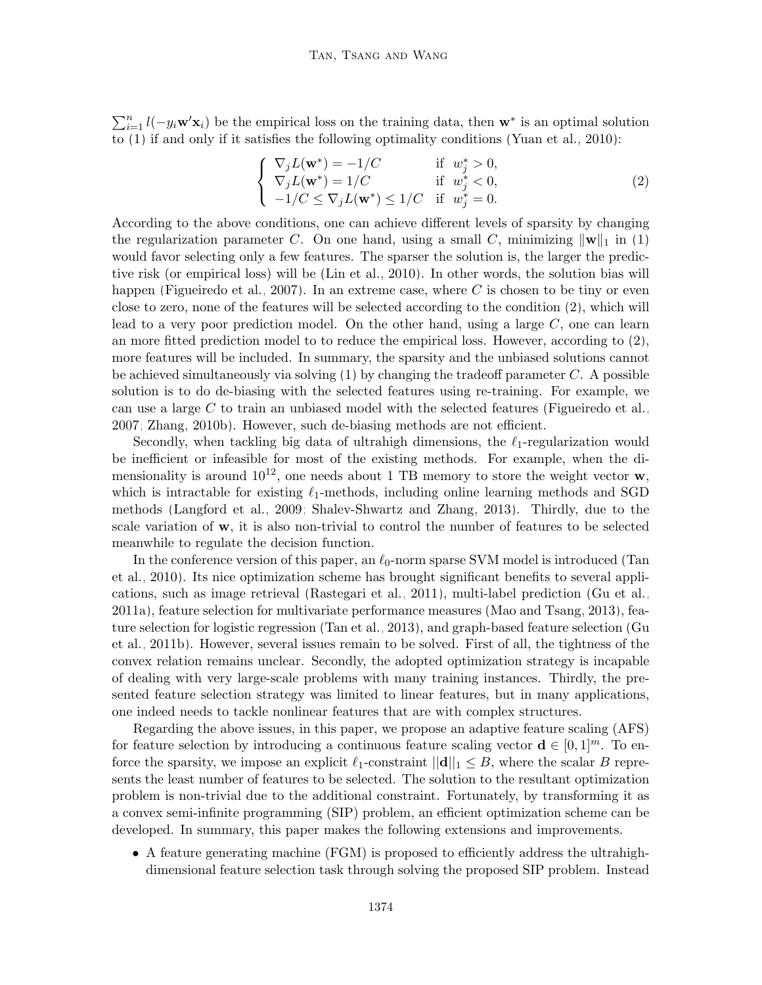$\sum_{i=1}^{n} l(-y_i \mathbf{w}' \mathbf{x}_i)$  be the empirical loss on the training data, then  $\mathbf{w}^*$  is an optimal solution to [\(1\)](#page-2-0) if and only if it satisfies the following optimality conditions [\(Yuan et al., 2010\)](#page-57-5):

<span id="page-3-0"></span>
$$
\begin{cases}\n\nabla_j L(\mathbf{w}^*) = -1/C & \text{if } w_j^* > 0, \\
\nabla_j L(\mathbf{w}^*) = 1/C & \text{if } w_j^* < 0, \\
-1/C \le \nabla_j L(\mathbf{w}^*) \le 1/C & \text{if } w_j^* = 0.\n\end{cases}
$$
\n(2)

According to the above conditions, one can achieve different levels of sparsity by changing the regularization parameter C. On one hand, using a small C, minimizing  $\|\mathbf{w}\|_1$  in [\(1\)](#page-2-0) would favor selecting only a few features. The sparser the solution is, the larger the predictive risk (or empirical loss) will be [\(Lin et al., 2010\)](#page-55-6). In other words, the solution bias will happen [\(Figueiredo et al., 2007\)](#page-54-6). In an extreme case, where C is chosen to be tiny or even close to zero, none of the features will be selected according to the condition [\(2\)](#page-3-0), which will lead to a very poor prediction model. On the other hand, using a large  $C$ , one can learn an more fitted prediction model to to reduce the empirical loss. However, according to [\(2\)](#page-3-0), more features will be included. In summary, the sparsity and the unbiased solutions cannot be achieved simultaneously via solving  $(1)$  by changing the tradeoff parameter  $C$ . A possible solution is to do de-biasing with the selected features using re-training. For example, we can use a large C to train an unbiased model with the selected features [\(Figueiredo et al.,](#page-54-6) [2007;](#page-54-6) [Zhang, 2010b\)](#page-58-5). However, such de-biasing methods are not efficient.

Secondly, when tackling big data of ultrahigh dimensions, the  $\ell_1$ -regularization would be inefficient or infeasible for most of the existing methods. For example, when the dimensionality is around  $10^{12}$ , one needs about 1 TB memory to store the weight vector **w**, which is intractable for existing  $\ell_1$ -methods, including online learning methods and SGD methods [\(Langford et al., 2009;](#page-55-5) [Shalev-Shwartz and Zhang, 2013\)](#page-56-3). Thirdly, due to the scale variation of w, it is also non-trivial to control the number of features to be selected meanwhile to regulate the decision function.

In the conference version of this paper, an  $\ell_0$ -norm sparse SVM model is introduced [\(Tan](#page-57-3) [et al., 2010\)](#page-57-3). Its nice optimization scheme has brought significant benefits to several applications, such as image retrieval [\(Rastegari et al., 2011\)](#page-56-4), multi-label prediction [\(Gu et al.,](#page-54-7) [2011a\)](#page-54-7), feature selection for multivariate performance measures [\(Mao and Tsang, 2013\)](#page-55-7), feature selection for logistic regression [\(Tan et al., 2013\)](#page-57-7), and graph-based feature selection [\(Gu](#page-54-8) [et al., 2011b\)](#page-54-8). However, several issues remain to be solved. First of all, the tightness of the convex relation remains unclear. Secondly, the adopted optimization strategy is incapable of dealing with very large-scale problems with many training instances. Thirdly, the presented feature selection strategy was limited to linear features, but in many applications, one indeed needs to tackle nonlinear features that are with complex structures.

Regarding the above issues, in this paper, we propose an adaptive feature scaling (AFS) for feature selection by introducing a continuous feature scaling vector  $\mathbf{d} \in [0,1]^m$ . To enforce the sparsity, we impose an explicit  $\ell_1$ -constraint  $||\mathbf{d}||_1 \leq B$ , where the scalar B represents the least number of features to be selected. The solution to the resultant optimization problem is non-trivial due to the additional constraint. Fortunately, by transforming it as a convex semi-infinite programming (SIP) problem, an efficient optimization scheme can be developed. In summary, this paper makes the following extensions and improvements.

• A feature generating machine (FGM) is proposed to efficiently address the ultrahighdimensional feature selection task through solving the proposed SIP problem. Instead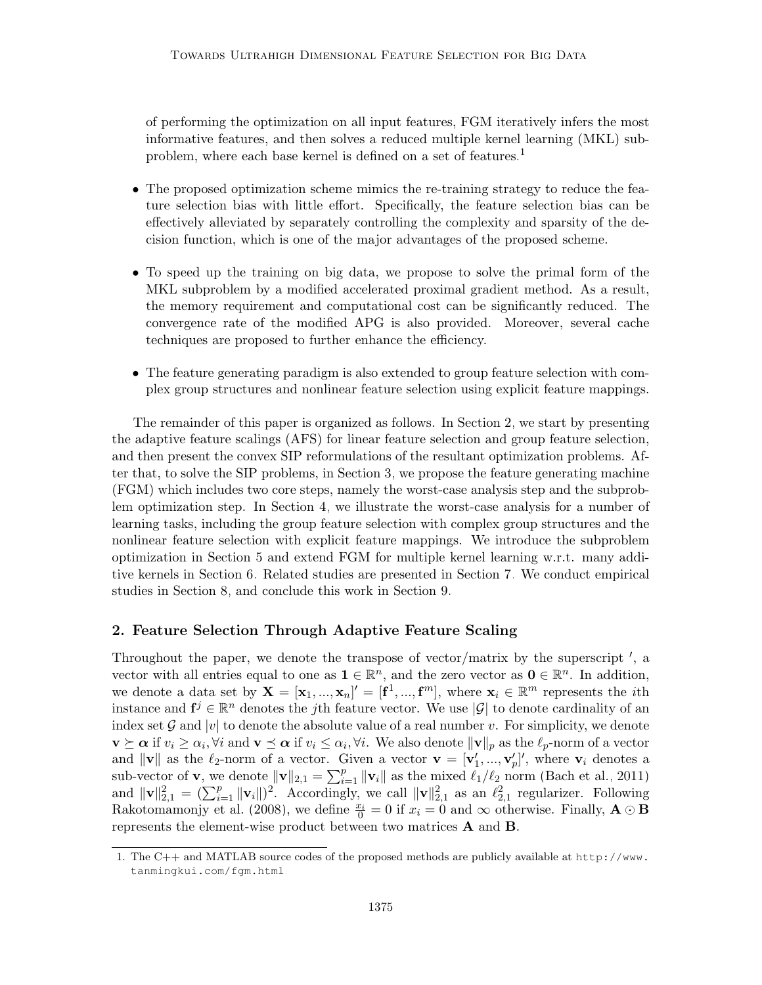of performing the optimization on all input features, FGM iteratively infers the most informative features, and then solves a reduced multiple kernel learning (MKL) sub-problem, where each base kernel is defined on a set of features.<sup>[1](#page-4-0)</sup>

- The proposed optimization scheme mimics the re-training strategy to reduce the feature selection bias with little effort. Specifically, the feature selection bias can be effectively alleviated by separately controlling the complexity and sparsity of the decision function, which is one of the major advantages of the proposed scheme.
- To speed up the training on big data, we propose to solve the primal form of the MKL subproblem by a modified accelerated proximal gradient method. As a result, the memory requirement and computational cost can be significantly reduced. The convergence rate of the modified APG is also provided. Moreover, several cache techniques are proposed to further enhance the efficiency.
- The feature generating paradigm is also extended to group feature selection with complex group structures and nonlinear feature selection using explicit feature mappings.

The remainder of this paper is organized as follows. In Section [2,](#page-4-1) we start by presenting the adaptive feature scalings (AFS) for linear feature selection and group feature selection, and then present the convex SIP reformulations of the resultant optimization problems. After that, to solve the SIP problems, in Section [3,](#page-9-0) we propose the feature generating machine (FGM) which includes two core steps, namely the worst-case analysis step and the subproblem optimization step. In Section [4,](#page-11-0) we illustrate the worst-case analysis for a number of learning tasks, including the group feature selection with complex group structures and the nonlinear feature selection with explicit feature mappings. We introduce the subproblem optimization in Section [5](#page-13-0) and extend FGM for multiple kernel learning w.r.t. many additive kernels in Section [6.](#page-20-0) Related studies are presented in Section [7.](#page-23-0) We conduct empirical studies in Section [8,](#page-26-0) and conclude this work in Section [9.](#page-43-0)

#### <span id="page-4-1"></span>2. Feature Selection Through Adaptive Feature Scaling

Throughout the paper, we denote the transpose of vector/matrix by the superscript  $\prime$ , a vector with all entries equal to one as  $\mathbf{1} \in \mathbb{R}^n$ , and the zero vector as  $\mathbf{0} \in \mathbb{R}^n$ . In addition, we denote a data set by  $\mathbf{X} = [\mathbf{x}_1, ..., \mathbf{x}_n]' = [\mathbf{f}^1, ..., \mathbf{f}^m]$ , where  $\mathbf{x}_i \in \mathbb{R}^m$  represents the *i*th instance and  $f^j \in \mathbb{R}^n$  denotes the jth feature vector. We use  $|\mathcal{G}|$  to denote cardinality of an index set G and |v| to denote the absolute value of a real number v. For simplicity, we denote  $\mathbf{v} \succeq \boldsymbol{\alpha}$  if  $v_i \geq \alpha_i$ ,  $\forall i$  and  $\mathbf{v} \preceq \boldsymbol{\alpha}$  if  $v_i \leq \alpha_i$ ,  $\forall i$ . We also denote  $\|\mathbf{v}\|_p$  as the  $\ell_p$ -norm of a vector and  $\|\mathbf{v}\|$  as the  $\ell_2$ -norm of a vector. Given a vector  $\mathbf{v} = [\mathbf{v}'_1, ..., \mathbf{v}'_p]'$ , where  $\mathbf{v}_i$  denotes a sub-vector of **v**, we denote  $\|\mathbf{v}\|_{2,1} = \sum_{i=1}^p \|\mathbf{v}_i\|$  as the mixed  $\ell_1/\ell_2$  norm [\(Bach et al., 2011\)](#page-53-7) and  $\|\mathbf{v}\|_{2,1}^2 = (\sum_{i=1}^p \|\mathbf{v}_i\|)^2$ . Accordingly, we call  $\|\mathbf{v}\|_{2,1}^2$  as an  $\ell_{2,1}^2$  regularizer. Following [Rakotomamonjy et al.](#page-56-5) [\(2008\)](#page-56-5), we define  $\frac{x_i}{0} = 0$  if  $x_i = 0$  and  $\infty$  otherwise. Finally,  $\mathbf{A} \odot \mathbf{B}$ represents the element-wise product between two matrices A and B.

<span id="page-4-0"></span><sup>1.</sup> The C++ and MATLAB source codes of the proposed methods are publicly available at [http://www.](http://www.tanmingkui.com/fgm.html) [tanmingkui.com/fgm.html](http://www.tanmingkui.com/fgm.html).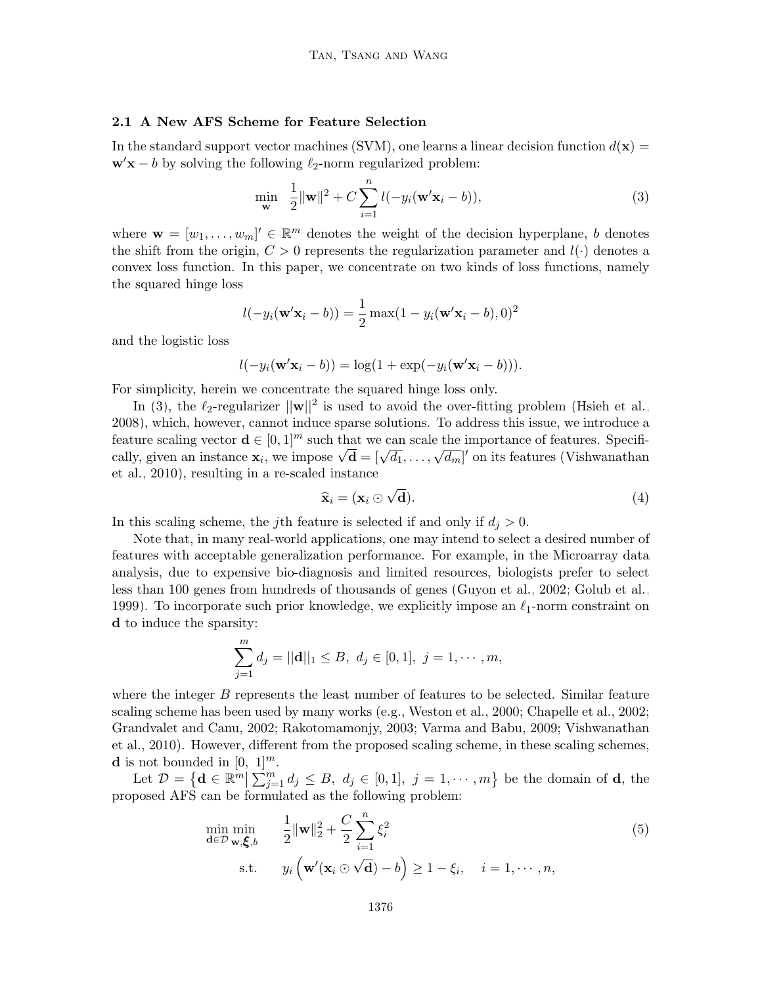### <span id="page-5-2"></span>2.1 A New AFS Scheme for Feature Selection

In the standard support vector machines (SVM), one learns a linear decision function  $d(\mathbf{x}) =$  $\mathbf{w}'\mathbf{x} - b$  by solving the following  $\ell_2$ -norm regularized problem:

<span id="page-5-0"></span>
$$
\min_{\mathbf{w}} \quad \frac{1}{2} \|\mathbf{w}\|^2 + C \sum_{i=1}^n l(-y_i(\mathbf{w}'\mathbf{x}_i - b)),\tag{3}
$$

where  $\mathbf{w} = [w_1, \dots, w_m] \in \mathbb{R}^m$  denotes the weight of the decision hyperplane, b denotes the shift from the origin,  $C > 0$  represents the regularization parameter and  $l(\cdot)$  denotes a convex loss function. In this paper, we concentrate on two kinds of loss functions, namely the squared hinge loss

$$
l(-y_i(\mathbf{w}'\mathbf{x}_i - b)) = \frac{1}{2}\max(1 - y_i(\mathbf{w}'\mathbf{x}_i - b), 0)^2
$$

and the logistic loss

$$
l(-y_i(\mathbf{w}'\mathbf{x}_i - b)) = \log(1 + \exp(-y_i(\mathbf{w}'\mathbf{x}_i - b))).
$$

For simplicity, herein we concentrate the squared hinge loss only.

In [\(3\)](#page-5-0), the  $\ell_2$ -regularizer  $||\mathbf{w}||^2$  is used to avoid the over-fitting problem [\(Hsieh et al.,](#page-54-9) [2008\)](#page-54-9), which, however, cannot induce sparse solutions. To address this issue, we introduce a feature scaling vector  $\mathbf{d} \in [0,1]^m$  such that we can scale the importance of features. Specifireature scannig vector  $\mathbf{a} \in [0, 1]^{n}$  such that we can scale the importance of reatures. Specifically, given an instance  $\mathbf{x}_i$ , we impose  $\sqrt{\mathbf{d}} = [\sqrt{d_1}, \dots, \sqrt{d_m}]'$  on its features [\(Vishwanathan](#page-57-8) [et al., 2010\)](#page-57-8), resulting in a re-scaled instance

$$
\widehat{\mathbf{x}}_i = (\mathbf{x}_i \odot \sqrt{\mathbf{d}}). \tag{4}
$$

In this scaling scheme, the j<sup>th</sup> feature is selected if and only if  $d_i > 0$ .

Note that, in many real-world applications, one may intend to select a desired number of features with acceptable generalization performance. For example, in the Microarray data analysis, due to expensive bio-diagnosis and limited resources, biologists prefer to select less than 100 genes from hundreds of thousands of genes [\(Guyon et al., 2002;](#page-54-2) [Golub et al.,](#page-54-3) [1999\)](#page-54-3). To incorporate such prior knowledge, we explicitly impose an  $\ell_1$ -norm constraint on d to induce the sparsity:

<span id="page-5-1"></span>
$$
\sum_{j=1}^{m} d_j = ||\mathbf{d}||_1 \leq B, \ d_j \in [0,1], \ j = 1, \cdots, m,
$$

where the integer B represents the least number of features to be selected. Similar feature scaling scheme has been used by many works (e.g., Weston et al., 2000; Chapelle et al., 2002; Grandvalet and Canu, 2002; Rakotomamonjy, 2003; Varma and Babu, 2009; Vishwanathan et al., 2010). However, different from the proposed scaling scheme, in these scaling schemes, **d** is not bounded in  $[0, 1]^m$ .

Let  $\mathcal{D} = \{ \mathbf{d} \in \mathbb{R}^m \mid \sum_{j=1}^m d_j \leq B, \ d_j \in [0,1], \ j = 1, \cdots, m \}$  be the domain of **d**, the proposed AFS can be formulated as the following problem:

$$
\min_{\mathbf{d}\in\mathcal{D}} \min_{\mathbf{w}, \boldsymbol{\xi}, b} \qquad \frac{1}{2} \|\mathbf{w}\|_2^2 + \frac{C}{2} \sum_{i=1}^n \xi_i^2
$$
\n
$$
\text{s.t.} \qquad y_i \left(\mathbf{w}'(\mathbf{x}_i \odot \sqrt{\mathbf{d}}) - b\right) \ge 1 - \xi_i, \quad i = 1, \cdots, n,
$$
\n(5)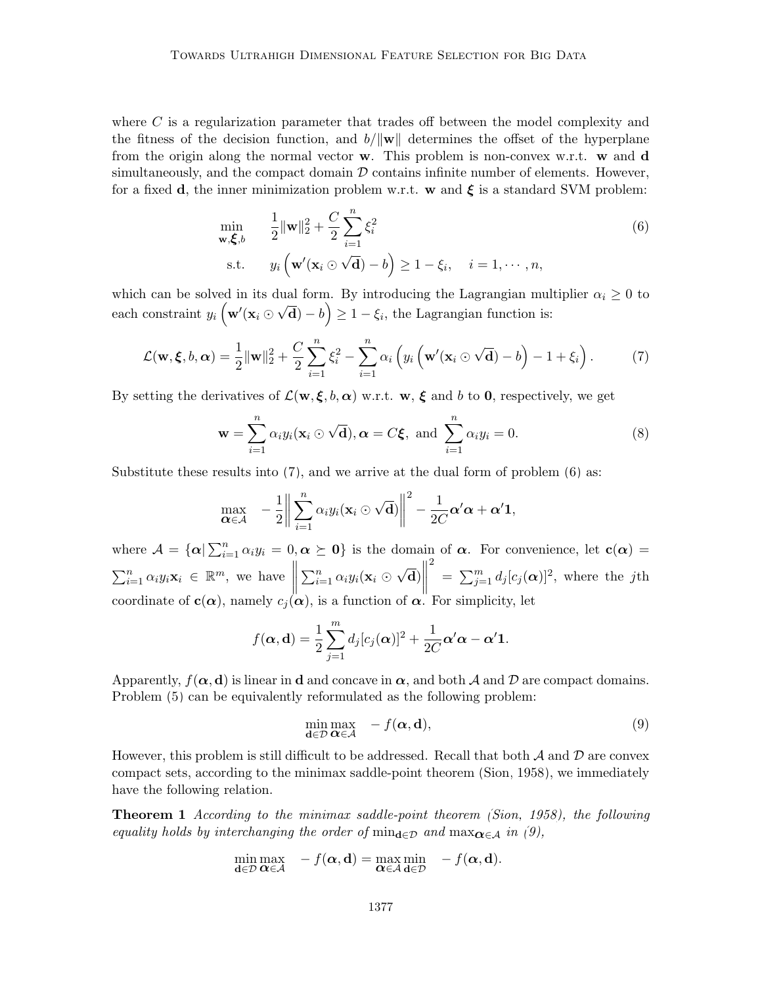where  $C$  is a regularization parameter that trades off between the model complexity and the fitness of the decision function, and  $b/\|\mathbf{w}\|$  determines the offset of the hyperplane from the origin along the normal vector  $\bf{w}$ . This problem is non-convex w.r.t.  $\bf{w}$  and  $\bf{d}$ simultaneously, and the compact domain  $\mathcal D$  contains infinite number of elements. However, for a fixed d, the inner minimization problem w.r.t. w and  $\xi$  is a standard SVM problem:

<span id="page-6-1"></span>
$$
\min_{\mathbf{w}, \boldsymbol{\xi}, b} \qquad \frac{1}{2} \|\mathbf{w}\|_2^2 + \frac{C}{2} \sum_{i=1}^n \xi_i^2
$$
\n
$$
\text{s.t.} \qquad y_i \left( \mathbf{w}'(\mathbf{x}_i \odot \sqrt{\mathbf{d}}) - b \right) \ge 1 - \xi_i, \quad i = 1, \cdots, n,
$$
\n(6)

which can be solved in its dual form. By introducing the Lagrangian multiplier  $\alpha_i \geq 0$  to each constraint  $y_i\left(\mathbf{w}'(\mathbf{x}_i\right)$ ⊬u،  $\overline{\mathbf{d}}$ ) – b) ≥ 1 –  $\xi_i$ , the Lagrangian function is:

<span id="page-6-0"></span>
$$
\mathcal{L}(\mathbf{w}, \boldsymbol{\xi}, b, \boldsymbol{\alpha}) = \frac{1}{2} \|\mathbf{w}\|_2^2 + \frac{C}{2} \sum_{i=1}^n \xi_i^2 - \sum_{i=1}^n \alpha_i \left( y_i \left( \mathbf{w}'(\mathbf{x}_i \odot \sqrt{\mathbf{d}}) - b \right) - 1 + \xi_i \right). \tag{7}
$$

By setting the derivatives of  $\mathcal{L}(\mathbf{w}, \boldsymbol{\xi}, b, \boldsymbol{\alpha})$  w.r.t.  $\mathbf{w}, \boldsymbol{\xi}$  and b to 0, respectively, we get

<span id="page-6-4"></span>
$$
\mathbf{w} = \sum_{i=1}^{n} \alpha_i y_i (\mathbf{x}_i \odot \sqrt{\mathbf{d}}), \alpha = C \xi, \text{ and } \sum_{i=1}^{n} \alpha_i y_i = 0.
$$
 (8)

Substitute these results into  $(7)$ , and we arrive at the dual form of problem  $(6)$  as:

<span id="page-6-2"></span>
$$
\max_{\mathbf{\alpha} \in \mathcal{A}} \quad -\frac{1}{2} \bigg\| \sum_{i=1}^n \alpha_i y_i (\mathbf{x}_i \odot \sqrt{\mathbf{d}}) \bigg\|^2 - \frac{1}{2C} \alpha' \alpha + \alpha' \mathbf{1},
$$

where  $\mathcal{A} = {\alpha | \sum_{i=1}^{n} \alpha_i y_i = 0, \alpha \succeq 0}$  is the domain of  $\alpha$ . For convenience, let  $\mathbf{c}(\alpha)$  $\sum_{i=1}^n \alpha_i y_i \mathbf{x}_i \in \mathbb{R}^m$ , we have  $\sum_{i=1}^n \alpha_i y_i(\mathbf{x}_i \odot$ √  $\overline{\mathbf{d}}$ ) $\Big\|$ 2  $=\sum_{j=1}^m d_j [c_j(\boldsymbol{\alpha})]^2$ , where the jth coordinate of  $\mathbf{c}(\alpha)$ , namely  $c_i(\alpha)$ , is a function of  $\alpha$ . For simplicity, let

$$
f(\boldsymbol{\alpha},\mathbf{d}) = \frac{1}{2} \sum_{j=1}^{m} d_j [c_j(\boldsymbol{\alpha})]^2 + \frac{1}{2C} \boldsymbol{\alpha}' \boldsymbol{\alpha} - \boldsymbol{\alpha}' \mathbf{1}.
$$

Apparently,  $f(\alpha, \mathbf{d})$  is linear in **d** and concave in  $\alpha$ , and both A and D are compact domains. Problem [\(5\)](#page-5-1) can be equivalently reformulated as the following problem:

$$
\min_{\mathbf{d}\in\mathcal{D}}\max_{\mathbf{\alpha}\in\mathcal{A}} \quad -f(\mathbf{\alpha}, \mathbf{d}),\tag{9}
$$

However, this problem is still difficult to be addressed. Recall that both  $\mathcal A$  and  $\mathcal D$  are convex compact sets, according to the minimax saddle-point theorem [\(Sion, 1958\)](#page-55-8), we immediately have the following relation.

Theorem 1 According to the minimax saddle-point theorem [\(Sion, 1958\)](#page-55-8), the following equality holds by interchanging the order of  $\min_{\mathbf{d}\in\mathcal{D}}$  and  $\max_{\mathbf{\alpha}\in\mathcal{A}}$  in [\(9\)](#page-6-2),

<span id="page-6-3"></span>
$$
\min_{\mathbf{d}\in\mathcal{D}}\max_{\mathbf{\alpha}\in\mathcal{A}} - f(\mathbf{\alpha},\mathbf{d}) = \max_{\mathbf{\alpha}\in\mathcal{A}}\min_{\mathbf{d}\in\mathcal{D}} - f(\mathbf{\alpha},\mathbf{d}).
$$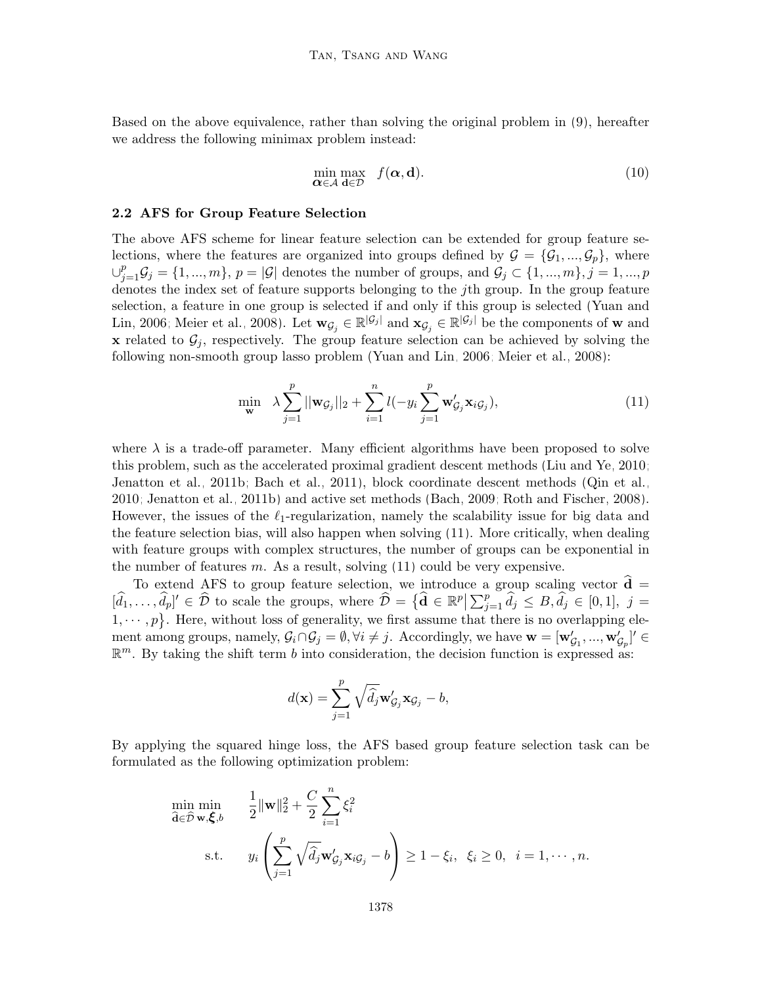Based on the above equivalence, rather than solving the original problem in [\(9\)](#page-6-2), hereafter we address the following minimax problem instead:

$$
\min_{\mathbf{\alpha} \in \mathcal{A}} \max_{\mathbf{d} \in \mathcal{D}} f(\mathbf{\alpha}, \mathbf{d}). \tag{10}
$$

#### 2.2 AFS for Group Feature Selection

The above AFS scheme for linear feature selection can be extended for group feature selections, where the features are organized into groups defined by  $\mathcal{G} = {\mathcal{G}_1, ..., \mathcal{G}_p}$ , where  $\cup_{j=1}^p \mathcal{G}_j = \{1, ..., m\}, p = |\mathcal{G}|$  denotes the number of groups, and  $\mathcal{G}_j \subset \{1, ..., m\}, j = 1, ..., p$ denotes the index set of feature supports belonging to the jth group. In the group feature selection, a feature in one group is selected if and only if this group is selected [\(Yuan and](#page-58-7) [Lin, 2006;](#page-58-7) [Meier et al., 2008\)](#page-55-9). Let  $\mathbf{w}_{\mathcal{G}_j} \in \mathbb{R}^{|\mathcal{G}_j|}$  and  $\mathbf{x}_{\mathcal{G}_j} \in \mathbb{R}^{|\mathcal{G}_j|}$  be the components of w and x related to  $G_i$ , respectively. The group feature selection can be achieved by solving the following non-smooth group lasso problem [\(Yuan and Lin, 2006;](#page-58-7) [Meier et al., 2008\)](#page-55-9):

<span id="page-7-0"></span>
$$
\min_{\mathbf{w}} \quad \lambda \sum_{j=1}^p ||\mathbf{w}_{\mathcal{G}_j}||_2 + \sum_{i=1}^n l(-y_i \sum_{j=1}^p \mathbf{w}'_{\mathcal{G}_j} \mathbf{x}_{i\mathcal{G}_j}), \tag{11}
$$

where  $\lambda$  is a trade-off parameter. Many efficient algorithms have been proposed to solve this problem, such as the accelerated proximal gradient descent methods [\(Liu and Ye, 2010;](#page-55-10) [Jenatton et al., 2011b;](#page-54-10) [Bach et al., 2011\)](#page-53-7), block coordinate descent methods [\(Qin et al.,](#page-56-6) [2010;](#page-56-6) [Jenatton et al., 2011b\)](#page-54-10) and active set methods [\(Bach, 2009;](#page-53-8) [Roth and Fischer, 2008\)](#page-56-7). However, the issues of the  $\ell_1$ -regularization, namely the scalability issue for big data and the feature selection bias, will also happen when solving [\(11\)](#page-7-0). More critically, when dealing with feature groups with complex structures, the number of groups can be exponential in the number of features  $m$ . As a result, solving  $(11)$  could be very expensive.

To extend AFS to group feature selection, we introduce a group scaling vector  $\hat{\mathbf{d}} =$  $[\hat{d}_1,\ldots,\hat{d}_p]' \in \hat{\mathcal{D}}$  to scale the groups, where  $\hat{\mathcal{D}} = {\{\hat{\mathbf{d}} \in \mathbb{R}^p \big|\sum_{j=1}^p \hat{d}_j \leq B, \hat{d}_j \in [0,1], j =$  $1, \dots, p$ . Here, without loss of generality, we first assume that there is no overlapping element among groups, namely,  $\mathcal{G}_i \cap \mathcal{G}_j = \emptyset$ ,  $\forall i \neq j$ . Accordingly, we have  $\mathbf{w} = [\mathbf{w}'_{\mathcal{G}_1},...,\mathbf{w}'_{\mathcal{G}_p}]' \in$  $\mathbb{R}^m$ . By taking the shift term b into consideration, the decision function is expressed as:

<span id="page-7-1"></span>
$$
d(\mathbf{x}) = \sum_{j=1}^p \sqrt{\widehat{d}_j} \mathbf{w}'_{\mathcal{G}_j} \mathbf{x}_{\mathcal{G}_j} - b,
$$

By applying the squared hinge loss, the AFS based group feature selection task can be formulated as the following optimization problem:

$$
\min_{\widehat{\mathbf{d}} \in \widehat{\mathcal{D}}} \min_{\mathbf{w}, \boldsymbol{\xi}, b} \qquad \frac{1}{2} \|\mathbf{w}\|_2^2 + \frac{C}{2} \sum_{i=1}^n \xi_i^2
$$
\n
$$
\text{s.t.} \qquad y_i \left( \sum_{j=1}^p \sqrt{\widehat{d}_j} \mathbf{w}_{\mathcal{G}_j}' \mathbf{x}_{i\mathcal{G}_j} - b \right) \ge 1 - \xi_i, \ \xi_i \ge 0, \ \ i = 1, \cdots, n.
$$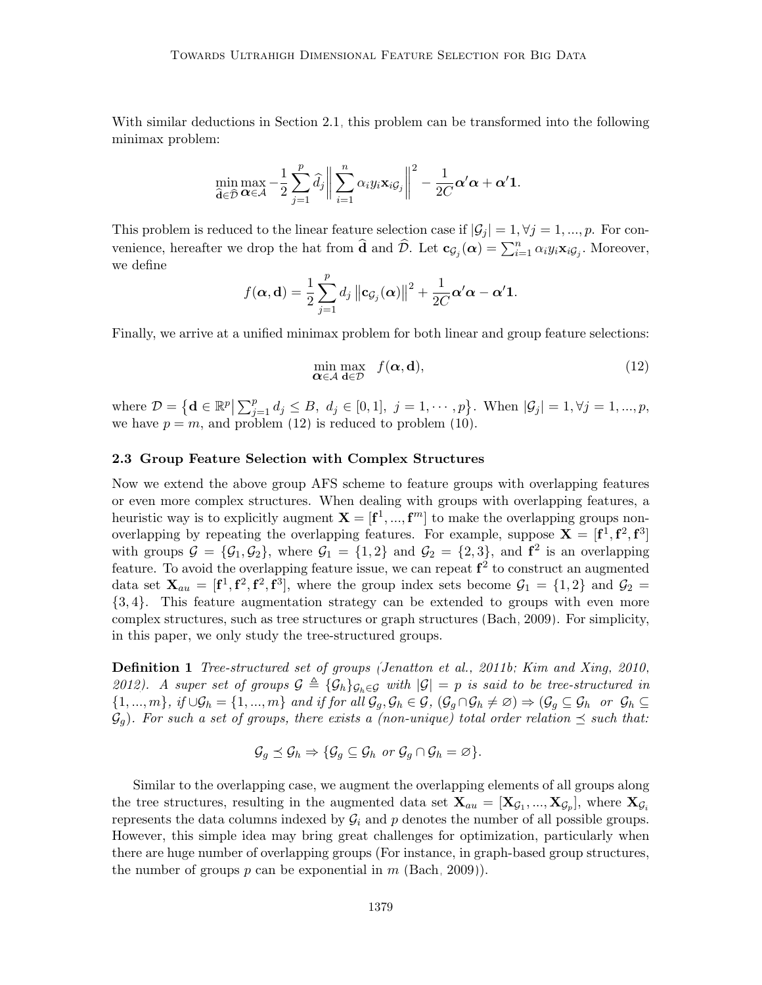With similar deductions in Section [2.1,](#page-5-2) this problem can be transformed into the following minimax problem:

$$
\min_{\widehat{\mathbf{d}} \in \widehat{\mathcal{D}}} \max_{\mathbf{\alpha} \in \mathcal{A}} -\frac{1}{2} \sum_{j=1}^p \widehat{d}_j \bigg\| \sum_{i=1}^n \alpha_i y_i \mathbf{x}_i \mathbf{g}_j \bigg\|^2 - \frac{1}{2C} \mathbf{\alpha}' \mathbf{\alpha} + \mathbf{\alpha}' \mathbf{1}.
$$

This problem is reduced to the linear feature selection case if  $|\mathcal{G}_j| = 1, \forall j = 1, ..., p$ . For convenience, hereafter we drop the hat from  $\hat{\mathbf{d}}$  and  $\hat{\mathcal{D}}$ . Let  $\mathbf{c}_{\mathcal{G}_j}(\boldsymbol{\alpha}) = \sum_{i=1}^n \alpha_i y_i \mathbf{x}_i \mathcal{G}_j$ . Moreover, we define

$$
f(\boldsymbol{\alpha},\mathbf{d}) = \frac{1}{2}\sum_{j=1}^p d_j \left\|\mathbf{c}_{\mathcal{G}_j}(\boldsymbol{\alpha})\right\|^2 + \frac{1}{2C}\boldsymbol{\alpha}'\boldsymbol{\alpha} - \boldsymbol{\alpha}'\mathbf{1}.
$$

Finally, we arrive at a unified minimax problem for both linear and group feature selections:

$$
\min_{\mathbf{\alpha} \in \mathcal{A}} \max_{\mathbf{d} \in \mathcal{D}} f(\mathbf{\alpha}, \mathbf{d}),\tag{12}
$$

where  $\mathcal{D} = \left\{ \mathbf{d} \in \mathbb{R}^p \middle| \sum_{j=1}^p d_j \leq B, \ d_j \in [0,1], \ j = 1, \cdots, p \right\}$ . When  $|\mathcal{G}_j| = 1, \forall j = 1, ..., p$ , we have  $p = m$ , and problem [\(12\)](#page-7-1) is reduced to problem [\(10\)](#page-6-3).

#### 2.3 Group Feature Selection with Complex Structures

Now we extend the above group AFS scheme to feature groups with overlapping features or even more complex structures. When dealing with groups with overlapping features, a heuristic way is to explicitly augment  $X = [f<sup>1</sup>, ..., f<sup>m</sup>]$  to make the overlapping groups nonoverlapping by repeating the overlapping features. For example, suppose  $X = [f^1, f^2, f^3]$ with groups  $\mathcal{G} = {\mathcal{G}_1, \mathcal{G}_2}$ , where  $\mathcal{G}_1 = \{1, 2\}$  and  $\mathcal{G}_2 = \{2, 3\}$ , and  $f^2$  is an overlapping feature. To avoid the overlapping feature issue, we can repeat  $f^2$  to construct an augmented data set  $\mathbf{X}_{au} = [\mathbf{f}^1, \mathbf{f}^2, \mathbf{f}^3]$ , where the group index sets become  $\mathcal{G}_1 = \{1,2\}$  and  $\mathcal{G}_2 =$ {3, 4}. This feature augmentation strategy can be extended to groups with even more complex structures, such as tree structures or graph structures [\(Bach, 2009\)](#page-53-8). For simplicity, in this paper, we only study the tree-structured groups.

Definition 1 Tree-structured set of groups [\(Jenatton et al., 2011b;](#page-54-10) [Kim and Xing, 2010,](#page-55-11) [2012\)](#page-55-12). A super set of groups  $G \triangleq {\mathcal{G}_h}_{G_h \in G}$  with  $|G| = p$  is said to be tree-structured in  $\{1, ..., m\}, \text{ if } \cup \mathcal{G}_h = \{1, ..., m\} \text{ and if for all } \mathcal{G}_g, \mathcal{G}_h \in \mathcal{G}, \text{ } (\mathcal{G}_g \cap \mathcal{G}_h \neq \emptyset) \Rightarrow (\mathcal{G}_g \subseteq \mathcal{G}_h \text{ or } \mathcal{G}_h \subseteq \emptyset)$  $\mathcal{G}_q$ ). For such a set of groups, there exists a (non-unique) total order relation  $\preceq$  such that:

<span id="page-8-0"></span>
$$
\mathcal{G}_g \preceq \mathcal{G}_h \Rightarrow \{ \mathcal{G}_g \subseteq \mathcal{G}_h \text{ or } \mathcal{G}_g \cap \mathcal{G}_h = \varnothing \}.
$$

Similar to the overlapping case, we augment the overlapping elements of all groups along the tree structures, resulting in the augmented data set  $X_{au} = [X_{\mathcal{G}_1},...,X_{\mathcal{G}_p}]$ , where  $X_{\mathcal{G}_i}$ represents the data columns indexed by  $\mathcal{G}_i$  and p denotes the number of all possible groups. However, this simple idea may bring great challenges for optimization, particularly when there are huge number of overlapping groups (For instance, in graph-based group structures, the number of groups p can be exponential in m [\(Bach, 2009\)](#page-53-8)).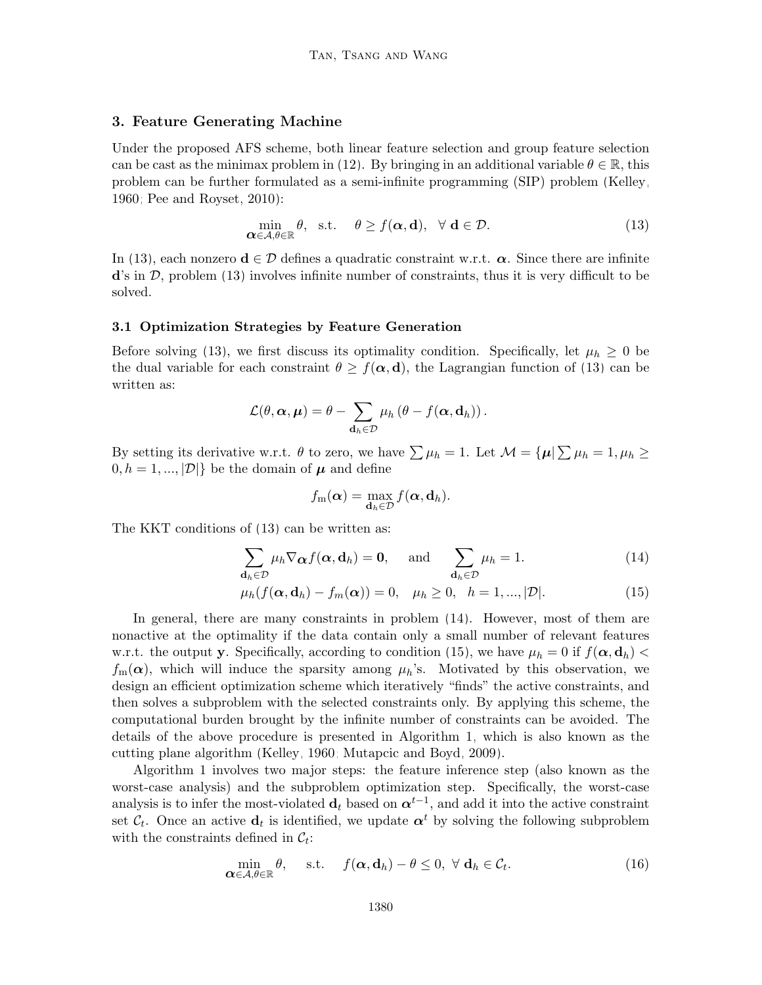#### <span id="page-9-0"></span>3. Feature Generating Machine

Under the proposed AFS scheme, both linear feature selection and group feature selection can be cast as the minimax problem in [\(12\)](#page-7-1). By bringing in an additional variable  $\theta \in \mathbb{R}$ , this problem can be further formulated as a semi-infinite programming (SIP) problem [\(Kelley,](#page-54-11) [1960;](#page-54-11) [Pee and Royset, 2010\)](#page-56-8):

<span id="page-9-1"></span>
$$
\min_{\mathbf{\alpha} \in \mathcal{A}, \theta \in \mathbb{R}} \theta, \quad \text{s.t.} \quad \theta \ge f(\mathbf{\alpha}, \mathbf{d}), \quad \forall \mathbf{d} \in \mathcal{D}.
$$
\n(13)

In [\(13\)](#page-9-1), each nonzero  $\mathbf{d} \in \mathcal{D}$  defines a quadratic constraint w.r.t.  $\alpha$ . Since there are infinite  $\mathbf{d}'\mathbf{s}$  in  $\mathcal{D}$ , problem [\(13\)](#page-9-1) involves infinite number of constraints, thus it is very difficult to be solved.

#### 3.1 Optimization Strategies by Feature Generation

Before solving [\(13\)](#page-9-1), we first discuss its optimality condition. Specifically, let  $\mu_h \geq 0$  be the dual variable for each constraint  $\theta \ge f(\alpha, d)$ , the Lagrangian function of [\(13\)](#page-9-1) can be written as:

<span id="page-9-2"></span>
$$
\mathcal{L}(\theta, \boldsymbol{\alpha}, \boldsymbol{\mu}) = \theta - \sum_{\mathbf{d}_h \in \mathcal{D}} \mu_h (\theta - f(\boldsymbol{\alpha}, \mathbf{d}_h)).
$$

By setting its derivative w.r.t.  $\theta$  to zero, we have  $\sum \mu_h = 1$ . Let  $\mathcal{M} = {\mu | \sum \mu_h = 1, \mu_h \ge \theta}$  $[0, h = 1, ..., |\mathcal{D}|]$  be the domain of  $\mu$  and define

$$
f_{\mathbf{m}}(\boldsymbol{\alpha}) = \max_{\mathbf{d}_h \in \mathcal{D}} f(\boldsymbol{\alpha}, \mathbf{d}_h).
$$

The KKT conditions of [\(13\)](#page-9-1) can be written as:

$$
\sum_{\mathbf{d}_h \in \mathcal{D}} \mu_h \nabla_{\mathbf{\alpha}} f(\mathbf{\alpha}, \mathbf{d}_h) = \mathbf{0}, \quad \text{and} \quad \sum_{\mathbf{d}_h \in \mathcal{D}} \mu_h = 1.
$$
 (14)

$$
\mu_h(f(\alpha, \mathbf{d}_h) - f_m(\alpha)) = 0, \quad \mu_h \ge 0, \quad h = 1, ..., |\mathcal{D}|.
$$
\n(15)

In general, there are many constraints in problem [\(14\)](#page-9-2). However, most of them are nonactive at the optimality if the data contain only a small number of relevant features w.r.t. the output y. Specifically, according to condition [\(15\)](#page-9-2), we have  $\mu_h = 0$  if  $f(\alpha, \mathbf{d}_h)$  $f_m(\boldsymbol{\alpha})$ , which will induce the sparsity among  $\mu_h$ 's. Motivated by this observation, we design an efficient optimization scheme which iteratively "finds" the active constraints, and then solves a subproblem with the selected constraints only. By applying this scheme, the computational burden brought by the infinite number of constraints can be avoided. The details of the above procedure is presented in Algorithm [1,](#page-10-0) which is also known as the cutting plane algorithm [\(Kelley, 1960;](#page-54-11) [Mutapcic and Boyd, 2009\)](#page-56-9).

Algorithm [1](#page-10-0) involves two major steps: the feature inference step (also known as the worst-case analysis) and the subproblem optimization step. Specifically, the worst-case analysis is to infer the most-violated  $\mathbf{d}_t$  based on  $\boldsymbol{\alpha}^{t-1}$ , and add it into the active constraint set  $\mathcal{C}_t$ . Once an active  $\mathbf{d}_t$  is identified, we update  $\boldsymbol{\alpha}^t$  by solving the following subproblem with the constraints defined in  $\mathcal{C}_t$ :

<span id="page-9-3"></span>
$$
\min_{\mathbf{\alpha}\in\mathcal{A},\theta\in\mathbb{R}}\theta,\quad \text{s.t.}\quad f(\mathbf{\alpha},\mathbf{d}_h)-\theta\leq 0,\ \forall\ \mathbf{d}_h\in\mathcal{C}_t.\tag{16}
$$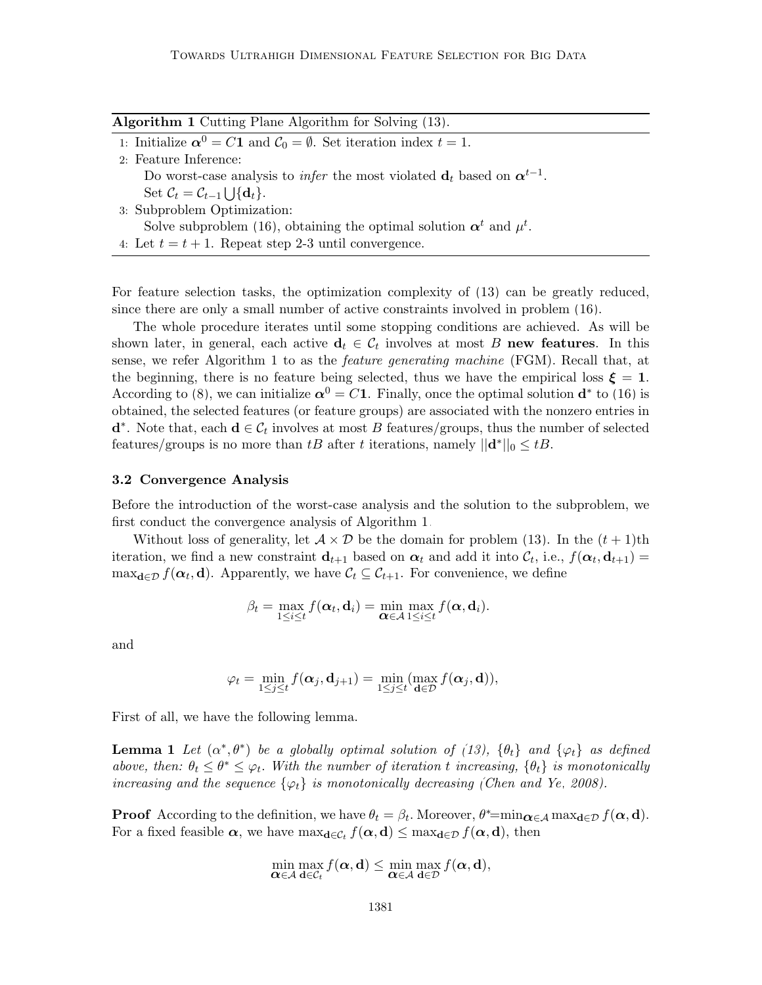<span id="page-10-0"></span>

| <b>Algorithm 1</b> Cutting Plane Algorithm for Solving (13).                                                   |
|----------------------------------------------------------------------------------------------------------------|
| 1: Initialize $\alpha^0 = C1$ and $C_0 = \emptyset$ . Set iteration index $t = 1$ .                            |
| 2: Feature Inference:                                                                                          |
| Do worst-case analysis to <i>infer</i> the most violated $\mathbf{d}_t$ based on $\boldsymbol{\alpha}^{t-1}$ . |
| Set $\mathcal{C}_t = \mathcal{C}_{t-1} \cup \{d_t\}.$                                                          |
| 3: Subproblem Optimization:                                                                                    |
| Solve subproblem (16), obtaining the optimal solution $\alpha^t$ and $\mu^t$ .                                 |
| 4: Let $t = t + 1$ . Repeat step 2-3 until convergence.                                                        |

For feature selection tasks, the optimization complexity of [\(13\)](#page-9-1) can be greatly reduced, since there are only a small number of active constraints involved in problem [\(16\)](#page-9-3).

The whole procedure iterates until some stopping conditions are achieved. As will be shown later, in general, each active  $\mathbf{d}_t \in \mathcal{C}_t$  involves at most B new features. In this sense, we refer Algorithm 1 to as the *feature generating machine* (FGM). Recall that, at the beginning, there is no feature being selected, thus we have the empirical loss  $\xi = 1$ . According to [\(8\)](#page-6-4), we can initialize  $\alpha^0 = C1$ . Finally, once the optimal solution  $\mathbf{d}^*$  to [\(16\)](#page-9-3) is obtained, the selected features (or feature groups) are associated with the nonzero entries in  $\mathbf{d}^*$ . Note that, each  $\mathbf{d} \in \mathcal{C}_t$  involves at most B features/groups, thus the number of selected features/groups is no more than tB after t iterations, namely  $||\mathbf{d}^*||_0 \leq tB$ .

#### 3.2 Convergence Analysis

Before the introduction of the worst-case analysis and the solution to the subproblem, we first conduct the convergence analysis of Algorithm [1.](#page-10-0)

Without loss of generality, let  $A \times D$  be the domain for problem [\(13\)](#page-9-1). In the  $(t + 1)$ th iteration, we find a new constraint  $\mathbf{d}_{t+1}$  based on  $\boldsymbol{\alpha}_t$  and add it into  $\mathcal{C}_t$ , i.e.,  $f(\boldsymbol{\alpha}_t, \mathbf{d}_{t+1}) =$  $\max_{\mathbf{d}\in\mathcal{D}} f(\alpha_t, \mathbf{d})$ . Apparently, we have  $\mathcal{C}_t \subseteq \mathcal{C}_{t+1}$ . For convenience, we define

$$
\beta_t = \max_{1 \leq i \leq t} f(\boldsymbol{\alpha}_t, \mathbf{d}_i) = \min_{\boldsymbol{\alpha} \in \mathcal{A}} \max_{1 \leq i \leq t} f(\boldsymbol{\alpha}, \mathbf{d}_i).
$$

and

$$
\varphi_t = \min_{1 \leq j \leq t} f(\boldsymbol{\alpha}_j, \mathbf{d}_{j+1}) = \min_{1 \leq j \leq t} (\max_{\mathbf{d} \in \mathcal{D}} f(\boldsymbol{\alpha}_j, \mathbf{d})),
$$

First of all, we have the following lemma.

**Lemma 1** Let  $(\alpha^*, \theta^*)$  be a globally optimal solution of [\(13\)](#page-9-1),  $\{\theta_t\}$  and  $\{\varphi_t\}$  as defined above, then:  $\theta_t \leq \theta^* \leq \varphi_t$ . With the number of iteration t increasing,  $\{\theta_t\}$  is monotonically increasing and the sequence  $\{\varphi_t\}$  is monotonically decreasing [\(Chen and Ye, 2008\)](#page-53-9).

**Proof** According to the definition, we have  $\theta_t = \beta_t$ . Moreover,  $\theta^* = \min_{\mathbf{\alpha} \in \mathcal{A}} \max_{\mathbf{d} \in \mathcal{D}} f(\mathbf{\alpha}, \mathbf{d})$ . For a fixed feasible  $\alpha$ , we have  $\max_{d \in C_t} f(\alpha, d) \leq \max_{d \in \mathcal{D}} f(\alpha, d)$ , then

$$
\min_{\mathbf{\alpha}\in\mathcal{A}}\max_{\mathbf{d}\in\mathcal{C}_t}f(\mathbf{\alpha},\mathbf{d})\leq \min_{\mathbf{\alpha}\in\mathcal{A}}\max_{\mathbf{d}\in\mathcal{D}}f(\mathbf{\alpha},\mathbf{d}),
$$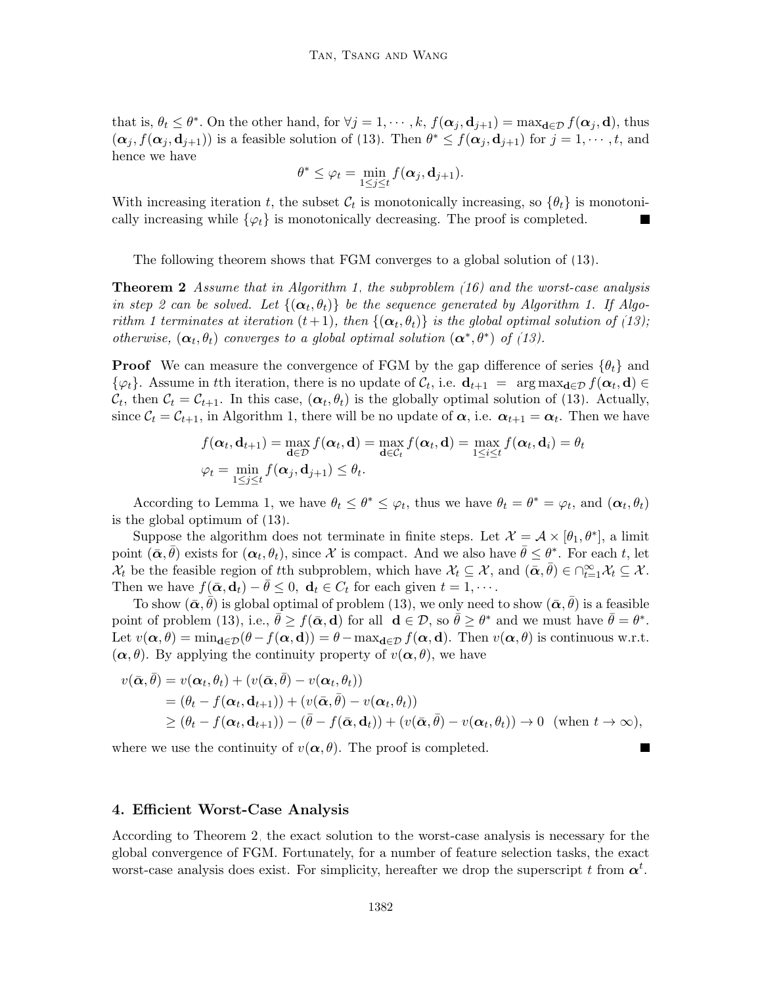that is,  $\theta_t \leq \theta^*$ . On the other hand, for  $\forall j = 1, \dots, k$ ,  $f(\boldsymbol{\alpha}_j, \boldsymbol{d}_{j+1}) = \max_{\boldsymbol{d} \in \mathcal{D}} f(\boldsymbol{\alpha}_j, \boldsymbol{d})$ , thus  $(\boldsymbol{\alpha}_j, f(\boldsymbol{\alpha}_j, \mathbf{d}_{j+1}))$  is a feasible solution of [\(13\)](#page-9-1). Then  $\theta^* \leq f(\boldsymbol{\alpha}_j, \mathbf{d}_{j+1})$  for  $j = 1, \dots, t$ , and hence we have

$$
\theta^* \leq \varphi_t = \min_{1 \leq j \leq t} f(\boldsymbol{\alpha}_j, \mathbf{d}_{j+1}).
$$

With increasing iteration t, the subset  $\mathcal{C}_t$  is monotonically increasing, so  $\{\theta_t\}$  is monotonically increasing while  $\{\varphi_t\}$  is monotonically decreasing. The proof is completed.

The following theorem shows that FGM converges to a global solution of [\(13\)](#page-9-1).

<span id="page-11-1"></span>**Theorem 2** Assume that in Algorithm [1,](#page-10-0) the subproblem  $(16)$  and the worst-case analysis in step 2 can be solved. Let  $\{(\boldsymbol{\alpha}_t, \theta_t)\}\,$  be the sequence generated by Algorithm 1. If Algorithm 1 terminates at iteration  $(t+1)$ , then  $\{(\boldsymbol{\alpha}_t, \theta_t)\}$  is the global optimal solution of [\(13\)](#page-9-1); otherwise,  $(\alpha_t, \theta_t)$  converges to a global optimal solution  $(\alpha^*, \theta^*)$  of [\(13\)](#page-9-1).

**Proof** We can measure the convergence of FGM by the gap difference of series  $\{\theta_t\}$  and  $\{\varphi_t\}.$  Assume in tth iteration, there is no update of  $\mathcal{C}_t$ , i.e.  $\mathbf{d}_{t+1} = \arg \max_{\mathbf{d} \in \mathcal{D}} f(\mathbf{\alpha}_t, \mathbf{d}) \in$  $\mathcal{C}_t$ , then  $\mathcal{C}_t = \mathcal{C}_{t+1}$ . In this case,  $(\boldsymbol{\alpha}_t, \theta_t)$  is the globally optimal solution of [\(13\)](#page-9-1). Actually, since  $C_t = C_{t+1}$ , in Algorithm 1, there will be no update of  $\alpha$ , i.e.  $\alpha_{t+1} = \alpha_t$ . Then we have

$$
f(\boldsymbol{\alpha}_t, \mathbf{d}_{t+1}) = \max_{\mathbf{d} \in \mathcal{D}} f(\boldsymbol{\alpha}_t, \mathbf{d}) = \max_{\mathbf{d} \in \mathcal{C}_t} f(\boldsymbol{\alpha}_t, \mathbf{d}) = \max_{1 \leq i \leq t} f(\boldsymbol{\alpha}_t, \mathbf{d}_i) = \theta_t
$$
  

$$
\varphi_t = \min_{1 \leq j \leq t} f(\boldsymbol{\alpha}_j, \mathbf{d}_{j+1}) \leq \theta_t.
$$

According to Lemma 1, we have  $\theta_t \leq \theta^* \leq \varphi_t$ , thus we have  $\theta_t = \theta^* = \varphi_t$ , and  $(\alpha_t, \theta_t)$ is the global optimum of [\(13\)](#page-9-1).

Suppose the algorithm does not terminate in finite steps. Let  $\mathcal{X} = \mathcal{A} \times [\theta_1, \theta^*]$ , a limit point  $(\bar{\alpha}, \bar{\theta})$  exists for  $(\alpha_t, \theta_t)$ , since X is compact. And we also have  $\bar{\theta} \leq \theta^*$ . For each t, let  $\mathcal{X}_t$  be the feasible region of tth subproblem, which have  $\mathcal{X}_t \subseteq \mathcal{X}$ , and  $(\bar{\alpha}, \bar{\theta}) \in \bigcap_{t=1}^{\infty} \mathcal{X}_t \subseteq \mathcal{X}$ . Then we have  $f(\bar{\boldsymbol{\alpha}}, \mathbf{d}_t) - \theta \leq 0$ ,  $\mathbf{d}_t \in C_t$  for each given  $t = 1, \dots$ .

To show  $(\bar{\boldsymbol{\alpha}}, \bar{\theta})$  is global optimal of problem [\(13\)](#page-9-1), we only need to show  $(\bar{\boldsymbol{\alpha}}, \bar{\theta})$  is a feasible point of problem [\(13\)](#page-9-1), i.e.,  $\bar{\theta} \ge f(\bar{\alpha}, d)$  for all  $d \in \mathcal{D}$ , so  $\bar{\theta} \ge \theta^*$  and we must have  $\bar{\theta} = \theta^*$ . Let  $v(\alpha, \theta) = \min_{\mathbf{d} \in \mathcal{D}} (\theta - f(\alpha, \mathbf{d})) = \theta - \max_{\mathbf{d} \in \mathcal{D}} f(\alpha, \mathbf{d}).$  Then  $v(\alpha, \theta)$  is continuous w.r.t.  $(\alpha, \theta)$ . By applying the continuity property of  $v(\alpha, \theta)$ , we have

$$
v(\bar{\boldsymbol{\alpha}},\bar{\theta}) = v(\boldsymbol{\alpha}_t,\theta_t) + (v(\bar{\boldsymbol{\alpha}},\bar{\theta}) - v(\boldsymbol{\alpha}_t,\theta_t))
$$
  
=  $(\theta_t - f(\boldsymbol{\alpha}_t,\mathbf{d}_{t+1})) + (v(\bar{\boldsymbol{\alpha}},\bar{\theta}) - v(\boldsymbol{\alpha}_t,\theta_t))$   
 $\geq (\theta_t - f(\boldsymbol{\alpha}_t,\mathbf{d}_{t+1})) - (\bar{\theta} - f(\bar{\boldsymbol{\alpha}},\mathbf{d}_t)) + (v(\bar{\boldsymbol{\alpha}},\bar{\theta}) - v(\boldsymbol{\alpha}_t,\theta_t)) \to 0 \text{ (when } t \to \infty),$ 

П

where we use the continuity of  $v(\alpha, \theta)$ . The proof is completed.

#### <span id="page-11-0"></span>4. Efficient Worst-Case Analysis

According to Theorem [2,](#page-11-1) the exact solution to the worst-case analysis is necessary for the global convergence of FGM. Fortunately, for a number of feature selection tasks, the exact worst-case analysis does exist. For simplicity, hereafter we drop the superscript t from  $\alpha^t$ .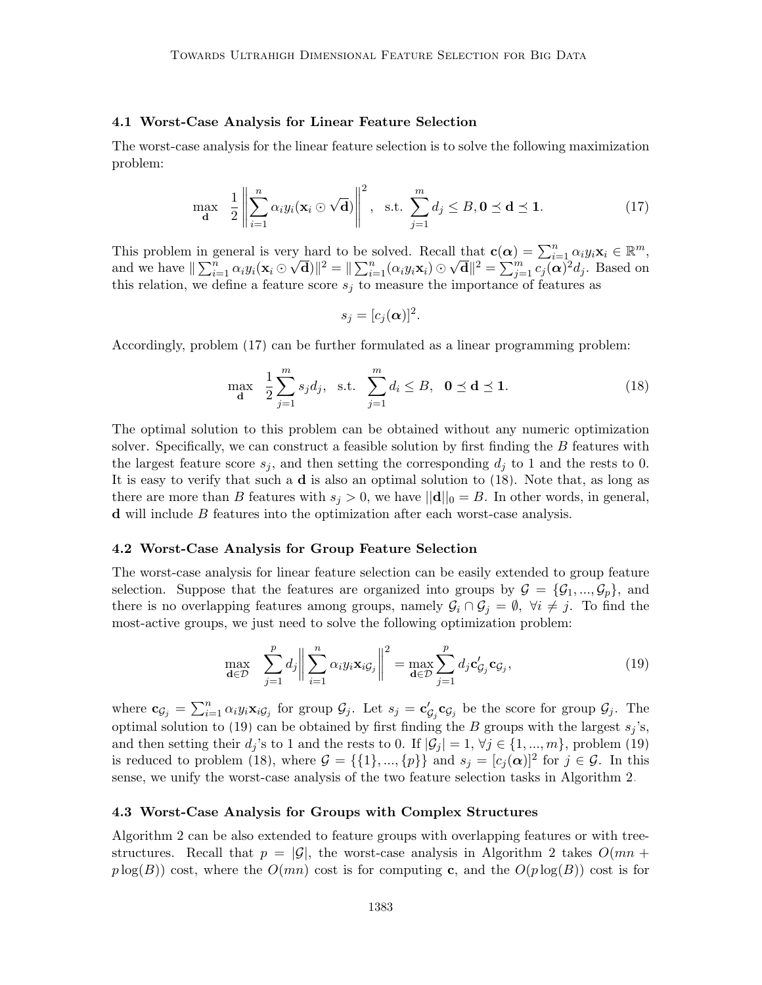#### 4.1 Worst-Case Analysis for Linear Feature Selection

The worst-case analysis for the linear feature selection is to solve the following maximization problem:

<span id="page-12-0"></span>
$$
\max_{\mathbf{d}} \quad \frac{1}{2} \left\| \sum_{i=1}^{n} \alpha_i y_i (\mathbf{x}_i \odot \sqrt{\mathbf{d}}) \right\|^2, \quad \text{s.t.} \quad \sum_{j=1}^{m} d_j \leq B, \mathbf{0} \leq \mathbf{d} \leq \mathbf{1}.
$$

This problem in general is very hard to be solved. Recall that  $\mathbf{c}(\alpha) = \sum_{i=1}^n \alpha_i y_i \mathbf{x}_i \in \mathbb{R}^m$ , and we have  $\|\sum_{i=1}^n \alpha_i y_i (\mathbf{x}_i \odot \sqrt{\mathbf{d}})\|^2 = \|\sum_{i=1}^n (\alpha_i y_i \mathbf{x}_i) \odot \sqrt{\mathbf{d}}\|^2 = \sum_{j=1}^m \widetilde{c_j(\alpha)}^2 d_j$ . Based on this relation, we define a feature score  $s_i$  to measure the importance of features as

$$
s_j=[c_j(\boldsymbol{\alpha})]^2.
$$

Accordingly, problem [\(17\)](#page-12-0) can be further formulated as a linear programming problem:

<span id="page-12-1"></span>
$$
\max_{\mathbf{d}} \quad \frac{1}{2} \sum_{j=1}^{m} s_j d_j, \quad \text{s.t.} \quad \sum_{j=1}^{m} d_i \le B, \quad \mathbf{0} \le \mathbf{d} \le \mathbf{1}. \tag{18}
$$

The optimal solution to this problem can be obtained without any numeric optimization solver. Specifically, we can construct a feasible solution by first finding the B features with the largest feature score  $s_i$ , and then setting the corresponding  $d_i$  to 1 and the rests to 0. It is easy to verify that such a d is also an optimal solution to [\(18\)](#page-12-1). Note that, as long as there are more than B features with  $s_j > 0$ , we have  $||\mathbf{d}||_0 = B$ . In other words, in general, d will include B features into the optimization after each worst-case analysis.

#### 4.2 Worst-Case Analysis for Group Feature Selection

The worst-case analysis for linear feature selection can be easily extended to group feature selection. Suppose that the features are organized into groups by  $\mathcal{G} = {\mathcal{G}_1, ..., \mathcal{G}_p}$ , and there is no overlapping features among groups, namely  $G_i \cap G_j = \emptyset$ ,  $\forall i \neq j$ . To find the most-active groups, we just need to solve the following optimization problem:

<span id="page-12-2"></span>
$$
\max_{\mathbf{d}\in\mathcal{D}} \sum_{j=1}^p d_j \left\| \sum_{i=1}^n \alpha_i y_i \mathbf{x}_{i\mathcal{G}_j} \right\|^2 = \max_{\mathbf{d}\in\mathcal{D}} \sum_{j=1}^p d_j \mathbf{c}'_{\mathcal{G}_j} \mathbf{c}_{\mathcal{G}_j},\tag{19}
$$

where  $\mathbf{c}_{\mathcal{G}_j} = \sum_{i=1}^n \alpha_i y_i \mathbf{x}_{i\mathcal{G}_j}$  for group  $\mathcal{G}_j$ . Let  $s_j = \mathbf{c}'_{\mathcal{G}_j} \mathbf{c}_{\mathcal{G}_j}$  be the score for group  $\mathcal{G}_j$ . The optimal solution to [\(19\)](#page-12-2) can be obtained by first finding the B groups with the largest  $s_i$ 's, and then setting their  $d_j$ 's to 1 and the rests to 0. If  $|\mathcal{G}_j| = 1, \forall j \in \{1, ..., m\}$ , problem [\(19\)](#page-12-2) is reduced to problem [\(18\)](#page-12-1), where  $\mathcal{G} = \{\{1\}, ..., \{p\}\}\$ and  $s_j = [c_j(\boldsymbol{\alpha})]^2$  for  $j \in \mathcal{G}$ . In this sense, we unify the worst-case analysis of the two feature selection tasks in Algorithm [2.](#page-13-1)

#### <span id="page-12-3"></span>4.3 Worst-Case Analysis for Groups with Complex Structures

Algorithm [2](#page-13-1) can be also extended to feature groups with overlapping features or with treestructures. Recall that  $p = |\mathcal{G}|$ , the worst-case analysis in Algorithm [2](#page-13-1) takes  $O(mn + 1)$  $p \log(B)$  cost, where the  $O(mn)$  cost is for computing c, and the  $O(p \log(B))$  cost is for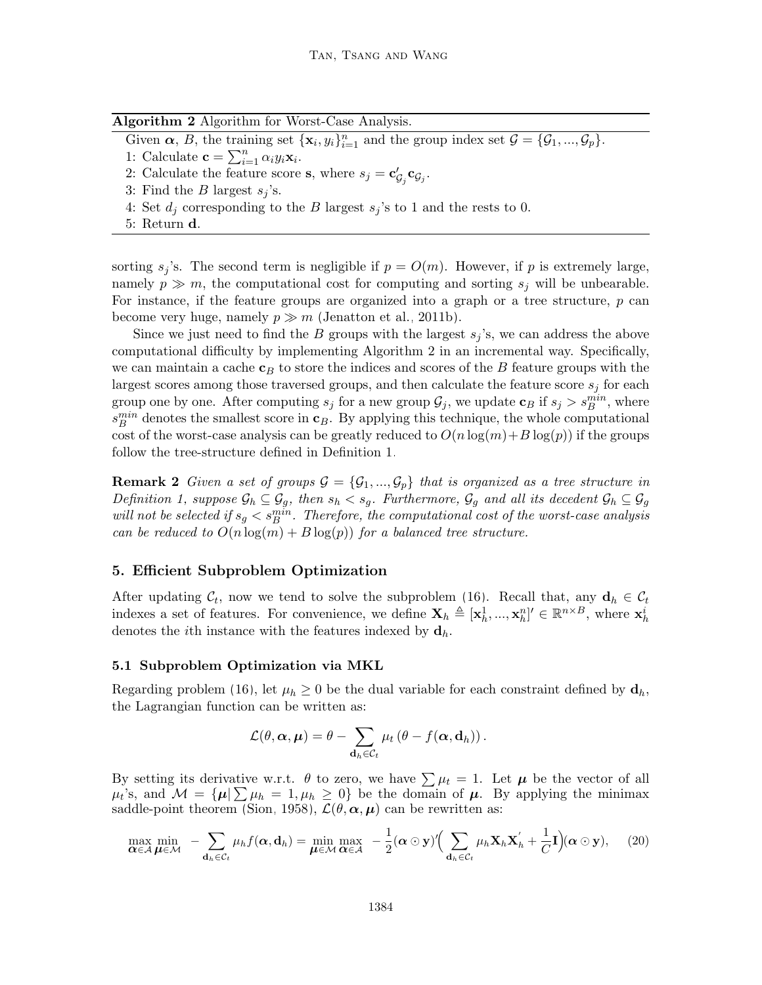|  | Algorithm 2 Algorithm for Worst-Case Analysis. |  |  |  |  |  |
|--|------------------------------------------------|--|--|--|--|--|
|--|------------------------------------------------|--|--|--|--|--|

<span id="page-13-1"></span>Given  $\alpha$ , B, the training set  $\{\mathbf x_i, y_i\}_{i=1}^n$  and the group index set  $\mathcal{G} = {\mathcal{G}_1, ..., \mathcal{G}_p}$ .

1: Calculate  $\mathbf{c} = \sum_{i=1}^{n} \alpha_i y_i \mathbf{x}_i$ .

2: Calculate the feature score **s**, where  $s_j = \mathbf{c}'_{\mathcal{G}_j} \mathbf{c}_{\mathcal{G}_j}$ .

3: Find the B largest  $s_j$ 's.

- 4: Set  $d_i$  corresponding to the B largest  $s_i$ 's to 1 and the rests to 0.
- 5: Return d.

sorting  $s_j$ 's. The second term is negligible if  $p = O(m)$ . However, if p is extremely large, namely  $p \gg m$ , the computational cost for computing and sorting  $s_i$  will be unbearable. For instance, if the feature groups are organized into a graph or a tree structure, p can become very huge, namely  $p \gg m$  [\(Jenatton et al., 2011b\)](#page-54-10).

Since we just need to find the B groups with the largest  $s_j$ 's, we can address the above computational difficulty by implementing Algorithm [2](#page-13-1) in an incremental way. Specifically, we can maintain a cache  $c_B$  to store the indices and scores of the B feature groups with the largest scores among those traversed groups, and then calculate the feature score  $s_i$  for each group one by one. After computing  $s_j$  for a new group  $\mathcal{G}_j$ , we update  $\mathbf{c}_B$  if  $s_j > s_B^{min}$ , where  $s_B^{min}$  denotes the smallest score in  $\mathbf{c}_B$ . By applying this technique, the whole computational cost of the worst-case analysis can be greatly reduced to  $O(n \log(m) + B \log(p))$  if the groups follow the tree-structure defined in Definition [1.](#page-8-0)

**Remark 2** Given a set of groups  $\mathcal{G} = {\mathcal{G}_1, ..., \mathcal{G}_p}$  that is organized as a tree structure in Definition [1,](#page-8-0) suppose  $\mathcal{G}_h \subseteq \mathcal{G}_g$ , then  $s_h < s_g$ . Furthermore,  $\mathcal{G}_g$  and all its decedent  $\mathcal{G}_h \subseteq \mathcal{G}_g$ will not be selected if  $s_g < s_B^{min}$ . Therefore, the computational cost of the worst-case analysis can be reduced to  $O(n \log(m) + B \log(p))$  for a balanced tree structure.

#### <span id="page-13-0"></span>5. Efficient Subproblem Optimization

After updating  $\mathcal{C}_t$ , now we tend to solve the subproblem [\(16\)](#page-9-3). Recall that, any  $\mathbf{d}_h \in \mathcal{C}_t$ indexes a set of features. For convenience, we define  $\mathbf{X}_h \triangleq [\mathbf{x}_h^1, ..., \mathbf{x}_h^n]' \in \mathbb{R}^{n \times B}$ , where  $\mathbf{x}_h^i$ denotes the *i*th instance with the features indexed by  $\mathbf{d}_h$ .

#### 5.1 Subproblem Optimization via MKL

Regarding problem [\(16\)](#page-9-3), let  $\mu_h \geq 0$  be the dual variable for each constraint defined by  $\mathbf{d}_h$ , the Lagrangian function can be written as:

<span id="page-13-2"></span>
$$
\mathcal{L}(\theta, \alpha, \mu) = \theta - \sum_{\mathbf{d}_h \in \mathcal{C}_t} \mu_t (\theta - f(\alpha, \mathbf{d}_h)).
$$

By setting its derivative w.r.t.  $\theta$  to zero, we have  $\sum \mu_t = 1$ . Let  $\mu$  be the vector of all  $\mu_t$ 's, and  $\mathcal{M} = {\mu | \sum_{k} \mu_k = 1, \mu_k \geq 0}$  be the domain of  $\mu$ . By applying the minimax saddle-point theorem [\(Sion, 1958\)](#page-55-8),  $\mathcal{L}(\theta, \alpha, \mu)$  can be rewritten as:

$$
\max_{\mathbf{\alpha}\in\mathcal{A}}\min_{\boldsymbol{\mu}\in\mathcal{M}} - \sum_{\mathbf{d}_h\in\mathcal{C}_t} \mu_h f(\mathbf{\alpha},\mathbf{d}_h) = \min_{\boldsymbol{\mu}\in\mathcal{M}} \max_{\mathbf{\alpha}\in\mathcal{A}} -\frac{1}{2}(\mathbf{\alpha}\odot\mathbf{y})'\Big(\sum_{\mathbf{d}_h\in\mathcal{C}_t} \mu_h \mathbf{X}_h \mathbf{X}_h' + \frac{1}{C}\mathbf{I}\Big)(\mathbf{\alpha}\odot\mathbf{y}), \quad (20)
$$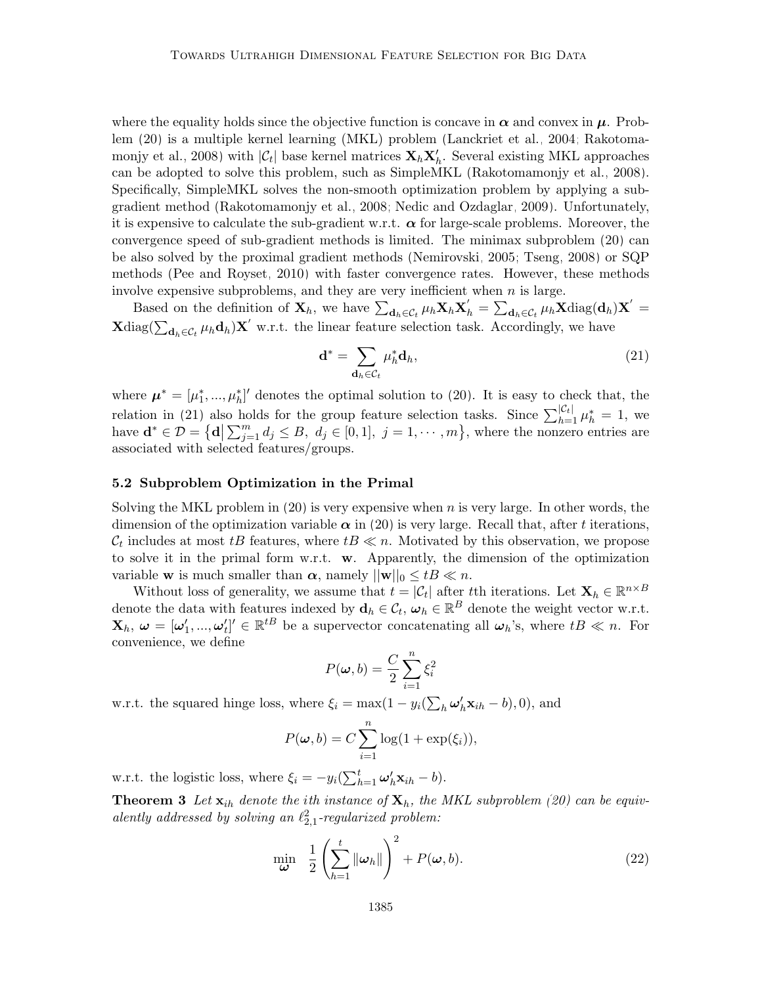where the equality holds since the objective function is concave in  $\alpha$  and convex in  $\mu$ . Problem [\(20\)](#page-13-2) is a multiple kernel learning (MKL) problem [\(Lanckriet et al., 2004;](#page-55-13) [Rakotoma](#page-56-5)[monjy et al., 2008\)](#page-56-5) with  $|\mathcal{C}_t|$  base kernel matrices  $\mathbf{X}_h \mathbf{X}_h'$ . Several existing MKL approaches can be adopted to solve this problem, such as SimpleMKL [\(Rakotomamonjy et al., 2008\)](#page-56-5). Specifically, SimpleMKL solves the non-smooth optimization problem by applying a subgradient method [\(Rakotomamonjy et al., 2008;](#page-56-5) [Nedic and Ozdaglar, 2009\)](#page-56-10). Unfortunately, it is expensive to calculate the sub-gradient w.r.t.  $\alpha$  for large-scale problems. Moreover, the convergence speed of sub-gradient methods is limited. The minimax subproblem [\(20\)](#page-13-2) can be also solved by the proximal gradient methods [\(Nemirovski, 2005;](#page-56-11) [Tseng, 2008\)](#page-57-9) or SQP methods [\(Pee and Royset, 2010\)](#page-56-8) with faster convergence rates. However, these methods involve expensive subproblems, and they are very inefficient when  $n$  is large.

Based on the definition of  $\mathbf{X}_h$ , we have  $\sum_{\mathbf{d}_h \in \mathcal{C}_t} \mu_h \mathbf{X}_h \mathbf{X}_h' = \sum_{\mathbf{d}_h \in \mathcal{C}_t} \mu_h \mathbf{X} \text{diag}(\mathbf{d}_h) \mathbf{X}' =$  $\mathbf{X}$ diag $(\sum_{\mathbf{d}_h \in \mathcal{C}_t} \mu_h \mathbf{d}_h) \mathbf{X}'$  w.r.t. the linear feature selection task. Accordingly, we have

<span id="page-14-0"></span>
$$
\mathbf{d}^* = \sum_{\mathbf{d}_h \in \mathcal{C}_t} \mu_h^* \mathbf{d}_h,\tag{21}
$$

where  $\boldsymbol{\mu}^* = [\mu_1^*, ..., \mu_h^*]'$  denotes the optimal solution to [\(20\)](#page-13-2). It is easy to check that, the relation in [\(21\)](#page-14-0) also holds for the group feature selection tasks. Since  $\sum_{h=1}^{|\mathcal{C}_t|} \mu_h^* = 1$ , we have  $\mathbf{d}^* \in \mathcal{D} = \{ \mathbf{d} \mid \sum_{j=1}^m d_j \leq B, \ d_j \in [0,1], \ j=1,\cdots,m \},\$  where the nonzero entries are associated with selected features/groups.

#### 5.2 Subproblem Optimization in the Primal

Solving the MKL problem in  $(20)$  is very expensive when n is very large. In other words, the dimension of the optimization variable  $\alpha$  in [\(20\)](#page-13-2) is very large. Recall that, after t iterations,  $\mathcal{C}_t$  includes at most tB features, where  $tB \ll n$ . Motivated by this observation, we propose to solve it in the primal form w.r.t. w. Apparently, the dimension of the optimization variable **w** is much smaller than  $\alpha$ , namely  $||\mathbf{w}||_0 \leq tB \ll n$ .

Without loss of generality, we assume that  $t = |\mathcal{C}_t|$  after tth iterations. Let  $\mathbf{X}_h \in \mathbb{R}^{n \times B}$ denote the data with features indexed by  $\mathbf{d}_h \in \mathcal{C}_t$ ,  $\boldsymbol{\omega}_h \in \mathbb{R}^B$  denote the weight vector w.r.t.  $\mathbf{X}_h, \ \boldsymbol{\omega} = [\boldsymbol{\omega}'_1, ..., \boldsymbol{\omega}'_t]' \in \mathbb{R}^{tB}$  be a supervector concatenating all  $\boldsymbol{\omega}_h$ 's, where  $tB \ll n$ . For convenience, we define

<span id="page-14-1"></span>
$$
P(\boldsymbol{\omega},b) = \frac{C}{2} \sum_{i=1}^{n} \xi_i^2
$$

w.r.t. the squared hinge loss, where  $\xi_i = \max(1 - y_i(\sum_h \omega'_h \mathbf{x}_{ih} - b), 0)$ , and

$$
P(\boldsymbol{\omega},b) = C \sum_{i=1}^{n} \log(1 + \exp(\xi_i)),
$$

w.r.t. the logistic loss, where  $\xi_i = -y_i(\sum_{h=1}^t \omega_h' \mathbf{x}_{ih} - b)$ .

**Theorem 3** Let  $\mathbf{x}_{ih}$  denote the ith instance of  $\mathbf{X}_h$ , the MKL subproblem [\(20\)](#page-13-2) can be equivalently addressed by solving an  $\ell_{2,1}^2$ -regularized problem:

<span id="page-14-2"></span>
$$
\min_{\boldsymbol{\omega}} \quad \frac{1}{2} \left( \sum_{h=1}^{t} \|\boldsymbol{\omega}_h\| \right)^2 + P(\boldsymbol{\omega}, b). \tag{22}
$$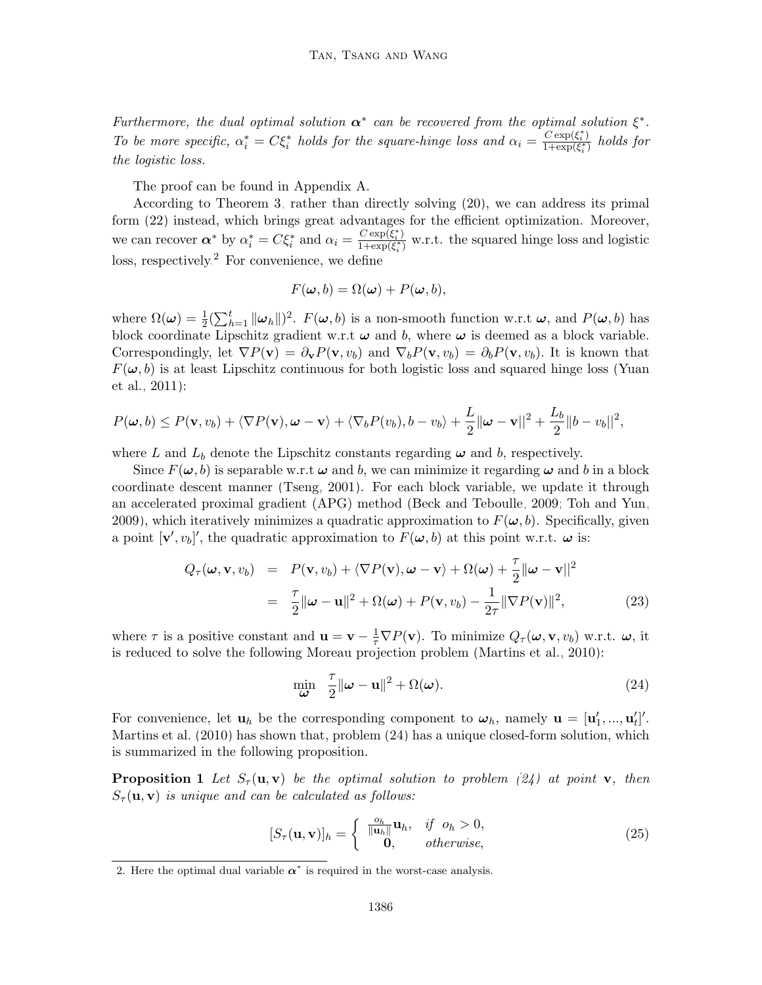Furthermore, the dual optimal solution  $\alpha^*$  can be recovered from the optimal solution  $\xi^*$ . To be more specific,  $\alpha_i^* = C \xi_i^*$  holds for the square-hinge loss and  $\alpha_i = \frac{C \exp(\xi_i^*)}{1 + \exp(\xi_i^*)}$  $\frac{\text{C} \exp(\xi_i)}{1+\exp(\xi_i^*)}$  holds for the logistic loss.

The proof can be found in Appendix A.

According to Theorem [3,](#page-14-1) rather than directly solving [\(20\)](#page-13-2), we can address its primal form [\(22\)](#page-14-2) instead, which brings great advantages for the efficient optimization. Moreover, we can recover  $\alpha^*$  by  $\alpha_i^* = C \xi_i^*$  and  $\alpha_i = \frac{C \exp(\xi_i^*)}{1 + \exp(\xi_i^*)}$  $\frac{C \exp(\xi_i)}{1+\exp(\xi_i^*)}$  w.r.t. the squared hinge loss and logistic loss, respectively.<sup>[2](#page-15-0)</sup> For convenience, we define

<span id="page-15-3"></span>
$$
F(\boldsymbol{\omega},b) = \Omega(\boldsymbol{\omega}) + P(\boldsymbol{\omega},b),
$$

where  $\Omega(\omega) = \frac{1}{2} \left( \sum_{h=1}^{t} ||\omega_h|| \right)^2$ .  $F(\omega, b)$  is a non-smooth function w.r.t  $\omega$ , and  $P(\omega, b)$  has block coordinate Lipschitz gradient w.r.t  $\omega$  and b, where  $\omega$  is deemed as a block variable. Correspondingly, let  $\nabla P(\mathbf{v}) = \partial_{\mathbf{v}} P(\mathbf{v}, v_b)$  and  $\nabla_b P(\mathbf{v}, v_b) = \partial_b P(\mathbf{v}, v_b)$ . It is known that  $F(\omega, b)$  is at least Lipschitz continuous for both logistic loss and squared hinge loss [\(Yuan](#page-58-3) [et al., 2011\)](#page-58-3):

$$
P(\boldsymbol{\omega},b) \leq P(\mathbf{v},v_b) + \langle \nabla P(\mathbf{v}), \boldsymbol{\omega} - \mathbf{v} \rangle + \langle \nabla_b P(v_b), b - v_b \rangle + \frac{L}{2} ||\boldsymbol{\omega} - \mathbf{v}||^2 + \frac{L_b}{2} ||b - v_b||^2,
$$

where L and  $L_b$  denote the Lipschitz constants regarding  $\omega$  and b, respectively.

Since  $F(\omega, b)$  is separable w.r.t  $\omega$  and b, we can minimize it regarding  $\omega$  and b in a block coordinate descent manner [\(Tseng, 2001\)](#page-57-10). For each block variable, we update it through an accelerated proximal gradient (APG) method [\(Beck and Teboulle, 2009;](#page-53-10) [Toh and Yun,](#page-57-11) [2009\)](#page-57-11), which iteratively minimizes a quadratic approximation to  $F(\omega, b)$ . Specifically, given a point  $[\mathbf{v}', v_b]'$ , the quadratic approximation to  $F(\boldsymbol{\omega}, b)$  at this point w.r.t.  $\boldsymbol{\omega}$  is:

$$
Q_{\tau}(\boldsymbol{\omega}, \mathbf{v}, v_b) = P(\mathbf{v}, v_b) + \langle \nabla P(\mathbf{v}), \boldsymbol{\omega} - \mathbf{v} \rangle + \Omega(\boldsymbol{\omega}) + \frac{\tau}{2} ||\boldsymbol{\omega} - \mathbf{v}||^2
$$
  
= 
$$
\frac{\tau}{2} ||\boldsymbol{\omega} - \mathbf{u}||^2 + \Omega(\boldsymbol{\omega}) + P(\mathbf{v}, v_b) - \frac{1}{2\tau} ||\nabla P(\mathbf{v})||^2,
$$
 (23)

where  $\tau$  is a positive constant and  $\mathbf{u} = \mathbf{v} - \frac{1}{\tau} \nabla P(\mathbf{v})$ . To minimize  $Q_{\tau}(\boldsymbol{\omega}, \mathbf{v}, v_b)$  w.r.t.  $\boldsymbol{\omega}$ , it is reduced to solve the following Moreau projection problem [\(Martins et al., 2010\)](#page-55-14):

<span id="page-15-1"></span>
$$
\min_{\boldsymbol{\omega}} \quad \frac{\tau}{2} \|\boldsymbol{\omega} - \mathbf{u}\|^2 + \Omega(\boldsymbol{\omega}).
$$
\n(24)

For convenience, let  $\mathbf{u}_h$  be the corresponding component to  $\boldsymbol{\omega}_h$ , namely  $\mathbf{u} = [\mathbf{u}'_1, ..., \mathbf{u}'_t]'$ . [Martins et al.](#page-55-14) [\(2010\)](#page-55-14) has shown that, problem [\(24\)](#page-15-1) has a unique closed-form solution, which is summarized in the following proposition.

**Proposition 1** Let  $S_{\tau}(\mathbf{u}, \mathbf{v})$  be the optimal solution to problem [\(24\)](#page-15-1) at point **v**, then  $S_{\tau}(\mathbf{u}, \mathbf{v})$  is unique and can be calculated as follows:

<span id="page-15-2"></span>
$$
[S_{\tau}(\mathbf{u}, \mathbf{v})]_h = \begin{cases} \frac{o_h}{\|\mathbf{u}_h\|} \mathbf{u}_h, & \text{if } o_h > 0, \\ \mathbf{0}, & \text{otherwise,} \end{cases}
$$
(25)

<span id="page-15-0"></span><sup>2.</sup> Here the optimal dual variable  $\alpha^*$  is required in the worst-case analysis.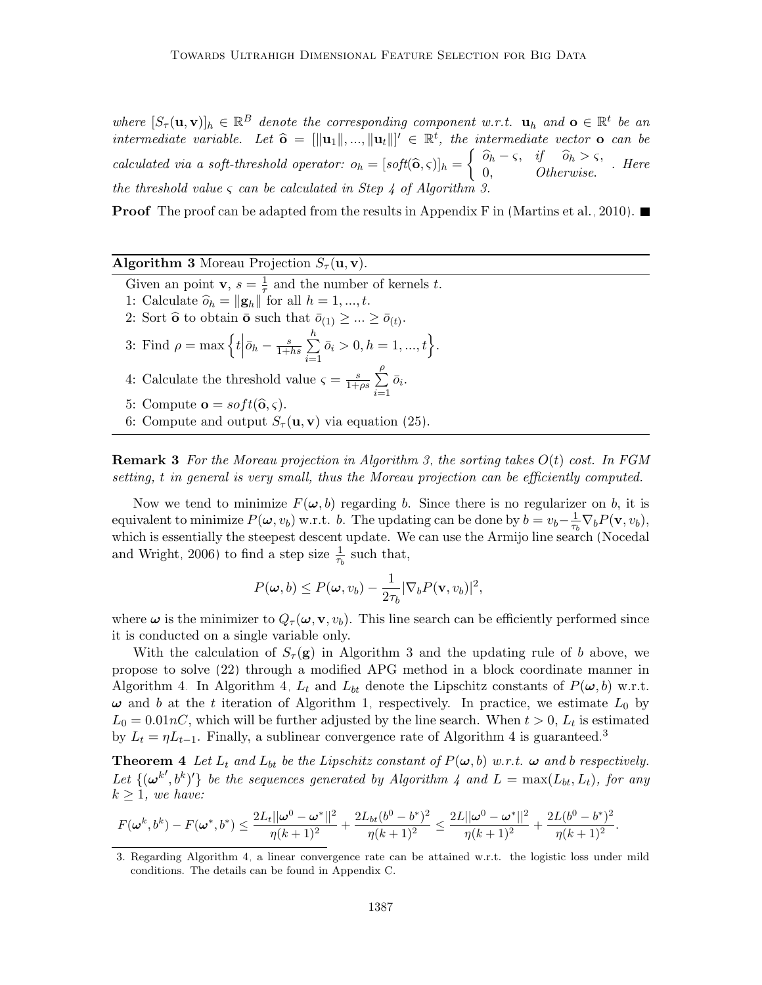where  $[S_{\tau}(\mathbf{u}, \mathbf{v})]_h \in \mathbb{R}^B$  denote the corresponding component w.r.t.  $\mathbf{u}_h$  and  $\mathbf{o} \in \mathbb{R}^t$  be an intermediate variable. Let  $\hat{\mathbf{o}} = [\|\mathbf{u}_1\|, ..., \|\mathbf{u}_t\|]' \in \mathbb{R}^t$ , the intermediate vector  $\mathbf{o}$  can be calculated via a soft-threshold operator:  $o_h = [soft(\hat{\mathbf{o}}, \varsigma)]_h = \begin{cases} \n\hat{o}_h - \varsigma, & \text{if } \hat{o}_h > \varsigma, \\ \n0, & \text{Otherwise.} \n\end{cases}$ . Here the threshold value  $\varsigma$  can be calculated in Step 4 of Algorithm [3.](#page-16-0)

**Proof** The proof can be adapted from the results in Appendix F in [\(Martins et al., 2010\)](#page-55-14).

| <b>Algorithm 3</b> Moreau Projection $S_{\tau}(\mathbf{u}, \mathbf{v})$ . |  |  |  |  |
|---------------------------------------------------------------------------|--|--|--|--|
|---------------------------------------------------------------------------|--|--|--|--|

- Given an point **v**,  $s = \frac{1}{\tau}$  $\frac{1}{\tau}$  and the number of kernels t.
- 1: Calculate  $\widehat{o}_h = ||\mathbf{g}_h||$  for all  $h = 1, ..., t$ .
- 2: Sort  $\widehat{\mathbf{o}}$  to obtain  $\bar{\mathbf{o}}$  such that  $\bar{o}_{(1)} \geq ... \geq \bar{o}_{(t)}$ .
- 3: Find  $\rho = \max \left\{ t \Big| \bar{o}_h \frac{s}{1 + \epsilon} \right\}$  $\frac{s}{1+hs} \sum_{n=1}^h$  $i=1$  $\bar{o}_i > 0, h = 1, ..., t$ . ρ
- 4: Calculate the threshold value  $\varsigma = \frac{s}{1+s}$  $\frac{s}{1+\rho s}$   $\sum$  $i=1$  $\bar{o}_i$ .
- 5: Compute  $\mathbf{o} = soft(\hat{\mathbf{o}}, \varsigma)$ .
- <span id="page-16-0"></span>6: Compute and output  $S_{\tau}(\mathbf{u}, \mathbf{v})$  via equation [\(25\)](#page-15-2).

**Remark 3** For the Moreau projection in Algorithm [3,](#page-16-0) the sorting takes  $O(t)$  cost. In FGM setting, t in general is very small, thus the Moreau projection can be efficiently computed.

Now we tend to minimize  $F(\omega, b)$  regarding b. Since there is no regularizer on b, it is equivalent to minimize  $P(\omega, v_b)$  w.r.t. b. The updating can be done by  $b = v_b - \frac{1}{\tau_b}$  $\frac{1}{\tau_b} \nabla_b P(\mathbf{v}, v_b),$ which is essentially the steepest descent update. We can use the Armijo line search [\(Nocedal](#page-56-12) [and Wright, 2006\)](#page-56-12) to find a step size  $\frac{1}{\tau_b}$  such that,

<span id="page-16-3"></span>
$$
P(\boldsymbol{\omega},b) \leq P(\boldsymbol{\omega},v_b) - \frac{1}{2\tau_b} |\nabla_b P(\mathbf{v},v_b)|^2,
$$

where  $\omega$  is the minimizer to  $Q_{\tau}(\omega, \mathbf{v}, v_b)$ . This line search can be efficiently performed since it is conducted on a single variable only.

With the calculation of  $S_\tau(\mathbf{g})$  in Algorithm [3](#page-16-0) and the updating rule of b above, we propose to solve [\(22\)](#page-14-2) through a modified APG method in a block coordinate manner in Algorithm [4.](#page-17-0) In Algorithm [4,](#page-17-0)  $L_t$  and  $L_{bt}$  denote the Lipschitz constants of  $P(\omega, b)$  w.r.t.  $\omega$  and b at the t iteration of Algorithm [1,](#page-10-0) respectively. In practice, we estimate  $L_0$  by  $L_0 = 0.01 nC$ , which will be further adjusted by the line search. When  $t > 0$ ,  $L_t$  is estimated by  $L_t = \eta L_{t-1}$ . Finally, a sublinear convergence rate of Algorithm [4](#page-17-0) is guaranteed.<sup>[3](#page-16-1)</sup>

<span id="page-16-2"></span>**Theorem 4** Let  $L_t$  and  $L_{bt}$  be the Lipschitz constant of  $P(\omega, b)$  w.r.t.  $\omega$  and b respectively. Let  $\{(\omega^{k'},b^k)'\}$  be the sequences generated by Algorithm [4](#page-17-0) and  $L = \max(L_{bt}, L_t)$ , for any  $k \geq 1$ , we have:

$$
F(\pmb\omega^k,b^k)-F(\pmb\omega^*,b^*)\leq \frac{2L_t||\pmb\omega^0-\pmb\omega^*||^2}{\eta(k+1)^2}+\frac{2L_{bt}(b^0-b^*)^2}{\eta(k+1)^2}\leq \frac{2L||\pmb\omega^0-\pmb\omega^*||^2}{\eta(k+1)^2}+\frac{2L(b^0-b^*)^2}{\eta(k+1)^2}.
$$

<span id="page-16-1"></span><sup>3.</sup> Regarding Algorithm [4,](#page-17-0) a linear convergence rate can be attained w.r.t. the logistic loss under mild conditions. The details can be found in Appendix C.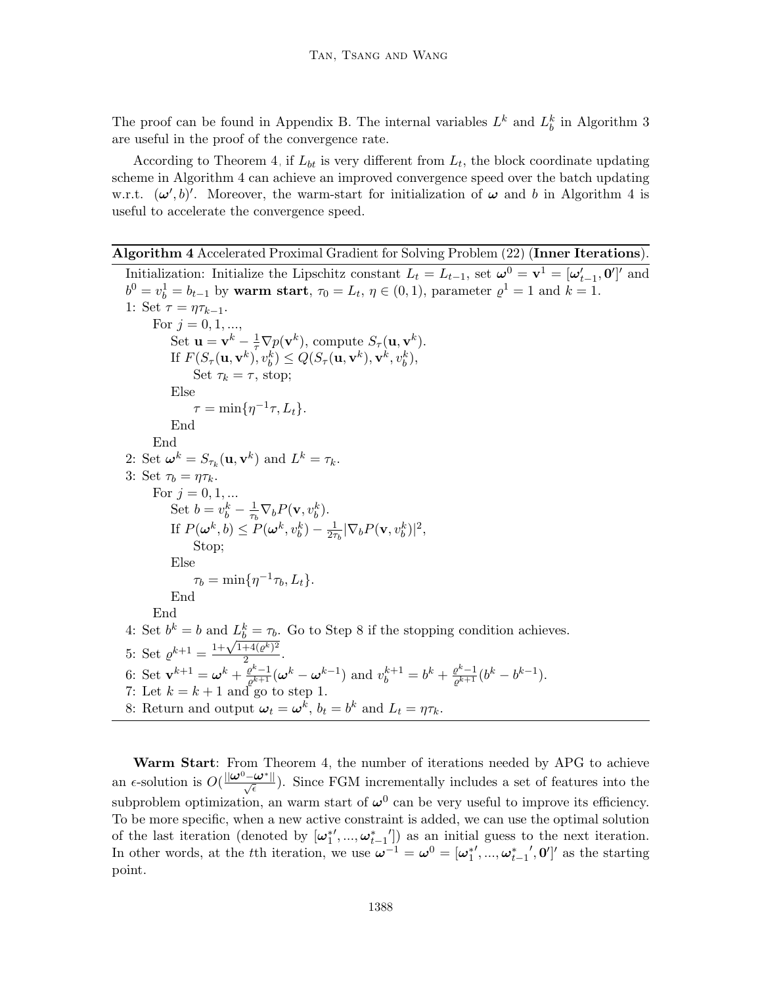The proof can be found in Appendix B. The internal variables  $L^k$  and  $L^k_b$  in Algorithm [3](#page-16-0) are useful in the proof of the convergence rate.

According to Theorem [4,](#page-16-2) if  $L_{bt}$  is very different from  $L_t$ , the block coordinate updating scheme in Algorithm [4](#page-17-0) can achieve an improved convergence speed over the batch updating w.r.t.  $(\omega', b)'$ . Moreover, the warm-start for initialization of  $\omega$  and b in Algorithm [4](#page-17-0) is useful to accelerate the convergence speed.

```
Algorithm 4 Accelerated Proximal Gradient for Solving Problem (22) (Inner Iterations).
```
Initialization: Initialize the Lipschitz constant  $L_t = L_{t-1}$ , set  $\boldsymbol{\omega}^0 = \mathbf{v}^1 = [\boldsymbol{\omega}'_{t-1}, \mathbf{0}']'$  and  $b^{0} = v_{b}^{1} = b_{t-1}$  by warm start,  $\tau_{0} = L_{t}$ ,  $\eta \in (0, 1)$ , parameter  $\varrho^{1} = 1$  and  $k = 1$ . 1: Set  $\tau = \eta \tau_{k-1}$ . For  $i = 0, 1, ...$ Set  $\mathbf{u} = \mathbf{v}^k - \frac{1}{\tau} \nabla p(\mathbf{v}^k)$ , compute  $S_{\tau}(\mathbf{u}, \mathbf{v}^k)$ . If  $F(S_\tau(\mathbf{u}, \mathbf{v}^k), v_b^k) \leq Q(S_\tau(\mathbf{u}, \mathbf{v}^k), \mathbf{v}^k, v_b^k),$ Set  $\tau_k = \tau$ , stop; Else  $\tau = \min\{\eta^{-1}\tau, L_t\}.$ End End 2: Set  $\boldsymbol{\omega}^k = S_{\tau_k}(\mathbf{u}, \mathbf{v}^k)$  and  $L^k = \tau_k$ . 3: Set  $\tau_b = \eta \tau_k$ . For  $j = 0, 1, ...$ Set  $b=v_b^k-\frac{1}{\tau_h}$  $\frac{1}{\tau_b} \nabla_b P(\mathbf{v}, v_b^k)$ . If  $P(\boldsymbol{\omega}^k, b) \le P(\boldsymbol{\omega}^k, v_b^k) - \frac{1}{2\tau}$  $\frac{1}{2\tau_b} |\nabla_b P(\mathbf{v}, v_b^k)|^2,$ Stop; Else  $\tau_b = \min\{\eta^{-1}\tau_b, L_t\}.$ End End 4: Set  $b^k = b$  and  $L_b^k = \tau_b$ . Go to Step 8 if the stopping condition achieves. 4: Set  $\varrho^{k+1} = \frac{1 + \sqrt{1 + 4(\varrho^k)^2}}{2}$  $\frac{1}{2}$ . 6: Set  $\mathbf{v}^{k+1} = \boldsymbol{\omega}^k + \frac{\varrho^k - 1}{\varrho^k + 1}$  $\frac{\varrho^{k}-1}{\varrho^{k+1}}(\boldsymbol{\omega}^{k}-\boldsymbol{\omega}^{k-1})$  and  $v_{b}^{k+1}=b^{k}+\frac{\varrho^{k}-1}{\varrho^{k+1}}$  $\frac{\varrho^{\kappa}-1}{\varrho^{k+1}}(b^{k}-b^{k-1}).$ 7: Let  $k = k + 1$  and go to step 1. 8: Return and output  $\boldsymbol{\omega}_t = \boldsymbol{\omega}^k$ ,  $b_t = b^k$  and  $L_t = \eta \tau_k$ .

<span id="page-17-0"></span>Warm Start: From Theorem [4,](#page-16-2) the number of iterations needed by APG to achieve an  $\epsilon$ -solution is  $O(\frac{||\omega^0 - \omega^*||}{\sqrt{\epsilon}})$ . Since FGM incrementally includes a set of features into the subproblem optimization, an warm start of  $\omega^0$  can be very useful to improve its efficiency. To be more specific, when a new active constraint is added, we can use the optimal solution of the last iteration (denoted by  $[\omega_1^*,...,\omega_{t-1}^*']$ ) as an initial guess to the next iteration. In other words, at the tth iteration, we use  $\boldsymbol{\omega}^{-1} = \boldsymbol{\omega}^0 = [\boldsymbol{\omega}_1^{*'} , ..., \boldsymbol{\omega}_{t-1}^{*'} , \mathbf{0}']'$  as the starting point.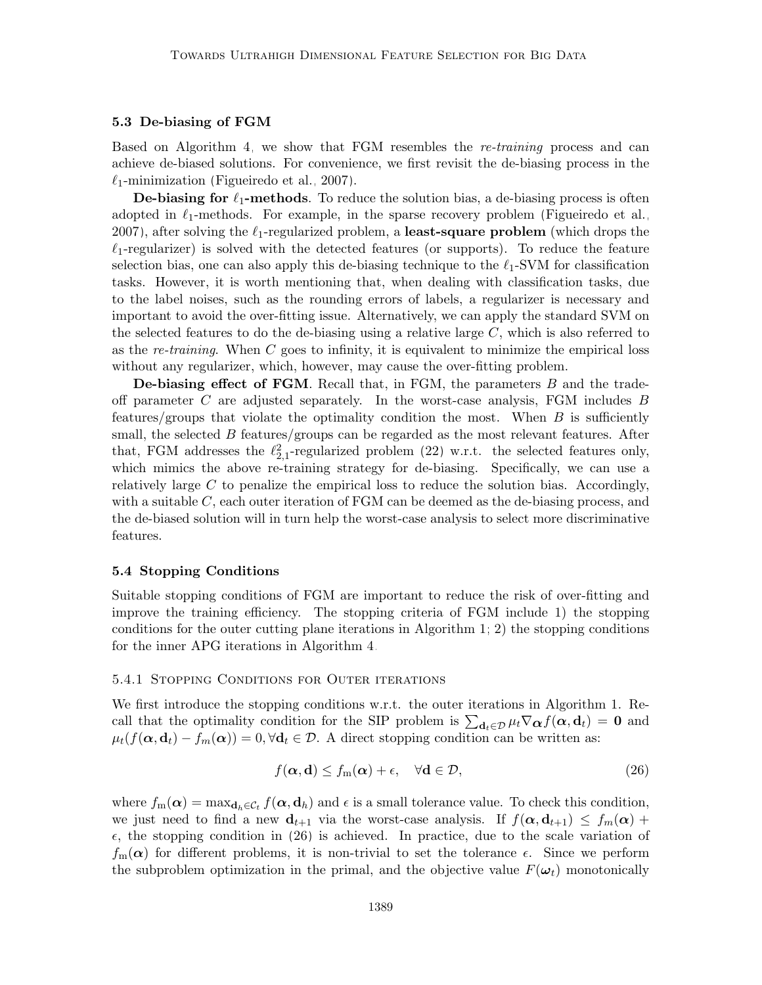#### 5.3 De-biasing of FGM

Based on Algorithm [4,](#page-17-0) we show that FGM resembles the re-training process and can achieve de-biased solutions. For convenience, we first revisit the de-biasing process in the  $\ell_1$ -minimization [\(Figueiredo et al., 2007\)](#page-54-6).

**De-biasing for**  $\ell_1$ **-methods**. To reduce the solution bias, a de-biasing process is often adopted in  $\ell_1$ -methods. For example, in the sparse recovery problem [\(Figueiredo et al.,](#page-54-6) [2007\)](#page-54-6), after solving the  $\ell_1$ -regularized problem, a least-square problem (which drops the  $\ell_1$ -regularizer) is solved with the detected features (or supports). To reduce the feature selection bias, one can also apply this de-biasing technique to the  $\ell_1$ -SVM for classification tasks. However, it is worth mentioning that, when dealing with classification tasks, due to the label noises, such as the rounding errors of labels, a regularizer is necessary and important to avoid the over-fitting issue. Alternatively, we can apply the standard SVM on the selected features to do the de-biasing using a relative large  $C$ , which is also referred to as the re-training. When  $C$  goes to infinity, it is equivalent to minimize the empirical loss without any regularizer, which, however, may cause the over-fitting problem.

De-biasing effect of FGM. Recall that, in FGM, the parameters B and the tradeoff parameter C are adjusted separately. In the worst-case analysis, FGM includes  $B$ features/groups that violate the optimality condition the most. When  $B$  is sufficiently small, the selected  $B$  features/groups can be regarded as the most relevant features. After that, FGM addresses the  $\ell_{2,1}^2$ -regularized problem [\(22\)](#page-14-2) w.r.t. the selected features only, which mimics the above re-training strategy for de-biasing. Specifically, we can use a relatively large  $C$  to penalize the empirical loss to reduce the solution bias. Accordingly, with a suitable  $C$ , each outer iteration of  $FGM$  can be deemed as the de-biasing process, and the de-biased solution will in turn help the worst-case analysis to select more discriminative features.

#### 5.4 Stopping Conditions

Suitable stopping conditions of FGM are important to reduce the risk of over-fitting and improve the training efficiency. The stopping criteria of FGM include 1) the stopping conditions for the outer cutting plane iterations in Algorithm [1;](#page-10-0) 2) the stopping conditions for the inner APG iterations in Algorithm [4.](#page-17-0)

#### 5.4.1 Stopping Conditions for Outer iterations

We first introduce the stopping conditions w.r.t. the outer iterations in Algorithm 1. Recall that the optimality condition for the SIP problem is  $\sum_{d_t\in\mathcal{D}}\mu_t\nabla_{\alpha}f(\alpha, d_t) = 0$  and  $\mu_t(f(\alpha, \mathbf{d}_t) - f_m(\alpha)) = 0, \forall \mathbf{d}_t \in \mathcal{D}$ . A direct stopping condition can be written as:

$$
f(\alpha, \mathbf{d}) \le f_m(\alpha) + \epsilon, \quad \forall \mathbf{d} \in \mathcal{D}, \tag{26}
$$

where  $f_m(\boldsymbol{\alpha}) = \max_{\mathbf{d}_h \in \mathcal{C}_t} f(\boldsymbol{\alpha}, \mathbf{d}_h)$  and  $\epsilon$  is a small tolerance value. To check this condition, we just need to find a new  $\mathbf{d}_{t+1}$  via the worst-case analysis. If  $f(\alpha, \mathbf{d}_{t+1}) \leq f_m(\alpha) +$  $\epsilon$ , the stopping condition in [\(26\)](#page-16-3) is achieved. In practice, due to the scale variation of  $f_m(\alpha)$  for different problems, it is non-trivial to set the tolerance  $\epsilon$ . Since we perform the subproblem optimization in the primal, and the objective value  $F(\omega_t)$  monotonically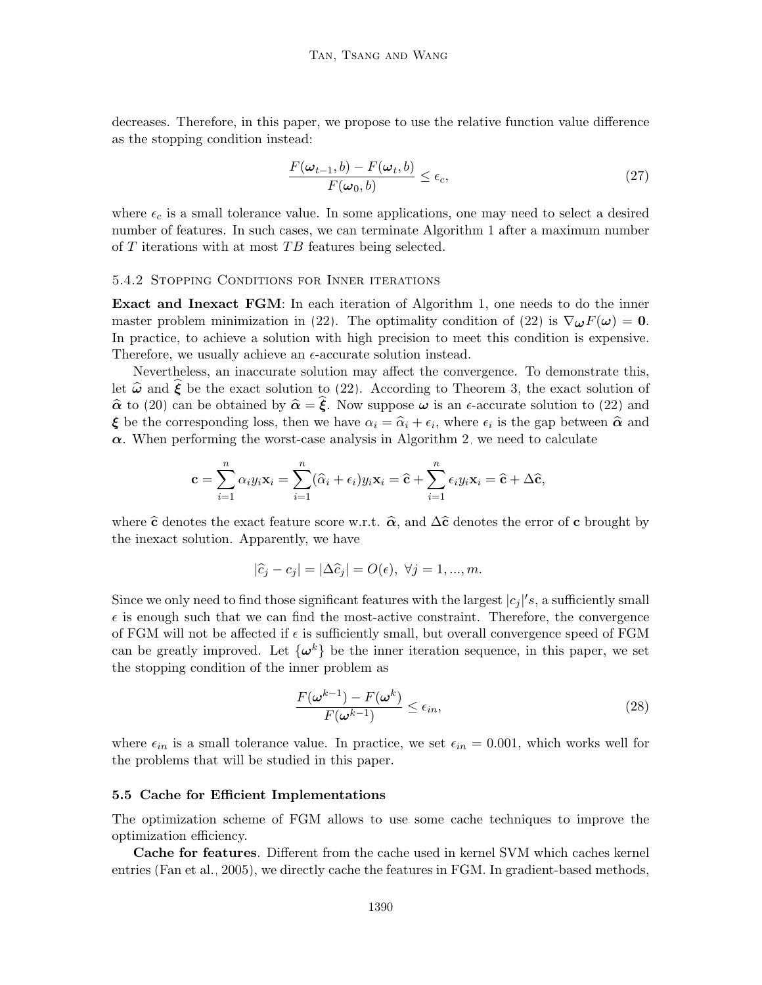decreases. Therefore, in this paper, we propose to use the relative function value difference as the stopping condition instead:

<span id="page-19-0"></span>
$$
\frac{F(\omega_{t-1},b) - F(\omega_t, b)}{F(\omega_0, b)} \le \epsilon_c,
$$
\n(27)

where  $\epsilon_c$  is a small tolerance value. In some applications, one may need to select a desired number of features. In such cases, we can terminate Algorithm 1 after a maximum number of  $T$  iterations with at most  $TB$  features being selected.

### 5.4.2 Stopping Conditions for Inner iterations

Exact and Inexact FGM: In each iteration of Algorithm 1, one needs to do the inner master problem minimization in [\(22\)](#page-14-2). The optimality condition of (22) is  $\nabla_{\boldsymbol{\omega}} F(\boldsymbol{\omega}) = \mathbf{0}$ . In practice, to achieve a solution with high precision to meet this condition is expensive. Therefore, we usually achieve an  $\epsilon$ -accurate solution instead.

Nevertheless, an inaccurate solution may affect the convergence. To demonstrate this, let  $\hat{\omega}$  and  $\hat{\xi}$  be the exact solution to [\(22\)](#page-14-2). According to Theorem [3,](#page-14-1) the exact solution of  $\hat{\alpha}$  to [\(20\)](#page-13-2) can be obtained by  $\hat{\alpha} = \hat{\xi}$ . Now suppose  $\omega$  is an  $\epsilon$ -accurate solution to [\(22\)](#page-14-2) and  $\xi$  be the corresponding loss, then we have  $\alpha_i = \hat{\alpha}_i + \epsilon_i$ , where  $\epsilon_i$  is the gap between  $\hat{\alpha}$  and  $\alpha$ . When performing the worst assessment is Algorithm 2, we need to selected  $\alpha$ . When performing the worst-case analysis in Algorithm [2,](#page-13-1) we need to calculate

<span id="page-19-1"></span>
$$
\mathbf{c} = \sum_{i=1}^n \alpha_i y_i \mathbf{x}_i = \sum_{i=1}^n (\widehat{\alpha}_i + \epsilon_i) y_i \mathbf{x}_i = \widehat{\mathbf{c}} + \sum_{i=1}^n \epsilon_i y_i \mathbf{x}_i = \widehat{\mathbf{c}} + \Delta \widehat{\mathbf{c}},
$$

where  $\hat{\mathbf{c}}$  denotes the exact feature score w.r.t.  $\hat{\alpha}$ , and  $\Delta\hat{\mathbf{c}}$  denotes the error of c brought by the inexact solution. Apparently, we have

$$
|\widehat{c}_j - c_j| = |\Delta \widehat{c}_j| = O(\epsilon), \ \forall j = 1, ..., m.
$$

Since we only need to find those significant features with the largest  $|c_j|/s$ , a sufficiently small  $\epsilon$  is enough such that we can find the most-active constraint. Therefore, the convergence of FGM will not be affected if  $\epsilon$  is sufficiently small, but overall convergence speed of FGM can be greatly improved. Let  $\{\boldsymbol{\omega}^k\}$  be the inner iteration sequence, in this paper, we set the stopping condition of the inner problem as

$$
\frac{F(\boldsymbol{\omega}^{k-1}) - F(\boldsymbol{\omega}^k)}{F(\boldsymbol{\omega}^{k-1})} \le \epsilon_{in},\tag{28}
$$

where  $\epsilon_{in}$  is a small tolerance value. In practice, we set  $\epsilon_{in} = 0.001$ , which works well for the problems that will be studied in this paper.

#### 5.5 Cache for Efficient Implementations

The optimization scheme of FGM allows to use some cache techniques to improve the optimization efficiency.

Cache for features. Different from the cache used in kernel SVM which caches kernel entries [\(Fan et al., 2005\)](#page-54-12), we directly cache the features in FGM. In gradient-based methods,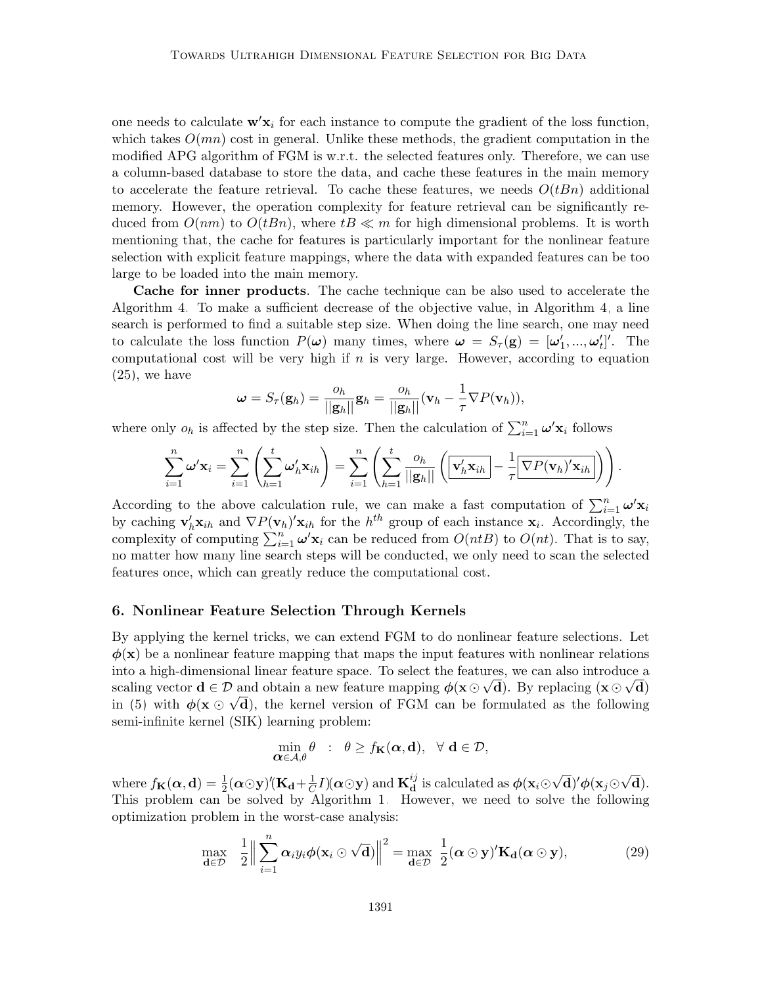one needs to calculate  $\mathbf{w}'\mathbf{x}_i$  for each instance to compute the gradient of the loss function, which takes  $O(mn)$  cost in general. Unlike these methods, the gradient computation in the modified APG algorithm of FGM is w.r.t. the selected features only. Therefore, we can use a column-based database to store the data, and cache these features in the main memory to accelerate the feature retrieval. To cache these features, we needs  $O(tBn)$  additional memory. However, the operation complexity for feature retrieval can be significantly reduced from  $O(nm)$  to  $O(tBn)$ , where  $tB \ll m$  for high dimensional problems. It is worth mentioning that, the cache for features is particularly important for the nonlinear feature selection with explicit feature mappings, where the data with expanded features can be too large to be loaded into the main memory.

Cache for inner products. The cache technique can be also used to accelerate the Algorithm [4.](#page-17-0) To make a sufficient decrease of the objective value, in Algorithm [4,](#page-17-0) a line search is performed to find a suitable step size. When doing the line search, one may need to calculate the loss function  $P(\omega)$  many times, where  $\omega = S_{\tau}(\mathbf{g}) = [\omega'_1, ..., \omega'_t]'$ . The computational cost will be very high if  $n$  is very large. However, according to equation [\(25\)](#page-15-2), we have

$$
\boldsymbol{\omega} = S_{\tau}(\mathbf{g}_h) = \frac{o_h}{\|\mathbf{g}_h\|} \mathbf{g}_h = \frac{o_h}{\|\mathbf{g}_h\|} (\mathbf{v}_h - \frac{1}{\tau} \nabla P(\mathbf{v}_h)),
$$

where only  $o_h$  is affected by the step size. Then the calculation of  $\sum_{i=1}^n \omega' \mathbf{x}_i$  follows

$$
\sum_{i=1}^{n} \omega' \mathbf{x}_i = \sum_{i=1}^{n} \left( \sum_{h=1}^{t} \omega'_h \mathbf{x}_{ih} \right) = \sum_{i=1}^{n} \left( \sum_{h=1}^{t} \frac{o_h}{||\mathbf{g}_h||} \left( \overline{\mathbf{v}'_h \mathbf{x}_{ih}} - \frac{1}{\tau} \overline{\nabla P(\mathbf{v}_h)' \mathbf{x}_{ih}} \right) \right)
$$

.

According to the above calculation rule, we can make a fast computation of  $\sum_{i=1}^{n} \omega' \mathbf{x}_i$ by caching  $\mathbf{v}'_h \mathbf{x}_{ih}$  and  $\nabla P(\mathbf{v}_h)' \mathbf{x}_{ih}$  for the  $h^{th}$  group of each instance  $\mathbf{x}_i$ . Accordingly, the complexity of computing  $\sum_{i=1}^{n} \omega' \mathbf{x}_i$  can be reduced from  $O(ntB)$  to  $O(nt)$ . That is to say, no matter how many line search steps will be conducted, we only need to scan the selected features once, which can greatly reduce the computational cost.

#### <span id="page-20-0"></span>6. Nonlinear Feature Selection Through Kernels

By applying the kernel tricks, we can extend FGM to do nonlinear feature selections. Let  $\phi(\mathbf{x})$  be a nonlinear feature mapping that maps the input features with nonlinear relations into a high-dimensional linear feature space. To select the features, we can also introduce a scaling vector  $\mathbf{d} \in \mathcal{D}$  and obtain a new feature mapping  $\phi(\mathbf{x} \odot \sqrt{\mathbf{d}})$ . By replacing  $(\mathbf{x} \odot \sqrt{\mathbf{d}})$ in [\(5\)](#page-5-1) with  $\phi(\mathbf{x} \odot \sqrt{\mathbf{d}})$ , the kernel version of FGM can be formulated as the following semi-infinite kernel (SIK) learning problem:

<span id="page-20-1"></span>
$$
\min_{\mathbf{\alpha}\in\mathcal{A},\theta}\theta\ :\ \theta\geq f_{\mathbf{K}}(\mathbf{\alpha},\mathbf{d}),\ \forall\ \mathbf{d}\in\mathcal{D},
$$

where  $f_{\mathbf{K}}(\boldsymbol{\alpha},\mathbf{d})=\frac{1}{2}(\boldsymbol{\alpha}\odot\mathbf{y})'(\mathbf{K}_{\mathbf{d}}+\frac{1}{C}% )'(\mathbf{X}-\mathbf{y})'(\mathbf{Q})$  $\frac{1}{C} I)(\boldsymbol{\alpha}\odot \mathbf{y})$  and  $\mathbf{K}_{\mathbf{d}}^{ij}$  $\mathbf{d}^{ij}$  is calculated as  $\boldsymbol{\phi}(\mathbf{x}_i\odot)$ √  $\overline{\mathrm{d}})' \phi(\mathrm{x}_j{\odot}\sqrt{\mathrm{d}}% )$ d). This problem can be solved by Algorithm [1.](#page-10-0) However, we need to solve the following optimization problem in the worst-case analysis:

$$
\max_{\mathbf{d}\in\mathcal{D}} \quad \frac{1}{2} \Big\| \sum_{i=1}^n \alpha_i y_i \phi(\mathbf{x}_i \odot \sqrt{\mathbf{d}}) \Big\|^2 = \max_{\mathbf{d}\in\mathcal{D}} \frac{1}{2} (\boldsymbol{\alpha} \odot \mathbf{y})' \mathbf{K}_{\mathbf{d}} (\boldsymbol{\alpha} \odot \mathbf{y}), \tag{29}
$$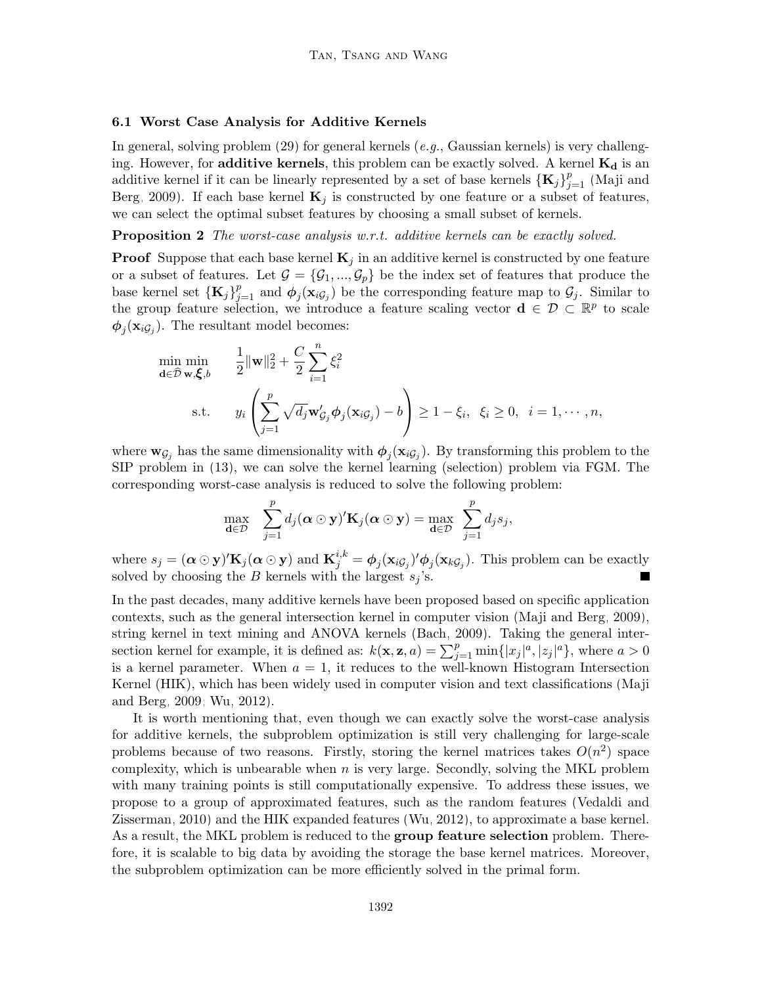#### 6.1 Worst Case Analysis for Additive Kernels

In general, solving problem  $(29)$  for general kernels  $(e.g., Gaussian \text{~kernels})$  is very challenging. However, for additive kernels, this problem can be exactly solved. A kernel  $K_d$  is an additive kernel if it can be linearly represented by a set of base kernels  $\{K_j\}_{j=1}^p$  [\(Maji and](#page-55-2) [Berg, 2009\)](#page-55-2). If each base kernel  $\mathbf{K}_j$  is constructed by one feature or a subset of features, we can select the optimal subset features by choosing a small subset of kernels.

**Proposition 2** The worst-case analysis w.r.t. additive kernels can be exactly solved.

**Proof** Suppose that each base kernel  $\mathbf{K}_i$  in an additive kernel is constructed by one feature or a subset of features. Let  $\mathcal{G} = {\mathcal{G}_1, ..., \mathcal{G}_p}$  be the index set of features that produce the base kernel set  $\{K_j\}_{j=1}^p$  and  $\phi_j(\mathbf{x}_{i\mathcal{G}_j})$  be the corresponding feature map to  $\mathcal{G}_j$ . Similar to the group feature selection, we introduce a feature scaling vector  $\mathbf{d} \in \mathcal{D} \subset \mathbb{R}^p$  to scale  $\phi_j(\mathbf{x}_{i\mathcal{G}_j})$ . The resultant model becomes:

$$
\min_{\mathbf{d}\in\widehat{\mathcal{D}}\mathbf{w},\boldsymbol{\xi},b} \quad \frac{1}{2} \|\mathbf{w}\|_2^2 + \frac{C}{2} \sum_{i=1}^n \xi_i^2
$$
\n
$$
\text{s.t.} \quad y_i \left( \sum_{j=1}^p \sqrt{d_j} \mathbf{w}'_{\mathcal{G}_j} \phi_j(\mathbf{x}_{i\mathcal{G}_j}) - b \right) \ge 1 - \xi_i, \ \xi_i \ge 0, \ i = 1,\cdots,n,
$$

where  $\mathbf{w}_{\mathcal{G}_j}$  has the same dimensionality with  $\phi_j(\mathbf{x}_{i\mathcal{G}_j})$ . By transforming this problem to the SIP problem in [\(13\)](#page-9-1), we can solve the kernel learning (selection) problem via FGM. The corresponding worst-case analysis is reduced to solve the following problem:

$$
\max_{\mathbf{d}\in\mathcal{D}}\quad \sum_{j=1}^p d_j(\mathbf{\alpha}\odot\mathbf{y})'\mathbf{K}_j(\mathbf{\alpha}\odot\mathbf{y}) = \max_{\mathbf{d}\in\mathcal{D}}\ \sum_{j=1}^p d_j s_j,
$$

where  $s_j = (\alpha \odot \mathbf{y})' \mathbf{K}_j (\alpha \odot \mathbf{y})$  and  $\mathbf{K}_j^{i,k} = \phi_j (\mathbf{x}_{iG_j})' \phi_j (\mathbf{x}_{kG_j})$ . This problem can be exactly solved by choosing the B kernels with the largest  $s_j$ 's.

In the past decades, many additive kernels have been proposed based on specific application contexts, such as the general intersection kernel in computer vision [\(Maji and Berg, 2009\)](#page-55-2), string kernel in text mining and ANOVA kernels [\(Bach, 2009\)](#page-53-8). Taking the general intersection kernel for example, it is defined as:  $k(\mathbf{x}, \mathbf{z}, a) = \sum_{j=1}^{p} \min\{|x_j|^a, |z_j|^a\}$ , where  $a > 0$ is a kernel parameter. When  $a = 1$ , it reduces to the well-known Histogram Intersection Kernel (HIK), which has been widely used in computer vision and text classifications [\(Maji](#page-55-2) [and Berg, 2009;](#page-55-2) [Wu, 2012\)](#page-57-1).

It is worth mentioning that, even though we can exactly solve the worst-case analysis for additive kernels, the subproblem optimization is still very challenging for large-scale problems because of two reasons. Firstly, storing the kernel matrices takes  $O(n^2)$  space complexity, which is unbearable when  $n$  is very large. Secondly, solving the MKL problem with many training points is still computationally expensive. To address these issues, we propose to a group of approximated features, such as the random features [\(Vedaldi and](#page-57-12) [Zisserman, 2010\)](#page-57-12) and the HIK expanded features [\(Wu, 2012\)](#page-57-1), to approximate a base kernel. As a result, the MKL problem is reduced to the **group feature selection** problem. Therefore, it is scalable to big data by avoiding the storage the base kernel matrices. Moreover, the subproblem optimization can be more efficiently solved in the primal form.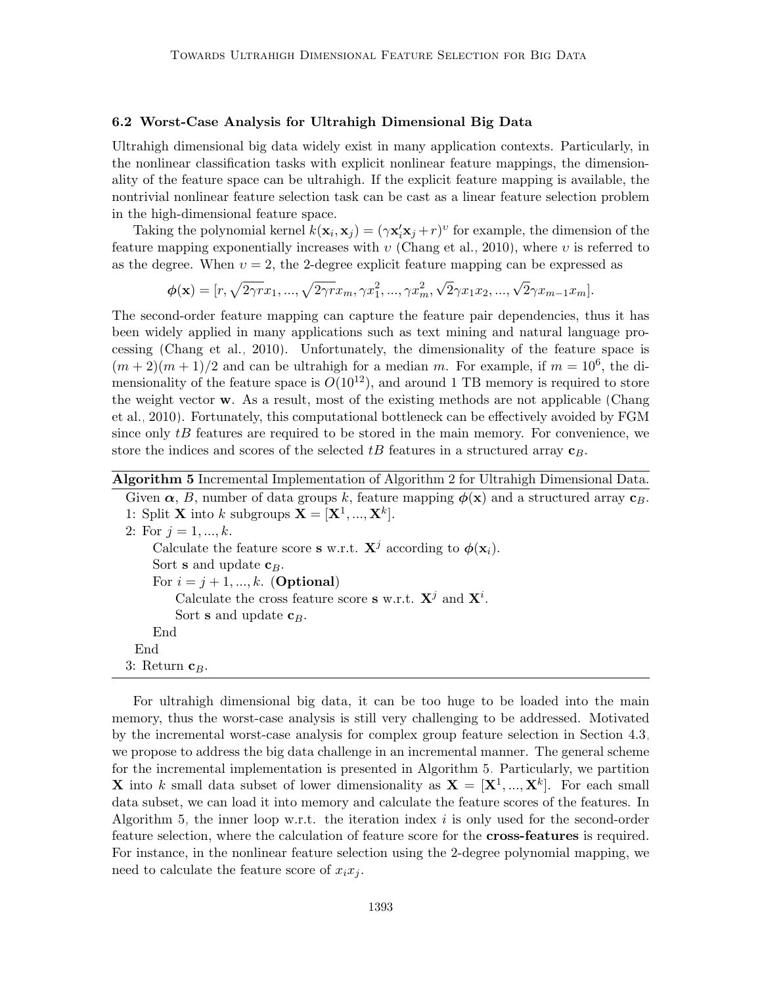#### <span id="page-22-1"></span>6.2 Worst-Case Analysis for Ultrahigh Dimensional Big Data

Ultrahigh dimensional big data widely exist in many application contexts. Particularly, in the nonlinear classification tasks with explicit nonlinear feature mappings, the dimensionality of the feature space can be ultrahigh. If the explicit feature mapping is available, the nontrivial nonlinear feature selection task can be cast as a linear feature selection problem in the high-dimensional feature space.

Taking the polynomial kernel  $k(\mathbf{x}_i, \mathbf{x}_j) = (\gamma \mathbf{x}_i' \mathbf{x}_j + r)^v$  for example, the dimension of the feature mapping exponentially increases with  $v$  [\(Chang et al., 2010\)](#page-53-3), where v is referred to as the degree. When  $v = 2$ , the 2-degree explicit feature mapping can be expressed as

$$
\phi(\mathbf{x}) = [r, \sqrt{2\gamma r}x_1, ..., \sqrt{2\gamma r}x_m, \gamma x_1^2, ..., \gamma x_m^2, \sqrt{2}\gamma x_1 x_2, ..., \sqrt{2}\gamma x_{m-1} x_m].
$$

The second-order feature mapping can capture the feature pair dependencies, thus it has been widely applied in many applications such as text mining and natural language processing [\(Chang et al., 2010\)](#page-53-3). Unfortunately, the dimensionality of the feature space is  $(m+2)(m+1)/2$  and can be ultrahigh for a median m. For example, if  $m = 10^6$ , the dimensionality of the feature space is  $O(10^{12})$ , and around 1 TB memory is required to store the weight vector w. As a result, most of the existing methods are not applicable [\(Chang](#page-53-3) [et al., 2010\)](#page-53-3). Fortunately, this computational bottleneck can be effectively avoided by FGM since only  $tB$  features are required to be stored in the main memory. For convenience, we store the indices and scores of the selected  $tB$  features in a structured array  $\mathbf{c}_B$ .

## Algorithm 5 Incremental Implementation of Algorithm 2 for Ultrahigh Dimensional Data.

<span id="page-22-0"></span>Given  $\alpha$ , B, number of data groups k, feature mapping  $\phi(\mathbf{x})$  and a structured array  $\mathbf{c}_B$ . 1: Split **X** into k subgroups  $\mathbf{X} = [\mathbf{X}^1, ..., \mathbf{X}^k].$ 2: For  $j = 1, ..., k$ . Calculate the feature score s w.r.t.  $X^j$  according to  $\phi(\mathbf{x}_i)$ . Sort s and update  $c_B$ . For  $i = j + 1, ..., k$ . (Optional) Calculate the cross feature score **s** w.r.t.  $X^j$  and  $X^i$ .

Sort **s** and update  $c_B$ .

#### End End

3: Return  $c_B$ .

For ultrahigh dimensional big data, it can be too huge to be loaded into the main memory, thus the worst-case analysis is still very challenging to be addressed. Motivated by the incremental worst-case analysis for complex group feature selection in Section [4.3,](#page-12-3) we propose to address the big data challenge in an incremental manner. The general scheme for the incremental implementation is presented in Algorithm [5.](#page-22-0) Particularly, we partition **X** into k small data subset of lower dimensionality as  $X = [X^1, ..., X^k]$ . For each small data subset, we can load it into memory and calculate the feature scores of the features. In Algorithm [5,](#page-22-0) the inner loop w.r.t. the iteration index  $i$  is only used for the second-order feature selection, where the calculation of feature score for the cross-features is required. For instance, in the nonlinear feature selection using the 2-degree polynomial mapping, we need to calculate the feature score of  $x_i x_i$ .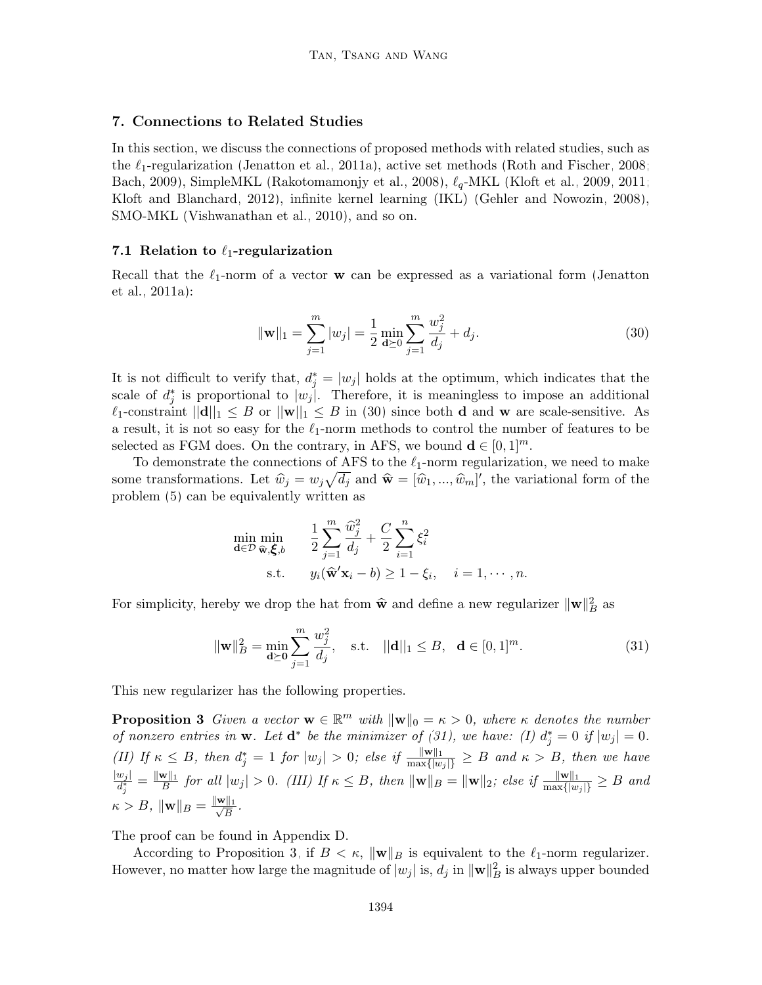#### <span id="page-23-0"></span>7. Connections to Related Studies

In this section, we discuss the connections of proposed methods with related studies, such as the  $\ell_1$ -regularization [\(Jenatton et al., 2011a\)](#page-54-13), active set methods [\(Roth and Fischer, 2008;](#page-56-7) [Bach, 2009\)](#page-53-8), SimpleMKL [\(Rakotomamonjy et al., 2008\)](#page-56-5),  $\ell_q$ -MKL [\(Kloft et al., 2009,](#page-55-15) [2011;](#page-55-16) [Kloft and Blanchard, 2012\)](#page-55-17), infinite kernel learning (IKL) [\(Gehler and Nowozin, 2008\)](#page-54-14), SMO-MKL [\(Vishwanathan et al., 2010\)](#page-57-8), and so on.

#### 7.1 Relation to  $\ell_1$ -regularization

Recall that the  $\ell_1$ -norm of a vector w can be expressed as a variational form [\(Jenatton](#page-54-13) [et al., 2011a\)](#page-54-13):

<span id="page-23-1"></span>
$$
\|\mathbf{w}\|_{1} = \sum_{j=1}^{m} |w_{j}| = \frac{1}{2} \min_{\mathbf{d} \succeq 0} \sum_{j=1}^{m} \frac{w_{j}^{2}}{d_{j}} + d_{j}.
$$
 (30)

It is not difficult to verify that,  $d_j^* = |w_j|$  holds at the optimum, which indicates that the scale of  $d_j^*$  is proportional to  $|w_j|$ . Therefore, it is meaningless to impose an additional  $\ell_1$ -constraint  $||\mathbf{d}||_1 \leq B$  or  $||\mathbf{w}||_1 \leq B$  in [\(30\)](#page-23-1) since both **d** and **w** are scale-sensitive. As a result, it is not so easy for the  $\ell_1$ -norm methods to control the number of features to be selected as FGM does. On the contrary, in AFS, we bound  $\mathbf{d} \in [0,1]^m$ .

To demonstrate the connections of AFS to the  $\ell_1$ -norm regularization, we need to make some transformations. Let  $\hat{w}_j = w_j \sqrt{d_j}$  and  $\hat{\mathbf{w}} = [\hat{w}_1, ..., \hat{w}_m]'$ , the variational form of the problem (5) can be conjuminately written as problem [\(5\)](#page-5-1) can be equivalently written as

<span id="page-23-2"></span>
$$
\min_{\mathbf{d}\in\mathcal{D}} \min_{\widehat{\mathbf{w}}, \widehat{\boldsymbol{\xi}}, b} \qquad \frac{1}{2} \sum_{j=1}^{m} \frac{\widehat{w}_j^2}{d_j} + \frac{C}{2} \sum_{i=1}^{n} \xi_i^2
$$
\n
$$
\text{s.t.} \qquad y_i(\widehat{\mathbf{w}}'\mathbf{x}_i - b) \ge 1 - \xi_i, \quad i = 1, \cdots, n.
$$

For simplicity, hereby we drop the hat from  $\hat{\mathbf{w}}$  and define a new regularizer  $\|\mathbf{w}\|_B^2$  as

<span id="page-23-3"></span>
$$
\|\mathbf{w}\|_{B}^{2} = \min_{\mathbf{d}\succeq\mathbf{0}} \sum_{j=1}^{m} \frac{w_{j}^{2}}{d_{j}}, \quad \text{s.t.} \quad ||\mathbf{d}||_{1} \leq B, \quad \mathbf{d} \in [0, 1]^{m}.
$$
 (31)

This new regularizer has the following properties.

**Proposition 3** Given a vector  $\mathbf{w} \in \mathbb{R}^m$  with  $\|\mathbf{w}\|_0 = \kappa > 0$ , where  $\kappa$  denotes the number of nonzero entries in **w**. Let  $\mathbf{d}^*$  be the minimizer of [\(31\)](#page-23-2), we have: (I)  $d_j^* = 0$  if  $|w_j| = 0$ . (II) If  $\kappa \leq B$ , then  $d_j^* = 1$  for  $|w_j| > 0$ ; else if  $\frac{\|\mathbf{w}\|_1}{\max\{|w_j|\}} \geq B$  and  $\kappa > B$ , then we have  $|w_j|$  $\frac{w_j|}{d_j^*} = \frac{\|\mathbf{w}\|_1}{B}$  $\frac{\|\mathbf{x}\|_1}{B}$  for all  $|w_j| > 0$ . (III) If  $\kappa \leq B$ , then  $\|\mathbf{w}\|_B = \|\mathbf{w}\|_2$ ; else if  $\frac{\|\mathbf{w}\|_1}{\max\{|w_j|\}} \geq B$  and  $\kappa > B, \, \|\mathbf{w}\|_B = \frac{\|\mathbf{w}\|_1}{\sqrt{B}}$  $\frac{\frac{11}{11}}{B}$  .

The proof can be found in Appendix D.

According to Proposition [3,](#page-23-3) if  $B < \kappa$ ,  $\|\mathbf{w}\|_B$  is equivalent to the  $\ell_1$ -norm regularizer. However, no matter how large the magnitude of  $|w_j|$  is,  $d_j$  in  $\|\mathbf{w}\|_B^2$  is always upper bounded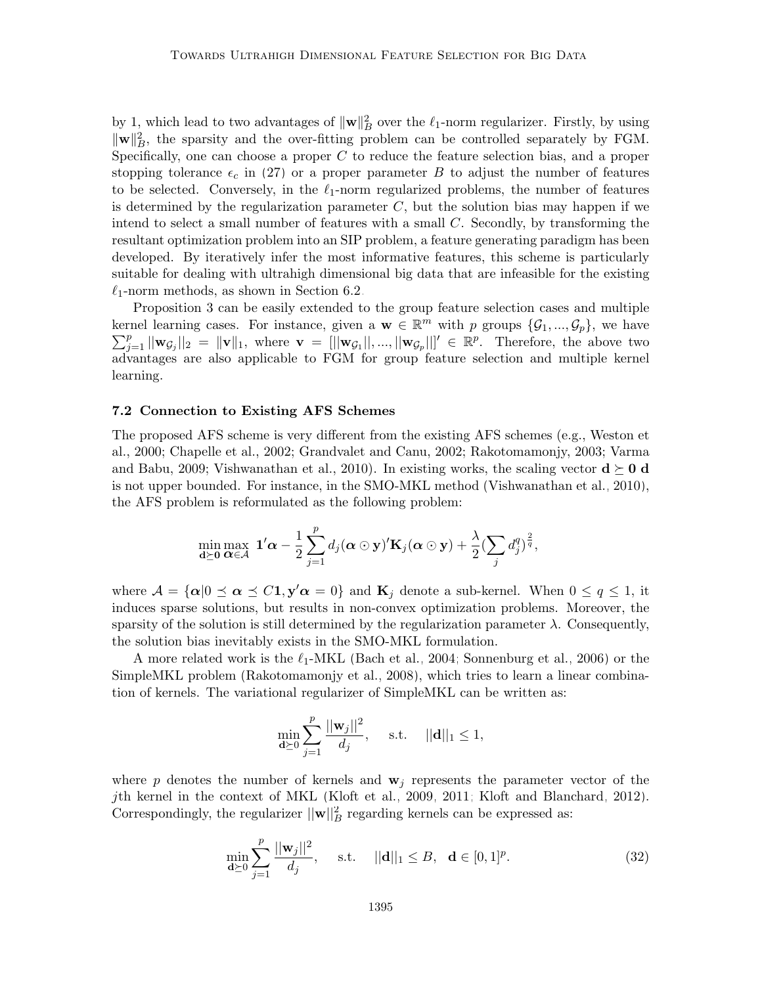by 1, which lead to two advantages of  $\|\mathbf{w}\|_B^2$  over the  $\ell_1$ -norm regularizer. Firstly, by using  $\|\mathbf{w}\|_{B}^{2}$ , the sparsity and the over-fitting problem can be controlled separately by FGM. Specifically, one can choose a proper  $C$  to reduce the feature selection bias, and a proper stopping tolerance  $\epsilon_c$  in [\(27\)](#page-19-0) or a proper parameter B to adjust the number of features to be selected. Conversely, in the  $\ell_1$ -norm regularized problems, the number of features is determined by the regularization parameter  $C$ , but the solution bias may happen if we intend to select a small number of features with a small  $C$ . Secondly, by transforming the resultant optimization problem into an SIP problem, a feature generating paradigm has been developed. By iteratively infer the most informative features, this scheme is particularly suitable for dealing with ultrahigh dimensional big data that are infeasible for the existing  $\ell_1$ -norm methods, as shown in Section [6.2.](#page-22-1)

Proposition [3](#page-23-3) can be easily extended to the group feature selection cases and multiple kernel learning cases. For instance, given a  $\mathbf{w} \in \mathbb{R}^m$  with p groups  $\{\mathcal{G}_1, ..., \mathcal{G}_p\}$ , we have  $\sum_{j=1}^p ||\mathbf{w}_{\mathcal{G}_j}||_2 = ||\mathbf{v}||_1$ , where  $\mathbf{v} = [||\mathbf{w}_{\mathcal{G}_1}||, ..., ||\mathbf{w}_{\mathcal{G}_p}||]' \in \mathbb{R}^p$ . Therefore, the above two advantages are also applicable to FGM for group feature selection and multiple kernel learning.

### 7.2 Connection to Existing AFS Schemes

The proposed AFS scheme is very different from the existing AFS schemes (e.g., Weston et al., 2000; Chapelle et al., 2002; Grandvalet and Canu, 2002; Rakotomamonjy, 2003; Varma and Babu, 2009; Vishwanathan et al., 2010). In existing works, the scaling vector  $\mathbf{d} \succ \mathbf{0} \mathbf{d}$ is not upper bounded. For instance, in the SMO-MKL method [\(Vishwanathan et al., 2010\)](#page-57-8), the AFS problem is reformulated as the following problem:

<span id="page-24-0"></span>
$$
\min_{\mathbf{d}\succeq \mathbf{0}} \max_{\mathbf{\alpha}\in\mathcal{A}} \mathbf{1}'\mathbf{\alpha} - \frac{1}{2} \sum_{j=1}^p d_j(\mathbf{\alpha}\odot \mathbf{y})' \mathbf{K}_j(\mathbf{\alpha}\odot \mathbf{y}) + \frac{\lambda}{2} (\sum_j d_j^q)^{\frac{2}{q}},
$$

where  $\mathcal{A} = {\alpha | 0 \le \alpha \le C_1, \mathbf{y'}\alpha = 0}$  and  $\mathbf{K}_j$  denote a sub-kernel. When  $0 \le q \le 1$ , it induces sparse solutions, but results in non-convex optimization problems. Moreover, the sparsity of the solution is still determined by the regularization parameter  $\lambda$ . Consequently, the solution bias inevitably exists in the SMO-MKL formulation.

A more related work is the  $\ell_1$ -MKL [\(Bach et al., 2004;](#page-53-11) [Sonnenburg et al., 2006\)](#page-56-13) or the SimpleMKL problem [\(Rakotomamonjy et al., 2008\)](#page-56-5), which tries to learn a linear combination of kernels. The variational regularizer of SimpleMKL can be written as:

$$
\min_{\mathbf{d} \succeq 0} \sum_{j=1}^{p} \frac{||\mathbf{w}_j||^2}{d_j}, \quad \text{s.t.} \quad ||\mathbf{d}||_1 \le 1,
$$

where p denotes the number of kernels and  $w_i$  represents the parameter vector of the jth kernel in the context of MKL [\(Kloft et al., 2009,](#page-55-15) [2011;](#page-55-16) [Kloft and Blanchard, 2012\)](#page-55-17). Correspondingly, the regularizer  $||\mathbf{w}||_B^2$  regarding kernels can be expressed as:

$$
\min_{\mathbf{d}\succeq 0} \sum_{j=1}^{p} \frac{||\mathbf{w}_{j}||^{2}}{d_{j}}, \quad \text{s.t.} \quad ||\mathbf{d}||_{1} \leq B, \quad \mathbf{d}\in [0,1]^{p}.
$$
 (32)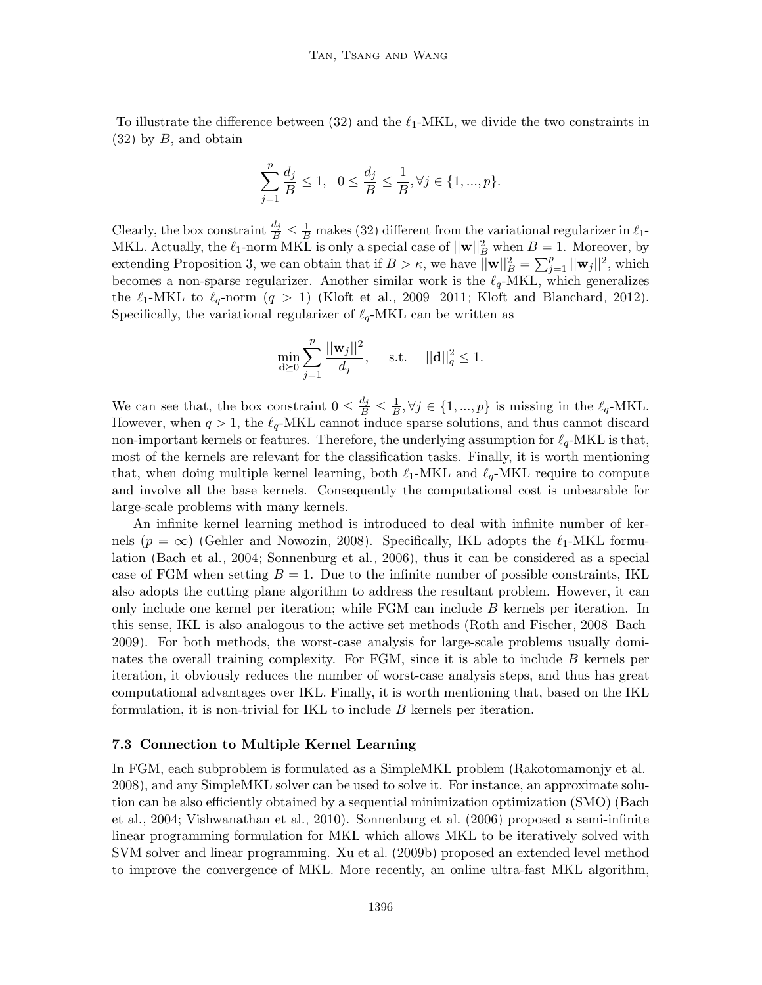To illustrate the difference between [\(32\)](#page-24-0) and the  $\ell_1$ -MKL, we divide the two constraints in  $(32)$  by B, and obtain

$$
\sum_{j=1}^p \frac{d_j}{B} \le 1, \ \ 0 \le \frac{d_j}{B} \le \frac{1}{B}, \forall j \in \{1, ..., p\}.
$$

Clearly, the box constraint  $\frac{d_j}{B} \leq \frac{1}{B}$  makes [\(32\)](#page-24-0) different from the variational regularizer in  $\ell_1$ -MKL. Actually, the  $\ell_1$ -norm MKL is only a special case of  $||\mathbf{w}||_B^2$  when  $B = 1$ . Moreover, by extending Proposition [3,](#page-23-3) we can obtain that if  $B > \kappa$ , we have  $\|\mathbf{w}\|_B^2 = \sum_{j=1}^p ||\mathbf{w}_j||^2$ , which becomes a non-sparse regularizer. Another similar work is the  $\ell_q$ -MKL, which generalizes the  $\ell_1$ -MKL to  $\ell_q$ -norm  $(q > 1)$  [\(Kloft et al., 2009,](#page-55-15) [2011;](#page-55-16) [Kloft and Blanchard, 2012\)](#page-55-17). Specifically, the variational regularizer of  $\ell_q$ -MKL can be written as

$$
\min_{\mathbf{d} \succeq 0} \sum_{j=1}^{p} \frac{||\mathbf{w}_j||^2}{d_j}, \quad \text{s.t.} \quad ||\mathbf{d}||_q^2 \le 1.
$$

We can see that, the box constraint  $0 \leq \frac{d_j}{B} \leq \frac{1}{B}$  $\frac{1}{B}, \forall j \in \{1, ..., p\}$  is missing in the  $\ell_q$ -MKL. However, when  $q > 1$ , the  $\ell_q$ -MKL cannot induce sparse solutions, and thus cannot discard non-important kernels or features. Therefore, the underlying assumption for  $\ell_q$ -MKL is that, most of the kernels are relevant for the classification tasks. Finally, it is worth mentioning that, when doing multiple kernel learning, both  $\ell_1$ -MKL and  $\ell_q$ -MKL require to compute and involve all the base kernels. Consequently the computational cost is unbearable for large-scale problems with many kernels.

An infinite kernel learning method is introduced to deal with infinite number of kernels ( $p = \infty$ ) [\(Gehler and Nowozin, 2008\)](#page-54-14). Specifically, IKL adopts the  $\ell_1$ -MKL formulation [\(Bach et al., 2004;](#page-53-11) [Sonnenburg et al., 2006\)](#page-56-13), thus it can be considered as a special case of FGM when setting  $B = 1$ . Due to the infinite number of possible constraints, IKL also adopts the cutting plane algorithm to address the resultant problem. However, it can only include one kernel per iteration; while FGM can include B kernels per iteration. In this sense, IKL is also analogous to the active set methods [\(Roth and Fischer, 2008;](#page-56-7) [Bach,](#page-53-8) [2009\)](#page-53-8). For both methods, the worst-case analysis for large-scale problems usually dominates the overall training complexity. For FGM, since it is able to include B kernels per iteration, it obviously reduces the number of worst-case analysis steps, and thus has great computational advantages over IKL. Finally, it is worth mentioning that, based on the IKL formulation, it is non-trivial for IKL to include B kernels per iteration.

#### 7.3 Connection to Multiple Kernel Learning

In FGM, each subproblem is formulated as a SimpleMKL problem [\(Rakotomamonjy et al.,](#page-56-5) [2008\)](#page-56-5), and any SimpleMKL solver can be used to solve it. For instance, an approximate solution can be also efficiently obtained by a sequential minimization optimization (SMO) [\(Bach](#page-53-11) [et al., 2004;](#page-53-11) [Vishwanathan et al., 2010\)](#page-57-8). [Sonnenburg et al.](#page-56-13) [\(2006\)](#page-56-13) proposed a semi-infinite linear programming formulation for MKL which allows MKL to be iteratively solved with SVM solver and linear programming. [Xu et al.](#page-57-13) [\(2009b\)](#page-57-13) proposed an extended level method to improve the convergence of MKL. More recently, an online ultra-fast MKL algorithm,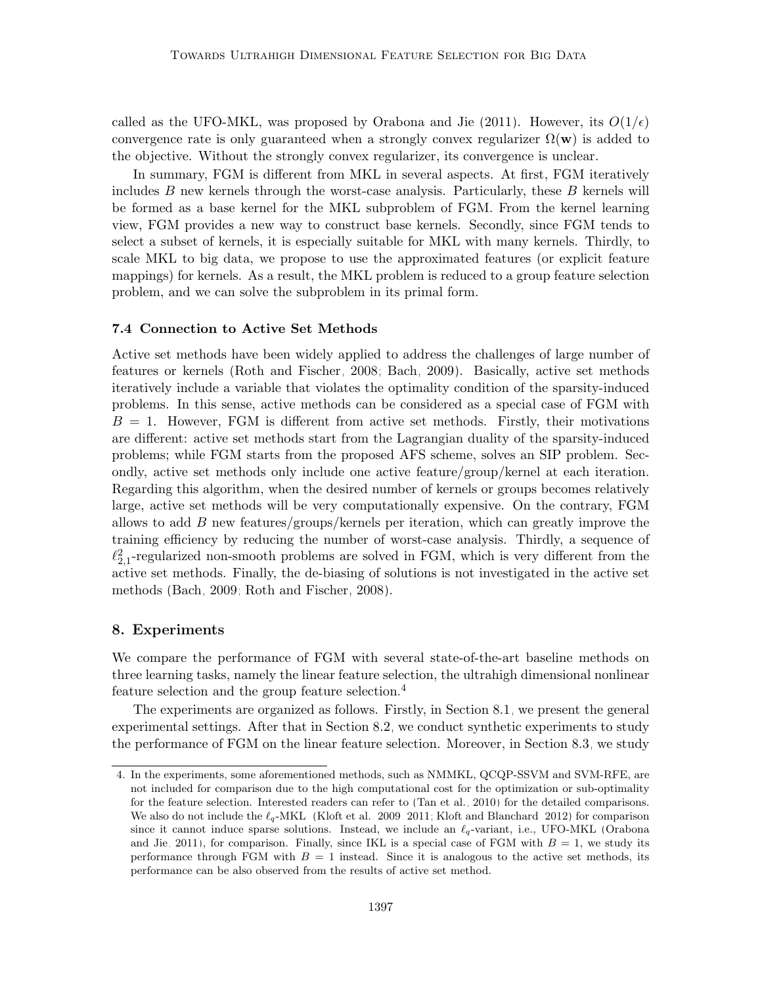called as the UFO-MKL, was proposed by [Orabona and Jie](#page-56-14) [\(2011\)](#page-56-14). However, its  $O(1/\epsilon)$ convergence rate is only guaranteed when a strongly convex regularizer  $\Omega(\mathbf{w})$  is added to the objective. Without the strongly convex regularizer, its convergence is unclear.

In summary, FGM is different from MKL in several aspects. At first, FGM iteratively includes  $B$  new kernels through the worst-case analysis. Particularly, these  $B$  kernels will be formed as a base kernel for the MKL subproblem of FGM. From the kernel learning view, FGM provides a new way to construct base kernels. Secondly, since FGM tends to select a subset of kernels, it is especially suitable for MKL with many kernels. Thirdly, to scale MKL to big data, we propose to use the approximated features (or explicit feature mappings) for kernels. As a result, the MKL problem is reduced to a group feature selection problem, and we can solve the subproblem in its primal form.

#### 7.4 Connection to Active Set Methods

Active set methods have been widely applied to address the challenges of large number of features or kernels [\(Roth and Fischer, 2008;](#page-56-7) [Bach, 2009\)](#page-53-8). Basically, active set methods iteratively include a variable that violates the optimality condition of the sparsity-induced problems. In this sense, active methods can be considered as a special case of FGM with  $B = 1$ . However, FGM is different from active set methods. Firstly, their motivations are different: active set methods start from the Lagrangian duality of the sparsity-induced problems; while FGM starts from the proposed AFS scheme, solves an SIP problem. Secondly, active set methods only include one active feature/group/kernel at each iteration. Regarding this algorithm, when the desired number of kernels or groups becomes relatively large, active set methods will be very computationally expensive. On the contrary, FGM allows to add B new features/groups/kernels per iteration, which can greatly improve the training efficiency by reducing the number of worst-case analysis. Thirdly, a sequence of  $\ell_{2,1}^2$ -regularized non-smooth problems are solved in FGM, which is very different from the active set methods. Finally, the de-biasing of solutions is not investigated in the active set methods [\(Bach, 2009;](#page-53-8) [Roth and Fischer, 2008\)](#page-56-7).

#### <span id="page-26-0"></span>8. Experiments

We compare the performance of FGM with several state-of-the-art baseline methods on three learning tasks, namely the linear feature selection, the ultrahigh dimensional nonlinear feature selection and the group feature selection.[4](#page-26-1)

The experiments are organized as follows. Firstly, in Section [8.1,](#page-27-0) we present the general experimental settings. After that in Section [8.2,](#page-28-0) we conduct synthetic experiments to study the performance of FGM on the linear feature selection. Moreover, in Section [8.3,](#page-34-0) we study

<span id="page-26-1"></span><sup>4.</sup> In the experiments, some aforementioned methods, such as NMMKL, QCQP-SSVM and SVM-RFE, are not included for comparison due to the high computational cost for the optimization or sub-optimality for the feature selection. Interested readers can refer to [\(Tan et al., 2010\)](#page-57-3) for the detailed comparisons. We also do not include the  $\ell_q$ -MKL [\(Kloft et al., 2009,](#page-55-15) [2011;](#page-55-16) [Kloft and Blanchard, 2012\)](#page-55-17) for comparison since it cannot induce sparse solutions. Instead, we include an  $\ell_q$ -variant, i.e., UFO-MKL [\(Orabona](#page-56-14) [and Jie, 2011\)](#page-56-14), for comparison. Finally, since IKL is a special case of FGM with  $B = 1$ , we study its performance through FGM with  $B = 1$  instead. Since it is analogous to the active set methods, its performance can be also observed from the results of active set method.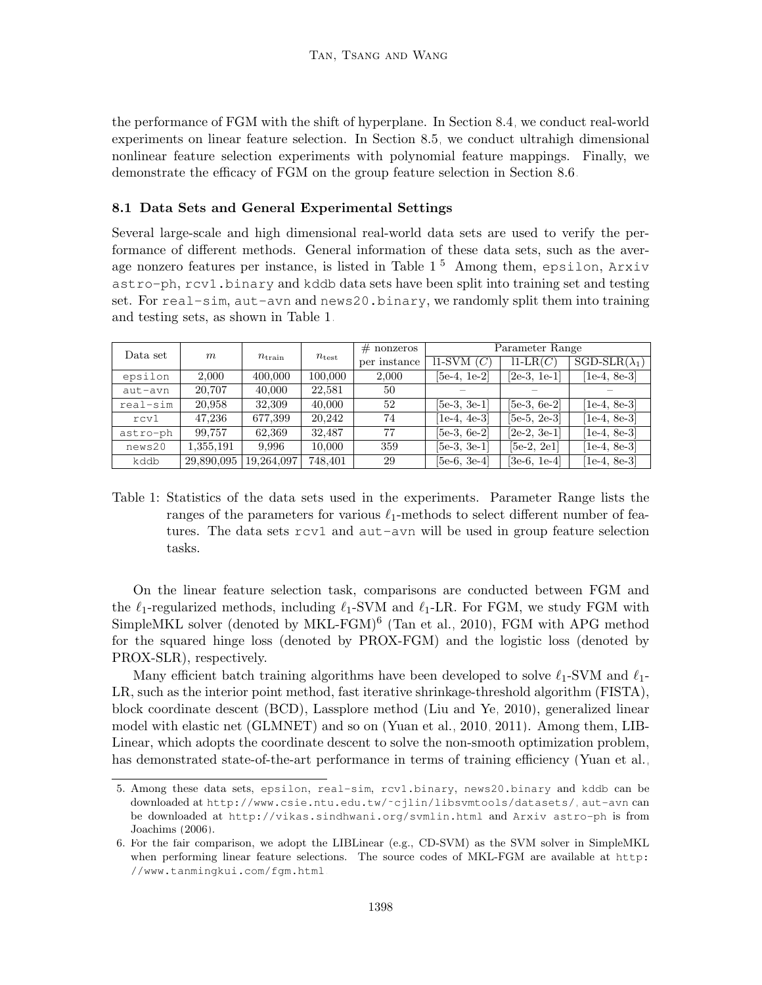the performance of FGM with the shift of hyperplane. In Section [8.4,](#page-34-1) we conduct real-world experiments on linear feature selection. In Section [8.5,](#page-39-0) we conduct ultrahigh dimensional nonlinear feature selection experiments with polynomial feature mappings. Finally, we demonstrate the efficacy of FGM on the group feature selection in Section [8.6.](#page-41-0)

#### <span id="page-27-0"></span>8.1 Data Sets and General Experimental Settings

Several large-scale and high dimensional real-world data sets are used to verify the performance of different methods. General information of these data sets, such as the average nonzero features per instance, is listed in Table [1.](#page-27-1)[5](#page-27-2) Among them, epsilon, Arxiv astro-ph, rcv1.binary and kddb data sets have been split into training set and testing set. For real-sim, aut-avn and news20.binary, we randomly split them into training and testing sets, as shown in Table [1.](#page-27-1)

| Data set | $m_{\parallel}$ | $n_{\rm train}$ | $n_{\mathrm{test}}$ | $#$ nonzeros | Parameter Range |                |                      |  |
|----------|-----------------|-----------------|---------------------|--------------|-----------------|----------------|----------------------|--|
|          |                 |                 |                     | per instance | $11$ -SVM $(C)$ | $11-LR(C)$     | $SGD-SLR(\lambda_1)$ |  |
| epsilon  | 2.000           | 400,000         | 100,000             | 2,000        | $[5e-4, 1e-2]$  | $[2e-3, 1e-1]$ | $[1e-4, 8e-3]$       |  |
| aut-avn  | 20,707          | 40,000          | 22.581              | 50           |                 |                |                      |  |
| real-sim | 20,958          | 32,309          | 40,000              | 52           | $[5e-3, 3e-1]$  | $[5e-3, 6e-2]$ | [1e-4, 8e-3]         |  |
| rcv1     | 47,236          | 677,399         | 20,242              | 74           | $[1e-4, 4e-3]$  | $[5e-5, 2e-3]$ | [1e-4, 8e-3]         |  |
| astro-ph | 99,757          | 62,369          | 32.487              | 77           | $[5e-3, 6e-2]$  | $[2e-2, 3e-1]$ | [1e-4, 8e-3]         |  |
| news20   | 1,355,191       | 9.996           | 10.000              | 359          | $[5e-3, 3e-1]$  | $[5e-2, 2e1]$  | [1e-4, 8e-3]         |  |
| kddb     | 29,890,095      | 19,264,097      | 748,401             | 29           | $[5e-6, 3e-4]$  | $[3e-6, 1e-4]$ | [1e-4, 8e-3]         |  |

<span id="page-27-1"></span>Table 1: Statistics of the data sets used in the experiments. Parameter Range lists the ranges of the parameters for various  $\ell_1$ -methods to select different number of features. The data sets rcv1 and aut-avn will be used in group feature selection tasks.

On the linear feature selection task, comparisons are conducted between FGM and the  $\ell_1$ -regularized methods, including  $\ell_1$ -SVM and  $\ell_1$ -LR. For FGM, we study FGM with SimpleMKL solver (denoted by MKL-FGM)<sup>[6](#page-27-3)</sup> [\(Tan et al., 2010\)](#page-57-3), FGM with APG method for the squared hinge loss (denoted by PROX-FGM) and the logistic loss (denoted by PROX-SLR), respectively.

Many efficient batch training algorithms have been developed to solve  $\ell_1$ -SVM and  $\ell_1$ -LR, such as the interior point method, fast iterative shrinkage-threshold algorithm (FISTA), block coordinate descent (BCD), Lassplore method [\(Liu and Ye, 2010\)](#page-55-10), generalized linear model with elastic net (GLMNET) and so on [\(Yuan et al., 2010,](#page-57-5) [2011\)](#page-58-3). Among them, LIB-Linear, which adopts the coordinate descent to solve the non-smooth optimization problem, has demonstrated state-of-the-art performance in terms of training efficiency [\(Yuan et al.,](#page-57-5)

<span id="page-27-2"></span><sup>5.</sup> Among these data sets, epsilon, real-sim, rcv1.binary, news20.binary and kddb can be downloaded at [http://www.csie.ntu.edu.tw/˜cjlin/libsvmtools/datasets/](http://www.csie.ntu.edu.tw/~cjlin/libsvmtools/datasets/), aut-avn can be downloaded at <http://vikas.sindhwani.org/svmlin.html> and Arxiv astro-ph is from [Joachims](#page-54-15) [\(2006\)](#page-54-15).

<span id="page-27-3"></span><sup>6.</sup> For the fair comparison, we adopt the LIBLinear (e.g., CD-SVM) as the SVM solver in SimpleMKL when performing linear feature selections. The source codes of MKL-FGM are available at [http:](http://www.tanmingkui.com/fgm.html) [//www.tanmingkui.com/fgm.html](http://www.tanmingkui.com/fgm.html).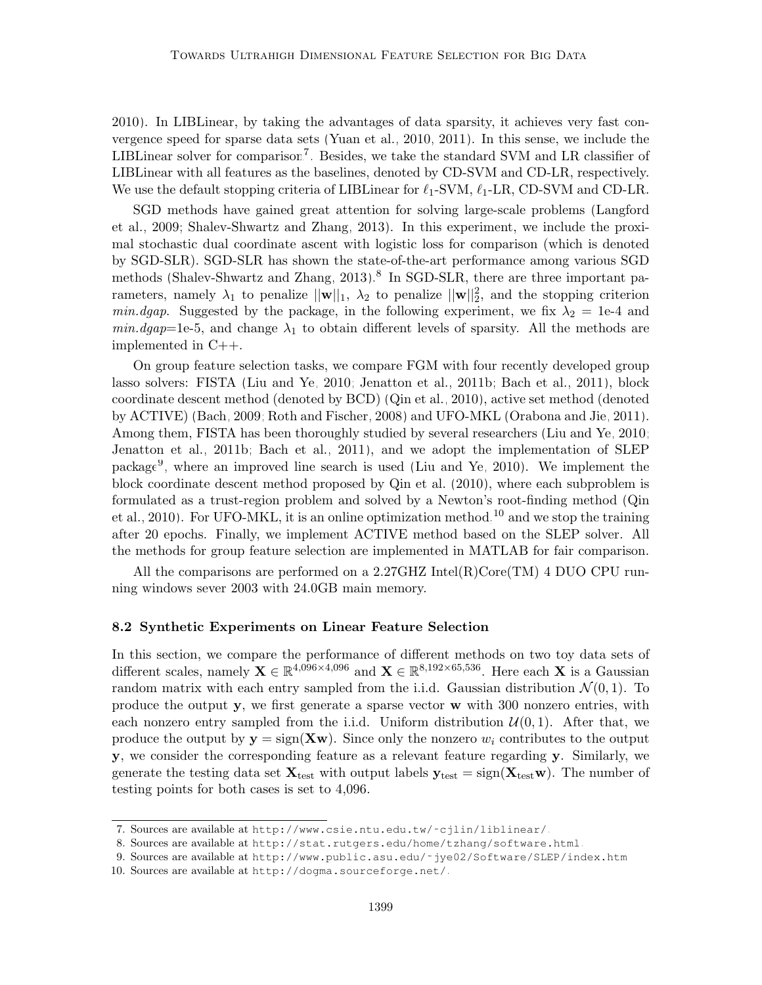[2010\)](#page-57-5). In LIBLinear, by taking the advantages of data sparsity, it achieves very fast convergence speed for sparse data sets [\(Yuan et al., 2010,](#page-57-5) [2011\)](#page-58-3). In this sense, we include the LIBLinear solver for comparison<sup>[7](#page-28-1)</sup>. Besides, we take the standard SVM and LR classifier of LIBLinear with all features as the baselines, denoted by CD-SVM and CD-LR, respectively. We use the default stopping criteria of LIBLinear for  $\ell_1$ -SVM,  $\ell_1$ -LR, CD-SVM and CD-LR.

SGD methods have gained great attention for solving large-scale problems [\(Langford](#page-55-5) [et al., 2009;](#page-55-5) [Shalev-Shwartz and Zhang, 2013\)](#page-56-3). In this experiment, we include the proximal stochastic dual coordinate ascent with logistic loss for comparison (which is denoted by SGD-SLR). SGD-SLR has shown the state-of-the-art performance among various SGD methods [\(Shalev-Shwartz and Zhang, 2013\)](#page-56-3).<sup>[8](#page-28-2)</sup> In SGD-SLR, there are three important parameters, namely  $\lambda_1$  to penalize  $||\mathbf{w}||_1$ ,  $\lambda_2$  to penalize  $||\mathbf{w}||_2^2$ , and the stopping criterion min.dgap. Suggested by the package, in the following experiment, we fix  $\lambda_2 = 1$ e-4 and  $min.dgap=1e-5$ , and change  $\lambda_1$  to obtain different levels of sparsity. All the methods are implemented in C++.

On group feature selection tasks, we compare FGM with four recently developed group lasso solvers: FISTA [\(Liu and Ye, 2010;](#page-55-10) [Jenatton et al., 2011b;](#page-54-10) [Bach et al., 2011\)](#page-53-7), block coordinate descent method (denoted by BCD) [\(Qin et al., 2010\)](#page-56-6), active set method (denoted by ACTIVE) [\(Bach, 2009;](#page-53-8) [Roth and Fischer, 2008\)](#page-56-7) and UFO-MKL [\(Orabona and Jie, 2011\)](#page-56-14). Among them, FISTA has been thoroughly studied by several researchers [\(Liu and Ye, 2010;](#page-55-10) [Jenatton et al., 2011b;](#page-54-10) [Bach et al., 2011\)](#page-53-7), and we adopt the implementation of SLEP package[9](#page-28-3) , where an improved line search is used [\(Liu and Ye, 2010\)](#page-55-10). We implement the block coordinate descent method proposed by [Qin et al.](#page-56-6) [\(2010\)](#page-56-6), where each subproblem is formulated as a trust-region problem and solved by a Newton's root-finding method [\(Qin](#page-56-6) [et al., 2010\)](#page-56-6). For UFO-MKL, it is an online optimization method,  $^{10}$  $^{10}$  $^{10}$  and we stop the training after 20 epochs. Finally, we implement ACTIVE method based on the SLEP solver. All the methods for group feature selection are implemented in MATLAB for fair comparison.

All the comparisons are performed on a 2.27GHZ Intel $(R)$ Core $(TM)$  4 DUO CPU running windows sever 2003 with 24.0GB main memory.

#### <span id="page-28-0"></span>8.2 Synthetic Experiments on Linear Feature Selection

In this section, we compare the performance of different methods on two toy data sets of different scales, namely  $X \in \mathbb{R}^{4,096\times4,096}$  and  $X \in \mathbb{R}^{8,192\times65,536}$ . Here each X is a Gaussian random matrix with each entry sampled from the i.i.d. Gaussian distribution  $\mathcal{N}(0, 1)$ . To produce the output y, we first generate a sparse vector w with 300 nonzero entries, with each nonzero entry sampled from the i.i.d. Uniform distribution  $\mathcal{U}(0,1)$ . After that, we produce the output by  $y = sign(Xw)$ . Since only the nonzero  $w_i$  contributes to the output y, we consider the corresponding feature as a relevant feature regarding y. Similarly, we generate the testing data set  $\mathbf{X}_{\text{test}}$  with output labels  $\mathbf{y}_{\text{test}} = \text{sign}(\mathbf{X}_{\text{test}} \mathbf{w})$ . The number of testing points for both cases is set to 4,096.

<span id="page-28-1"></span><sup>7.</sup> Sources are available at [http://www.csie.ntu.edu.tw/˜cjlin/liblinear/](http://www.csie.ntu.edu.tw/~cjlin/liblinear/).

<span id="page-28-2"></span><sup>8.</sup> Sources are available at <http://stat.rutgers.edu/home/tzhang/software.html>.

<span id="page-28-4"></span><span id="page-28-3"></span><sup>9.</sup> Sources are available at [http://www.public.asu.edu/˜jye02/Software/SLEP/index.htm](http://www.public.asu.edu/~jye02/Software/SLEP/index.htm).

<sup>10.</sup> Sources are available at <http://dogma.sourceforge.net/>.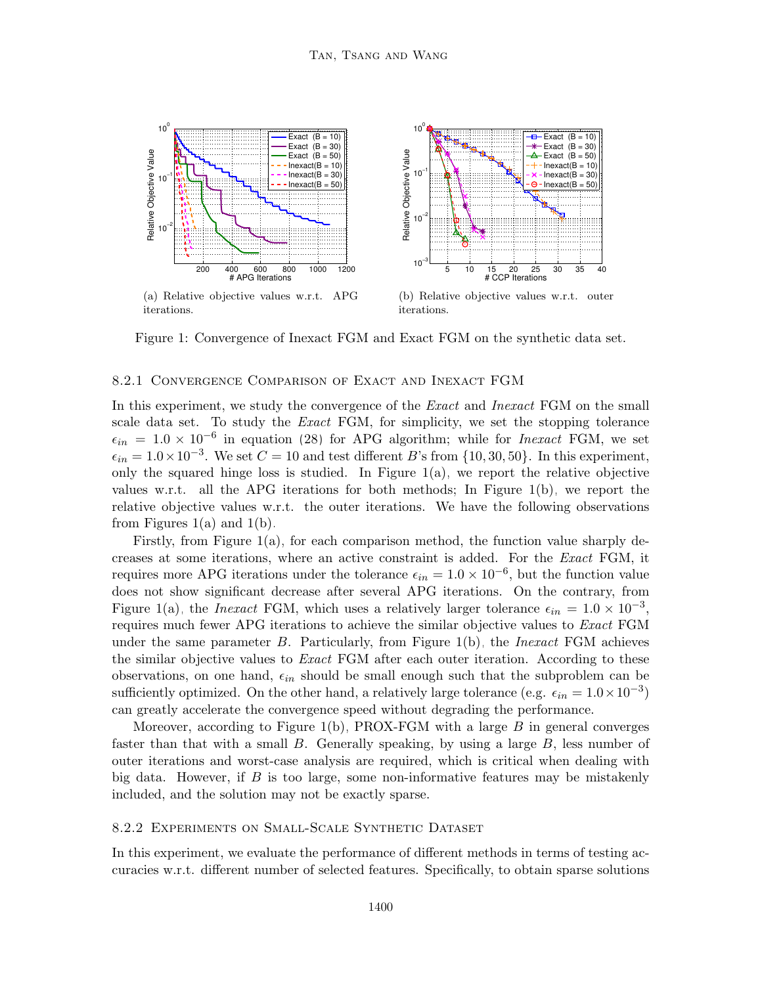<span id="page-29-0"></span>

<span id="page-29-1"></span>Figure 1: Convergence of Inexact FGM and Exact FGM on the synthetic data set.

#### 8.2.1 Convergence Comparison of Exact and Inexact FGM

In this experiment, we study the convergence of the *Exact* and *Inexact* FGM on the small scale data set. To study the Exact FGM, for simplicity, we set the stopping tolerance  $\epsilon_{in}$  = 1.0 × 10<sup>-6</sup> in equation [\(28\)](#page-19-1) for APG algorithm; while for *Inexact* FGM, we set  $\epsilon_{in} = 1.0 \times 10^{-3}$ . We set  $C = 10$  and test different B's from  $\{10, 30, 50\}$ . In this experiment, only the squared hinge loss is studied. In Figure [1\(a\),](#page-29-0) we report the relative objective values w.r.t. all the APG iterations for both methods; In Figure [1\(b\),](#page-29-1) we report the relative objective values w.r.t. the outer iterations. We have the following observations from Figures [1\(a\)](#page-29-0) and [1\(b\).](#page-29-1)

Firstly, from Figure [1\(a\),](#page-29-0) for each comparison method, the function value sharply decreases at some iterations, where an active constraint is added. For the Exact FGM, it requires more APG iterations under the tolerance  $\epsilon_{in} = 1.0 \times 10^{-6}$ , but the function value does not show significant decrease after several APG iterations. On the contrary, from Figure [1\(a\),](#page-29-0) the *Inexact* FGM, which uses a relatively larger tolerance  $\epsilon_{in} = 1.0 \times 10^{-3}$ , requires much fewer APG iterations to achieve the similar objective values to *Exact* FGM under the same parameter B. Particularly, from Figure  $1(b)$ , the *Inexact* FGM achieves the similar objective values to *Exact* FGM after each outer iteration. According to these observations, on one hand,  $\epsilon_{in}$  should be small enough such that the subproblem can be sufficiently optimized. On the other hand, a relatively large tolerance (e.g.  $\epsilon_{in} = 1.0 \times 10^{-3}$ ) can greatly accelerate the convergence speed without degrading the performance.

Moreover, according to Figure [1\(b\),](#page-29-1) PROX-FGM with a large  $B$  in general converges faster than that with a small  $B$ . Generally speaking, by using a large  $B$ , less number of outer iterations and worst-case analysis are required, which is critical when dealing with big data. However, if  $B$  is too large, some non-informative features may be mistakenly included, and the solution may not be exactly sparse.

#### 8.2.2 Experiments on Small-Scale Synthetic Dataset

In this experiment, we evaluate the performance of different methods in terms of testing accuracies w.r.t. different number of selected features. Specifically, to obtain sparse solutions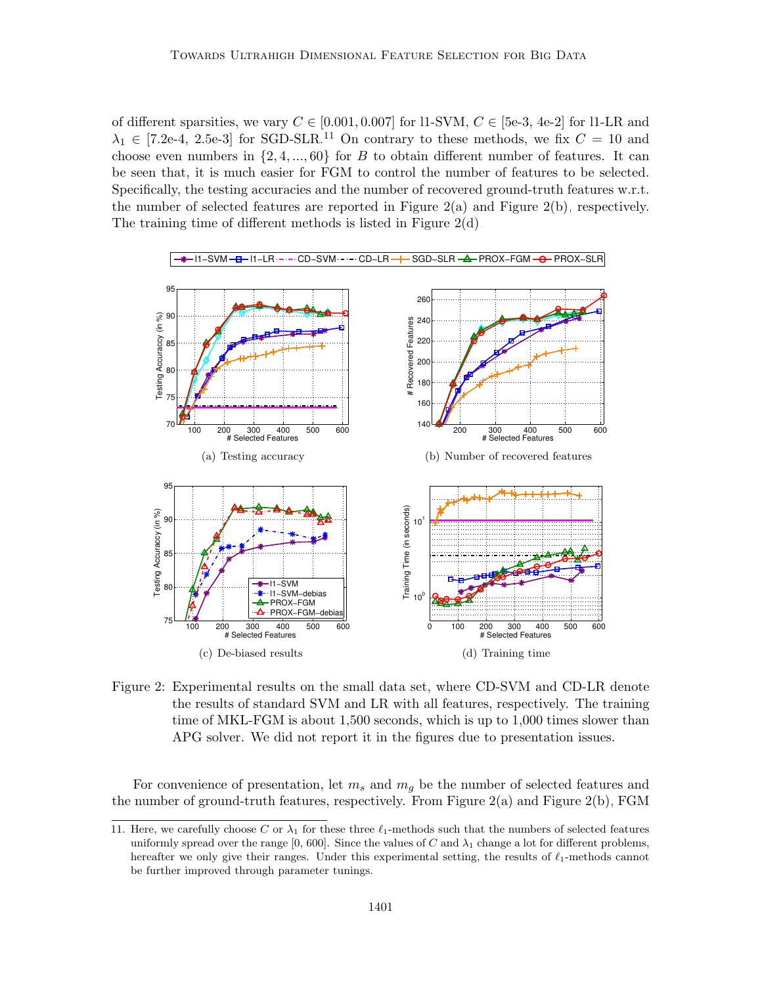of different sparsities, we vary  $C \in [0.001, 0.007]$  for l1-SVM,  $C \in [5e-3, 4e-2]$  for l1-LR and  $\lambda_1 \in [7.2e-4, 2.5e-3]$  for SGD-SLR.<sup>[11](#page-30-0)</sup> On contrary to these methods, we fix  $C = 10$  and choose even numbers in  $\{2, 4, ..., 60\}$  for B to obtain different number of features. It can be seen that, it is much easier for FGM to control the number of features to be selected. Specifically, the testing accuracies and the number of recovered ground-truth features w.r.t. the number of selected features are reported in Figure  $2(a)$  and Figure  $2(b)$ , respectively. The training time of different methods is listed in Figure [2\(d\).](#page-30-3)

<span id="page-30-2"></span><span id="page-30-1"></span>

<span id="page-30-5"></span><span id="page-30-4"></span><span id="page-30-3"></span>Figure 2: Experimental results on the small data set, where CD-SVM and CD-LR denote the results of standard SVM and LR with all features, respectively. The training time of MKL-FGM is about 1,500 seconds, which is up to 1,000 times slower than APG solver. We did not report it in the figures due to presentation issues.

For convenience of presentation, let  $m_s$  and  $m_g$  be the number of selected features and the number of ground-truth features, respectively. From Figure  $2(a)$  and Figure  $2(b)$ , FGM

<span id="page-30-0"></span><sup>11.</sup> Here, we carefully choose C or  $\lambda_1$  for these three  $\ell_1$ -methods such that the numbers of selected features uniformly spread over the range [0, 600]. Since the values of C and  $\lambda_1$  change a lot for different problems, hereafter we only give their ranges. Under this experimental setting, the results of  $\ell_1$ -methods cannot be further improved through parameter tunings.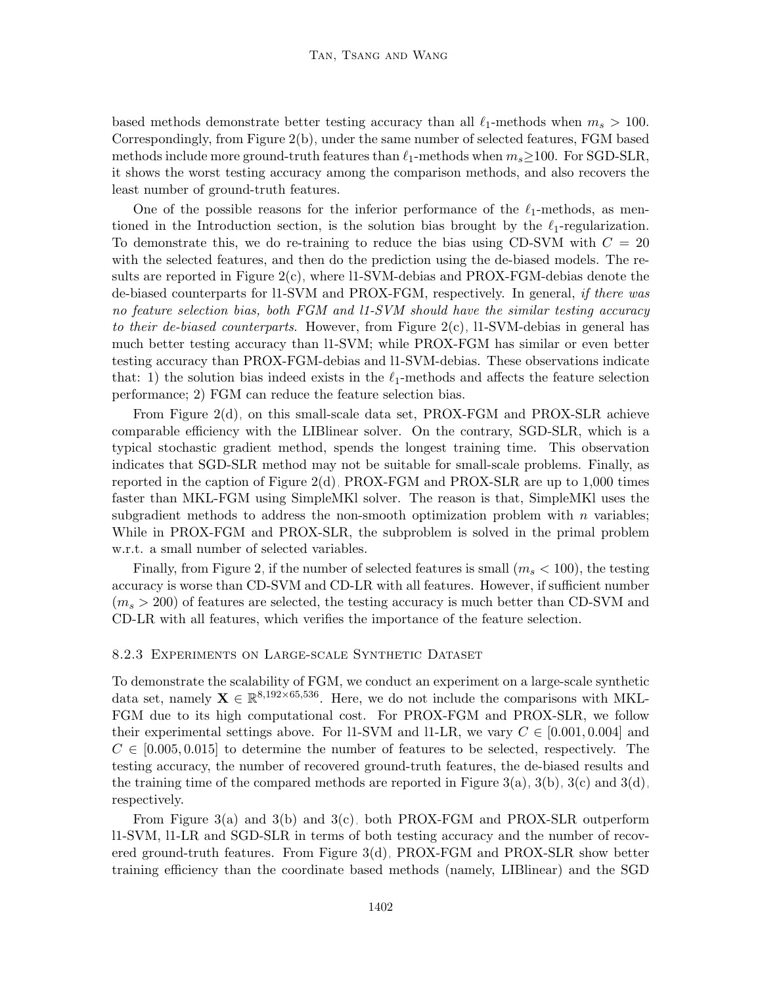based methods demonstrate better testing accuracy than all  $\ell_1$ -methods when  $m_s > 100$ . Correspondingly, from Figure [2\(b\),](#page-30-2) under the same number of selected features, FGM based methods include more ground-truth features than  $\ell_1$ -methods when  $m_s \geq 100$ . For SGD-SLR, it shows the worst testing accuracy among the comparison methods, and also recovers the least number of ground-truth features.

One of the possible reasons for the inferior performance of the  $\ell_1$ -methods, as mentioned in the Introduction section, is the solution bias brought by the  $\ell_1$ -regularization. To demonstrate this, we do re-training to reduce the bias using CD-SVM with  $C = 20$ with the selected features, and then do the prediction using the de-biased models. The results are reported in Figure [2\(c\),](#page-30-4) where l1-SVM-debias and PROX-FGM-debias denote the de-biased counterparts for l1-SVM and PROX-FGM, respectively. In general, if there was no feature selection bias, both FGM and l1-SVM should have the similar testing accuracy to their de-biased counterparts. However, from Figure  $2(c)$ , 11-SVM-debias in general has much better testing accuracy than l1-SVM; while PROX-FGM has similar or even better testing accuracy than PROX-FGM-debias and l1-SVM-debias. These observations indicate that: 1) the solution bias indeed exists in the  $\ell_1$ -methods and affects the feature selection performance; 2) FGM can reduce the feature selection bias.

From Figure [2\(d\),](#page-30-3) on this small-scale data set, PROX-FGM and PROX-SLR achieve comparable efficiency with the LIBlinear solver. On the contrary, SGD-SLR, which is a typical stochastic gradient method, spends the longest training time. This observation indicates that SGD-SLR method may not be suitable for small-scale problems. Finally, as reported in the caption of Figure [2\(d\),](#page-30-3) PROX-FGM and PROX-SLR are up to 1,000 times faster than MKL-FGM using SimpleMKl solver. The reason is that, SimpleMKl uses the subgradient methods to address the non-smooth optimization problem with  $n$  variables; While in PROX-FGM and PROX-SLR, the subproblem is solved in the primal problem w.r.t. a small number of selected variables.

Finally, from Figure [2,](#page-30-5) if the number of selected features is small  $(m_s < 100)$ , the testing accuracy is worse than CD-SVM and CD-LR with all features. However, if sufficient number  $(m_s > 200)$  of features are selected, the testing accuracy is much better than CD-SVM and CD-LR with all features, which verifies the importance of the feature selection.

#### 8.2.3 Experiments on Large-scale Synthetic Dataset

To demonstrate the scalability of FGM, we conduct an experiment on a large-scale synthetic data set, namely  $X \in \mathbb{R}^{8,192\times 65,536}$ . Here, we do not include the comparisons with MKL-FGM due to its high computational cost. For PROX-FGM and PROX-SLR, we follow their experimental settings above. For l1-SVM and l1-LR, we vary  $C \in [0.001, 0.004]$  and  $C \in [0.005, 0.015]$  to determine the number of features to be selected, respectively. The testing accuracy, the number of recovered ground-truth features, the de-biased results and the training time of the compared methods are reported in Figure  $3(a)$ ,  $3(b)$ ,  $3(c)$  and  $3(d)$ , respectively.

From Figure [3\(a\)](#page-32-0) and [3\(b\)](#page-32-1) and [3\(c\),](#page-32-2) both PROX-FGM and PROX-SLR outperform l1-SVM, l1-LR and SGD-SLR in terms of both testing accuracy and the number of recovered ground-truth features. From Figure [3\(d\),](#page-32-3) PROX-FGM and PROX-SLR show better training efficiency than the coordinate based methods (namely, LIBlinear) and the SGD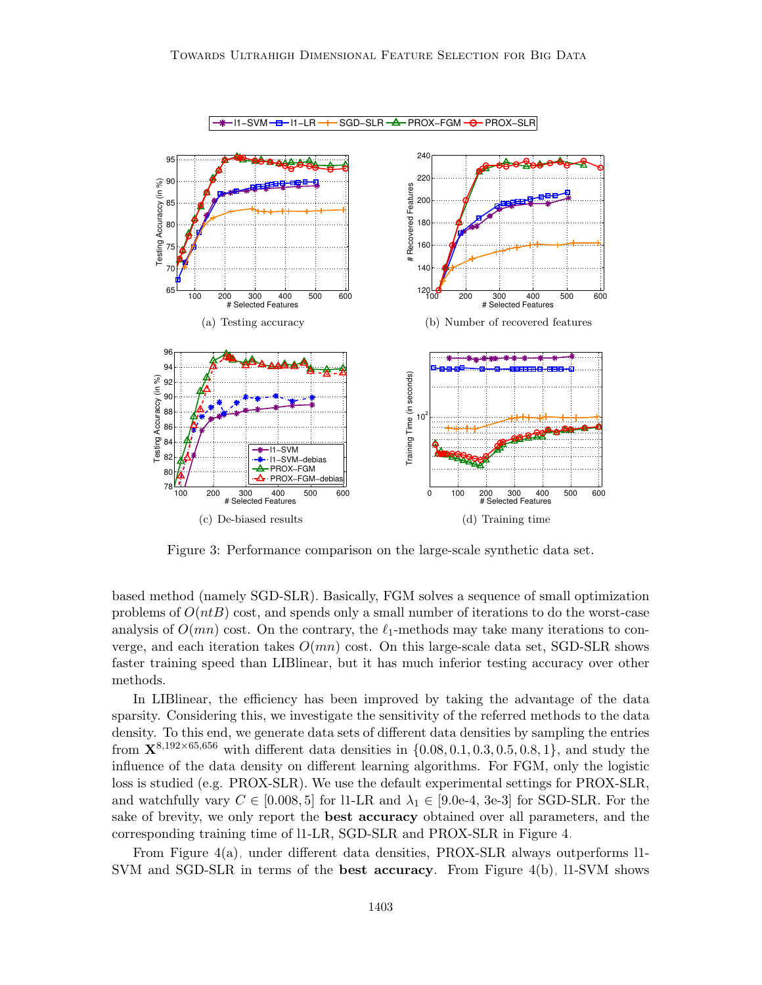<span id="page-32-1"></span><span id="page-32-0"></span>

<span id="page-32-3"></span><span id="page-32-2"></span>Figure 3: Performance comparison on the large-scale synthetic data set.

based method (namely SGD-SLR). Basically, FGM solves a sequence of small optimization problems of  $O(ntB)$  cost, and spends only a small number of iterations to do the worst-case analysis of  $O(mn)$  cost. On the contrary, the  $\ell_1$ -methods may take many iterations to converge, and each iteration takes  $O(mn)$  cost. On this large-scale data set, SGD-SLR shows faster training speed than LIBlinear, but it has much inferior testing accuracy over other methods.

In LIBlinear, the efficiency has been improved by taking the advantage of the data sparsity. Considering this, we investigate the sensitivity of the referred methods to the data density. To this end, we generate data sets of different data densities by sampling the entries from  ${\bf X}^{8,192\times65,656}$  with different data densities in  $\{0.08, 0.1, 0.3, 0.5, 0.8, 1\}$ , and study the influence of the data density on different learning algorithms. For FGM, only the logistic loss is studied (e.g. PROX-SLR). We use the default experimental settings for PROX-SLR, and watchfully vary  $C \in [0.008, 5]$  for 11-LR and  $\lambda_1 \in [9.0e-4, 3e-3]$  for SGD-SLR. For the sake of brevity, we only report the **best accuracy** obtained over all parameters, and the corresponding training time of l1-LR, SGD-SLR and PROX-SLR in Figure [4.](#page-33-0)

From Figure [4\(a\),](#page-33-1) under different data densities, PROX-SLR always outperforms l1- SVM and SGD-SLR in terms of the **best accuracy**. From Figure [4\(b\),](#page-33-2) 11-SVM shows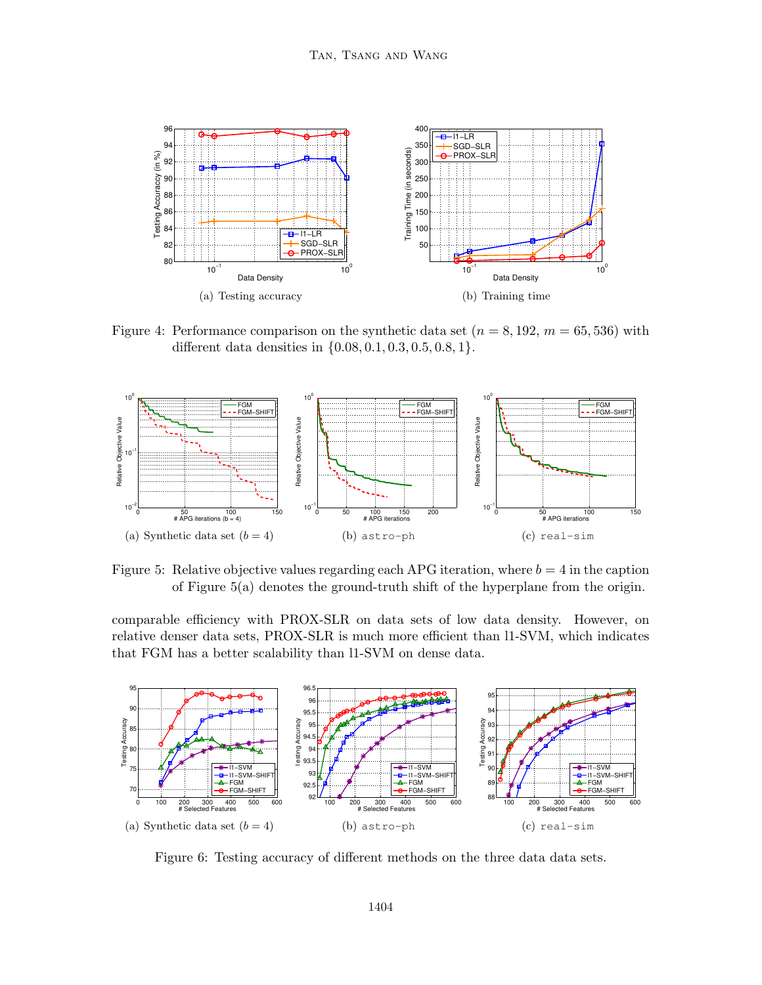<span id="page-33-1"></span>

<span id="page-33-2"></span><span id="page-33-0"></span>Figure 4: Performance comparison on the synthetic data set  $(n = 8, 192, m = 65, 536)$  with different data densities in {0.08, 0.1, 0.3, 0.5, 0.8, 1}.

<span id="page-33-3"></span>

<span id="page-33-4"></span>Figure 5: Relative objective values regarding each APG iteration, where  $b = 4$  in the caption of Figure [5\(a\)](#page-33-3) denotes the ground-truth shift of the hyperplane from the origin.

comparable efficiency with PROX-SLR on data sets of low data density. However, on relative denser data sets, PROX-SLR is much more efficient than l1-SVM, which indicates that FGM has a better scalability than l1-SVM on dense data.



<span id="page-33-5"></span>Figure 6: Testing accuracy of different methods on the three data data sets.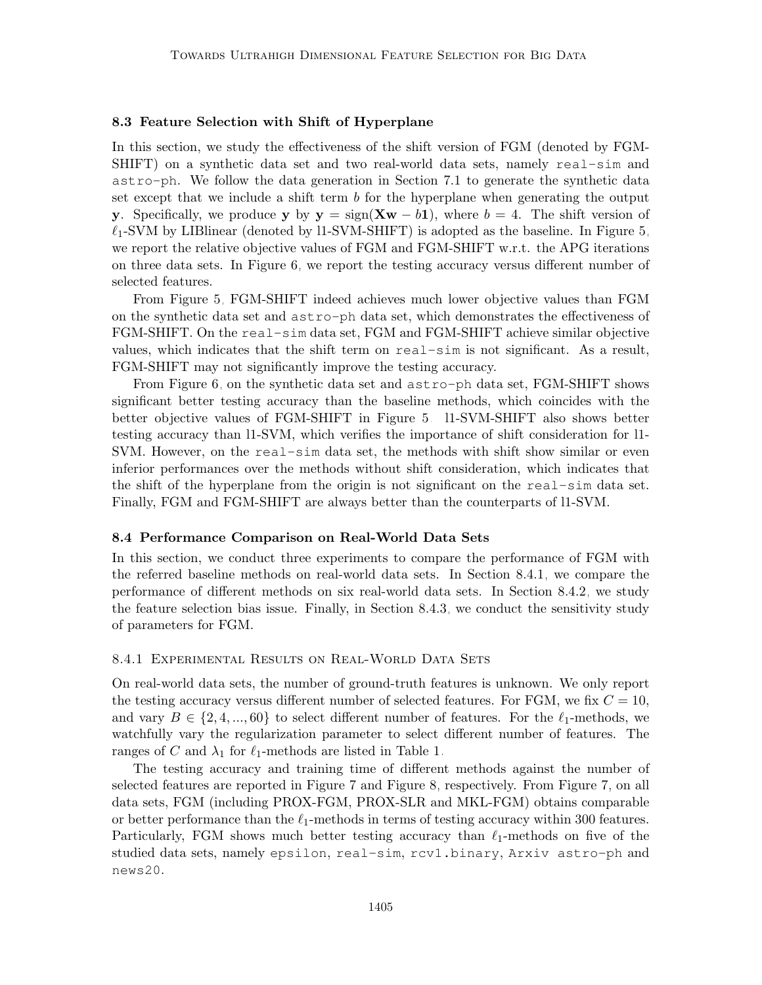#### <span id="page-34-0"></span>8.3 Feature Selection with Shift of Hyperplane

In this section, we study the effectiveness of the shift version of FGM (denoted by FGM-SHIFT) on a synthetic data set and two real-world data sets, namely real-sim and astro-ph. We follow the data generation in Section 7.1 to generate the synthetic data set except that we include a shift term  $b$  for the hyperplane when generating the output y. Specifically, we produce y by  $y = sign(Xw - b1)$ , where  $b = 4$ . The shift version of  $\ell_1$ -SVM by LIBlinear (denoted by l1-SVM-SHIFT) is adopted as the baseline. In Figure [5,](#page-33-4) we report the relative objective values of FGM and FGM-SHIFT w.r.t. the APG iterations on three data sets. In Figure [6,](#page-33-5) we report the testing accuracy versus different number of selected features.

From Figure [5,](#page-33-4) FGM-SHIFT indeed achieves much lower objective values than FGM on the synthetic data set and astro-ph data set, which demonstrates the effectiveness of FGM-SHIFT. On the real-sim data set, FGM and FGM-SHIFT achieve similar objective values, which indicates that the shift term on real-sim is not significant. As a result, FGM-SHIFT may not significantly improve the testing accuracy.

From Figure [6,](#page-33-5) on the synthetic data set and astro-ph data set, FGM-SHIFT shows significant better testing accuracy than the baseline methods, which coincides with the better objective values of FGM-SHIFT in Figure [5.](#page-33-4) l1-SVM-SHIFT also shows better testing accuracy than l1-SVM, which verifies the importance of shift consideration for l1- SVM. However, on the real-sim data set, the methods with shift show similar or even inferior performances over the methods without shift consideration, which indicates that the shift of the hyperplane from the origin is not significant on the real-sim data set. Finally, FGM and FGM-SHIFT are always better than the counterparts of l1-SVM.

#### <span id="page-34-1"></span>8.4 Performance Comparison on Real-World Data Sets

In this section, we conduct three experiments to compare the performance of FGM with the referred baseline methods on real-world data sets. In Section [8.4.1,](#page-34-2) we compare the performance of different methods on six real-world data sets. In Section [8.4.2,](#page-36-0) we study the feature selection bias issue. Finally, in Section [8.4.3,](#page-37-0) we conduct the sensitivity study of parameters for FGM.

#### <span id="page-34-2"></span>8.4.1 Experimental Results on Real-World Data Sets

On real-world data sets, the number of ground-truth features is unknown. We only report the testing accuracy versus different number of selected features. For FGM, we fix  $C = 10$ , and vary  $B \in \{2, 4, ..., 60\}$  to select different number of features. For the  $\ell_1$ -methods, we watchfully vary the regularization parameter to select different number of features. The ranges of C and  $\lambda_1$  for  $\ell_1$ -methods are listed in Table [1.](#page-27-1)

The testing accuracy and training time of different methods against the number of selected features are reported in Figure [7](#page-35-0) and Figure [8,](#page-36-1) respectively. From Figure [7,](#page-35-0) on all data sets, FGM (including PROX-FGM, PROX-SLR and MKL-FGM) obtains comparable or better performance than the  $\ell_1$ -methods in terms of testing accuracy within 300 features. Particularly, FGM shows much better testing accuracy than  $\ell_1$ -methods on five of the studied data sets, namely epsilon, real-sim, rcv1.binary, Arxiv astro-ph and news20.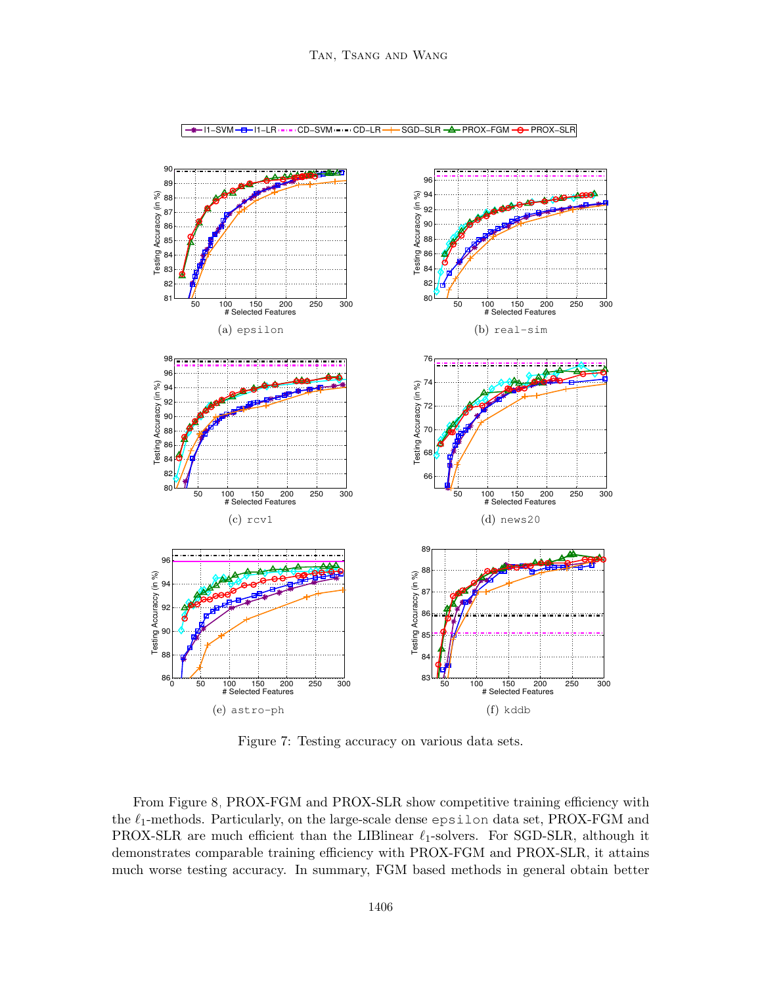

<span id="page-35-0"></span>Figure 7: Testing accuracy on various data sets.

From Figure [8,](#page-36-1) PROX-FGM and PROX-SLR show competitive training efficiency with the  $\ell_1$ -methods. Particularly, on the large-scale dense epsilon data set, PROX-FGM and PROX-SLR are much efficient than the LIBlinear  $\ell_1$ -solvers. For SGD-SLR, although it demonstrates comparable training efficiency with PROX-FGM and PROX-SLR, it attains much worse testing accuracy. In summary, FGM based methods in general obtain better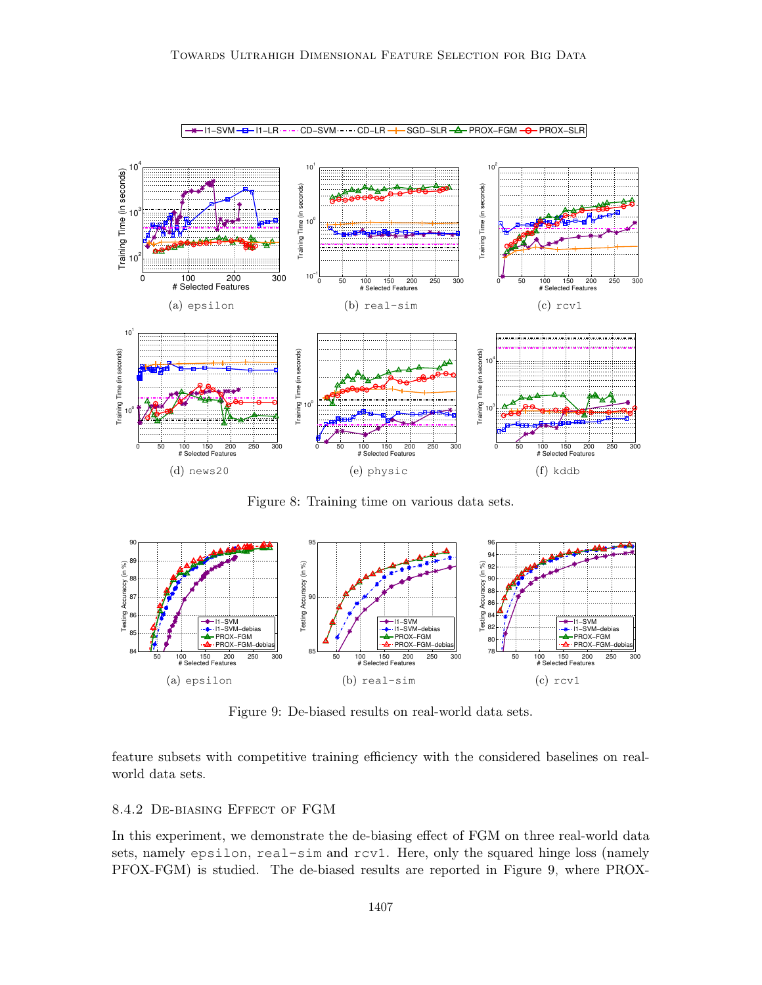

<span id="page-36-1"></span>Figure 8: Training time on various data sets.



<span id="page-36-2"></span>Figure 9: De-biased results on real-world data sets.

feature subsets with competitive training efficiency with the considered baselines on realworld data sets.

## <span id="page-36-0"></span>8.4.2 De-biasing Effect of FGM

In this experiment, we demonstrate the de-biasing effect of FGM on three real-world data sets, namely epsilon, real-sim and rcv1. Here, only the squared hinge loss (namely PFOX-FGM) is studied. The de-biased results are reported in Figure [9,](#page-36-2) where PROX-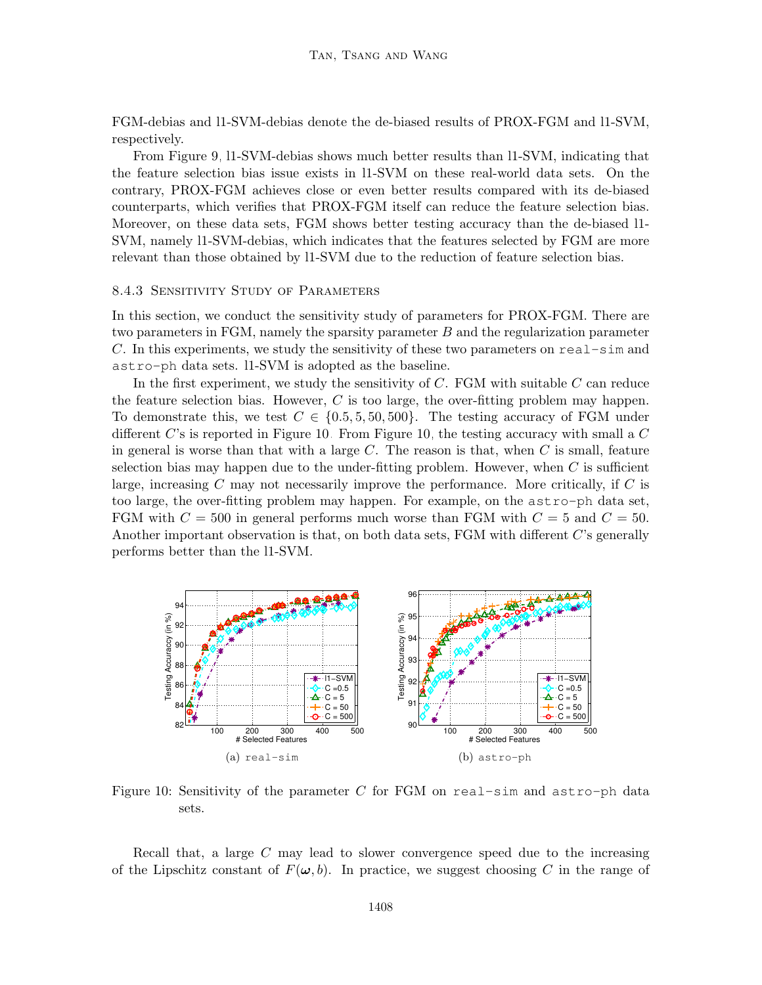FGM-debias and l1-SVM-debias denote the de-biased results of PROX-FGM and l1-SVM, respectively.

From Figure [9,](#page-36-2) l1-SVM-debias shows much better results than l1-SVM, indicating that the feature selection bias issue exists in l1-SVM on these real-world data sets. On the contrary, PROX-FGM achieves close or even better results compared with its de-biased counterparts, which verifies that PROX-FGM itself can reduce the feature selection bias. Moreover, on these data sets, FGM shows better testing accuracy than the de-biased l1- SVM, namely l1-SVM-debias, which indicates that the features selected by FGM are more relevant than those obtained by l1-SVM due to the reduction of feature selection bias.

#### <span id="page-37-0"></span>8.4.3 Sensitivity Study of Parameters

In this section, we conduct the sensitivity study of parameters for PROX-FGM. There are two parameters in FGM, namely the sparsity parameter B and the regularization parameter C. In this experiments, we study the sensitivity of these two parameters on real-sim and astro-ph data sets. l1-SVM is adopted as the baseline.

In the first experiment, we study the sensitivity of  $C$ . FGM with suitable  $C$  can reduce the feature selection bias. However,  $C$  is too large, the over-fitting problem may happen. To demonstrate this, we test  $C \in \{0.5, 5, 50, 500\}$ . The testing accuracy of FGM under different  $C$ 's is reported in Figure [10.](#page-37-1) From Figure [10,](#page-37-1) the testing accuracy with small a  $C$ in general is worse than that with a large  $C$ . The reason is that, when  $C$  is small, feature selection bias may happen due to the under-fitting problem. However, when  $C$  is sufficient large, increasing  $C$  may not necessarily improve the performance. More critically, if  $C$  is too large, the over-fitting problem may happen. For example, on the astro-ph data set, FGM with  $C = 500$  in general performs much worse than FGM with  $C = 5$  and  $C = 50$ . Another important observation is that, on both data sets, FGM with different C's generally performs better than the l1-SVM.

<span id="page-37-1"></span>

Figure 10: Sensitivity of the parameter C for FGM on real-sim and astro-ph data sets.

Recall that, a large C may lead to slower convergence speed due to the increasing of the Lipschitz constant of  $F(\omega, b)$ . In practice, we suggest choosing C in the range of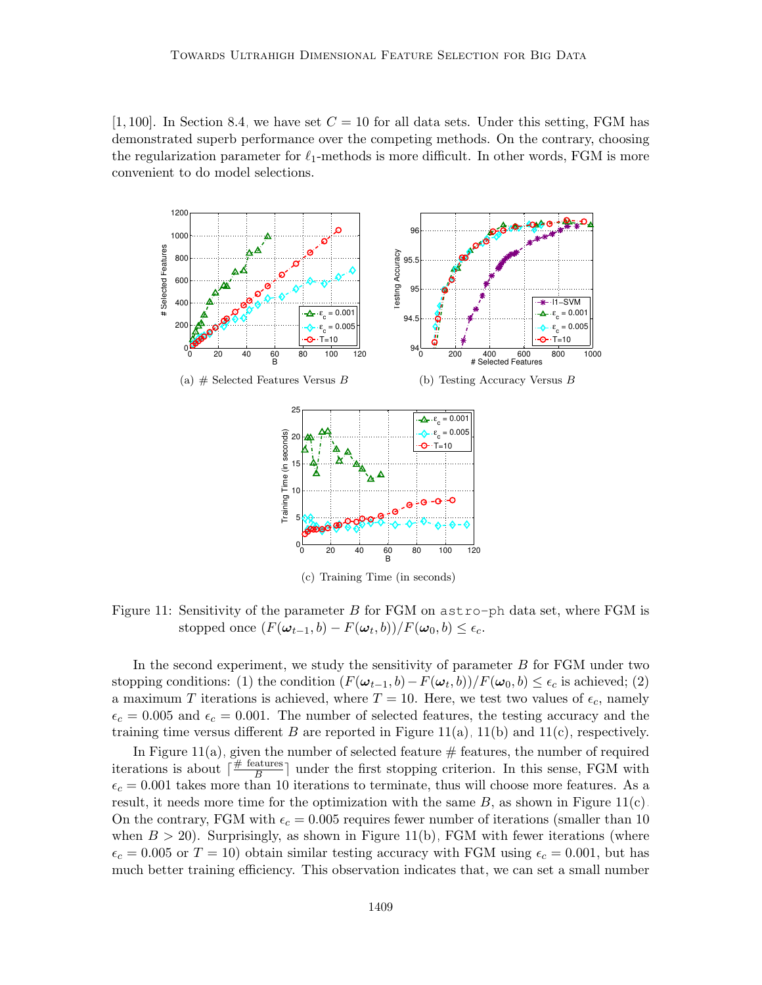[1, 100]. In Section [8.4,](#page-34-1) we have set  $C = 10$  for all data sets. Under this setting, FGM has demonstrated superb performance over the competing methods. On the contrary, choosing the regularization parameter for  $\ell_1$ -methods is more difficult. In other words, FGM is more convenient to do model selections.

<span id="page-38-1"></span><span id="page-38-0"></span>

<span id="page-38-2"></span>Figure 11: Sensitivity of the parameter B for FGM on astro-ph data set, where FGM is stopped once  $(F(\omega_{t-1}, b) - F(\omega_t, b))/F(\omega_0, b) \le \epsilon_c$ .

In the second experiment, we study the sensitivity of parameter B for FGM under two stopping conditions: (1) the condition  $(F(\omega_{t-1}, b) - F(\omega_t, b))/F(\omega_0, b) \le \epsilon_c$  is achieved; (2) a maximum T iterations is achieved, where  $T = 10$ . Here, we test two values of  $\epsilon_c$ , namely  $\epsilon_c = 0.005$  and  $\epsilon_c = 0.001$ . The number of selected features, the testing accuracy and the training time versus different B are reported in Figure [11\(a\),](#page-38-0) [11\(b\)](#page-38-1) and [11\(c\),](#page-38-2) respectively.

In Figure [11\(a\),](#page-38-0) given the number of selected feature  $#$  features, the number of required iterations is about  $\lceil \frac{\text{\# features}}{B} \rceil$  $\frac{\text{atures}}{B}$  under the first stopping criterion. In this sense, FGM with  $\epsilon_c = 0.001$  takes more than 10 iterations to terminate, thus will choose more features. As a result, it needs more time for the optimization with the same  $B$ , as shown in Figure [11\(c\).](#page-38-2) On the contrary, FGM with  $\epsilon_c = 0.005$  requires fewer number of iterations (smaller than 10 when  $B > 20$ ). Surprisingly, as shown in Figure [11\(b\),](#page-38-1) FGM with fewer iterations (where  $\epsilon_c = 0.005$  or  $T = 10$ ) obtain similar testing accuracy with FGM using  $\epsilon_c = 0.001$ , but has much better training efficiency. This observation indicates that, we can set a small number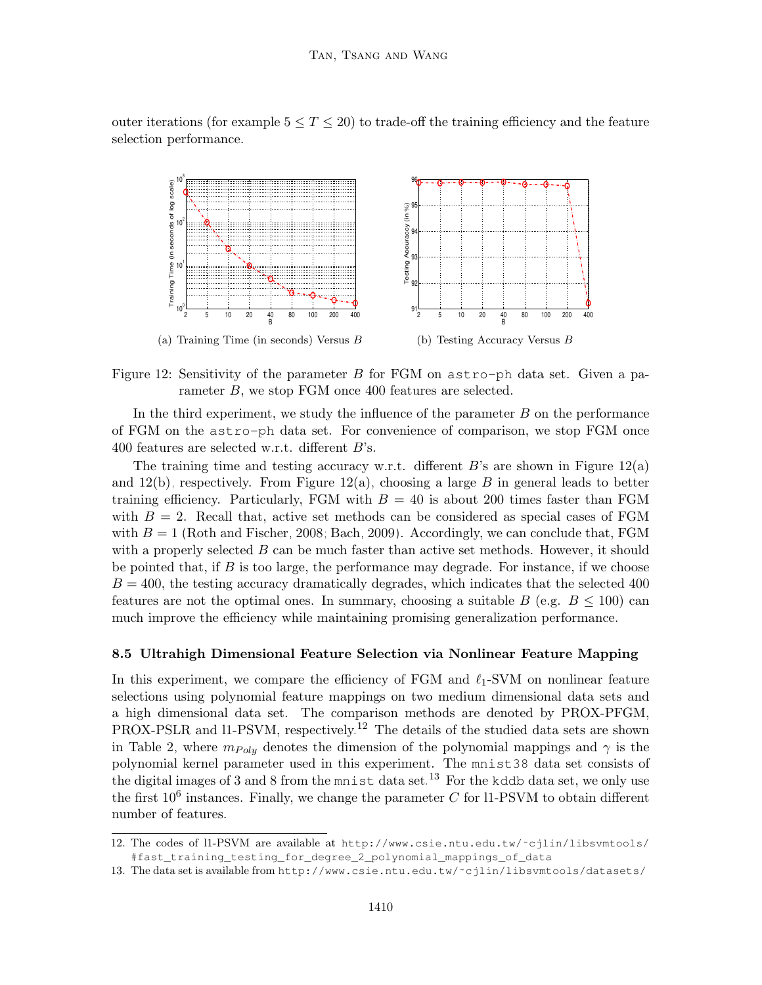outer iterations (for example  $5 \le T \le 20$ ) to trade-off the training efficiency and the feature selection performance.

<span id="page-39-2"></span><span id="page-39-1"></span>

Figure 12: Sensitivity of the parameter  $B$  for FGM on astro-ph data set. Given a parameter B, we stop FGM once 400 features are selected.

In the third experiment, we study the influence of the parameter  $B$  on the performance of FGM on the astro-ph data set. For convenience of comparison, we stop FGM once 400 features are selected w.r.t. different B's.

The training time and testing accuracy w.r.t. different  $B$ 's are shown in Figure [12\(a\)](#page-39-1) and  $12(b)$ , respectively. From Figure  $12(a)$ , choosing a large B in general leads to better training efficiency. Particularly, FGM with  $B = 40$  is about 200 times faster than FGM with  $B = 2$ . Recall that, active set methods can be considered as special cases of FGM with  $B = 1$  [\(Roth and Fischer, 2008;](#page-56-7) [Bach, 2009\)](#page-53-8). Accordingly, we can conclude that, FGM with a properly selected  $B$  can be much faster than active set methods. However, it should be pointed that, if  $B$  is too large, the performance may degrade. For instance, if we choose  $B = 400$ , the testing accuracy dramatically degrades, which indicates that the selected 400 features are not the optimal ones. In summary, choosing a suitable B (e.g.  $B \le 100$ ) can much improve the efficiency while maintaining promising generalization performance.

#### <span id="page-39-0"></span>8.5 Ultrahigh Dimensional Feature Selection via Nonlinear Feature Mapping

In this experiment, we compare the efficiency of FGM and  $\ell_1$ -SVM on nonlinear feature selections using polynomial feature mappings on two medium dimensional data sets and a high dimensional data set. The comparison methods are denoted by PROX-PFGM, PROX-PSLR and l1-PSVM, respectively.<sup>[12](#page-39-3)</sup> The details of the studied data sets are shown in Table [2,](#page-40-0) where  $m_{Polu}$  denotes the dimension of the polynomial mappings and  $\gamma$  is the polynomial kernel parameter used in this experiment. The mnist38 data set consists of the digital images of 3 and 8 from the mnist data set.<sup>[13](#page-39-4)</sup> For the kddb data set, we only use the first  $10^6$  instances. Finally, we change the parameter C for l1-PSVM to obtain different number of features.

<span id="page-39-3"></span><sup>12.</sup> The codes of l1-PSVM are available at [http://www.csie.ntu.edu.tw/˜cjlin/libsvmtools/](http://www.csie.ntu.edu.tw/~cjlin/libsvmtools/#fast_training_ testing_for_degree_2_polynomial_mappings_of_data) [#fast\\_training\\_testing\\_for\\_degree\\_2\\_polynomial\\_mappings\\_of\\_data](http://www.csie.ntu.edu.tw/~cjlin/libsvmtools/#fast_training_ testing_for_degree_2_polynomial_mappings_of_data).

<span id="page-39-4"></span><sup>13.</sup> The data set is available from [http://www.csie.ntu.edu.tw/˜cjlin/libsvmtools/datasets/](http://www.csie.ntu.edu.tw/~cjlin/libsvmtools/datasets/).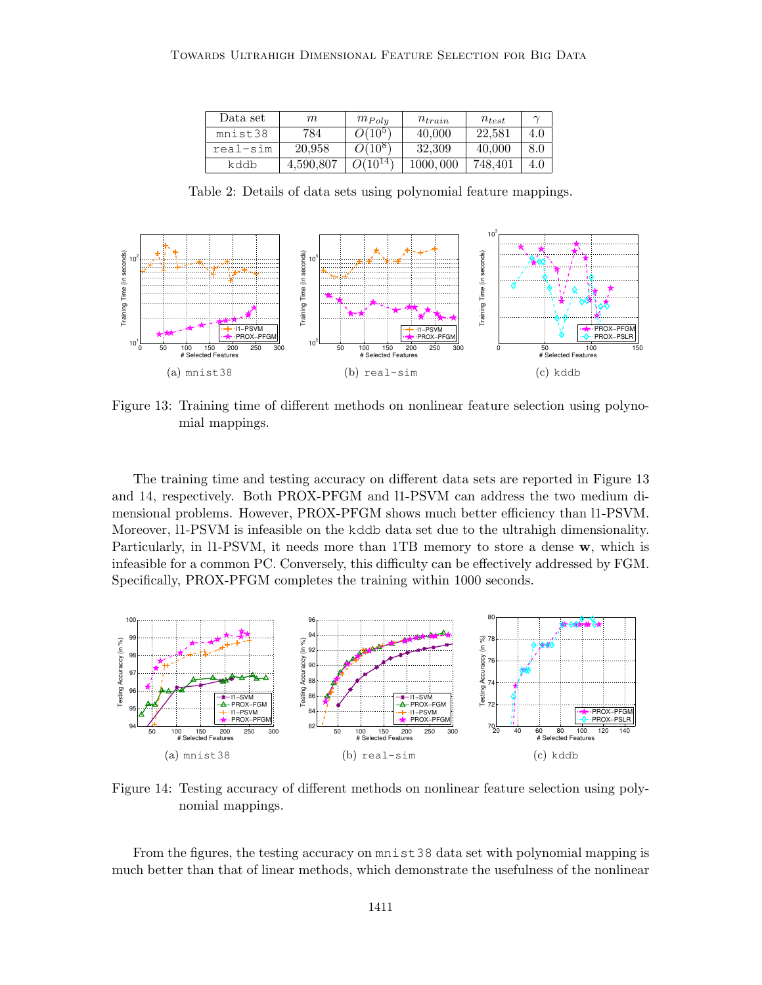<span id="page-40-0"></span>

| Data set | m         | $m_{Poly}$             | $n_{train}$  | $n_{test}$ |     |
|----------|-----------|------------------------|--------------|------------|-----|
| mnist38  | 784       | $O(10^5)$              | 40,000       | 22.581     | 4.0 |
| real-sim | 20.958    | $\overline{O(10^{8}})$ | 32,309       | 40.000     | 8.0 |
| kddb     | 4.590.807 | $(10^{14})$            | 000<br>1000. | 748.401    | 4.0 |

Table 2: Details of data sets using polynomial feature mappings.



<span id="page-40-1"></span>Figure 13: Training time of different methods on nonlinear feature selection using polynomial mappings.

The training time and testing accuracy on different data sets are reported in Figure [13](#page-40-1) and [14,](#page-40-2) respectively. Both PROX-PFGM and l1-PSVM can address the two medium dimensional problems. However, PROX-PFGM shows much better efficiency than l1-PSVM. Moreover, l1-PSVM is infeasible on the kddb data set due to the ultrahigh dimensionality. Particularly, in 11-PSVM, it needs more than 1TB memory to store a dense w, which is infeasible for a common PC. Conversely, this difficulty can be effectively addressed by FGM. Specifically, PROX-PFGM completes the training within 1000 seconds.



<span id="page-40-2"></span>Figure 14: Testing accuracy of different methods on nonlinear feature selection using polynomial mappings.

From the figures, the testing accuracy on mnist38 data set with polynomial mapping is much better than that of linear methods, which demonstrate the usefulness of the nonlinear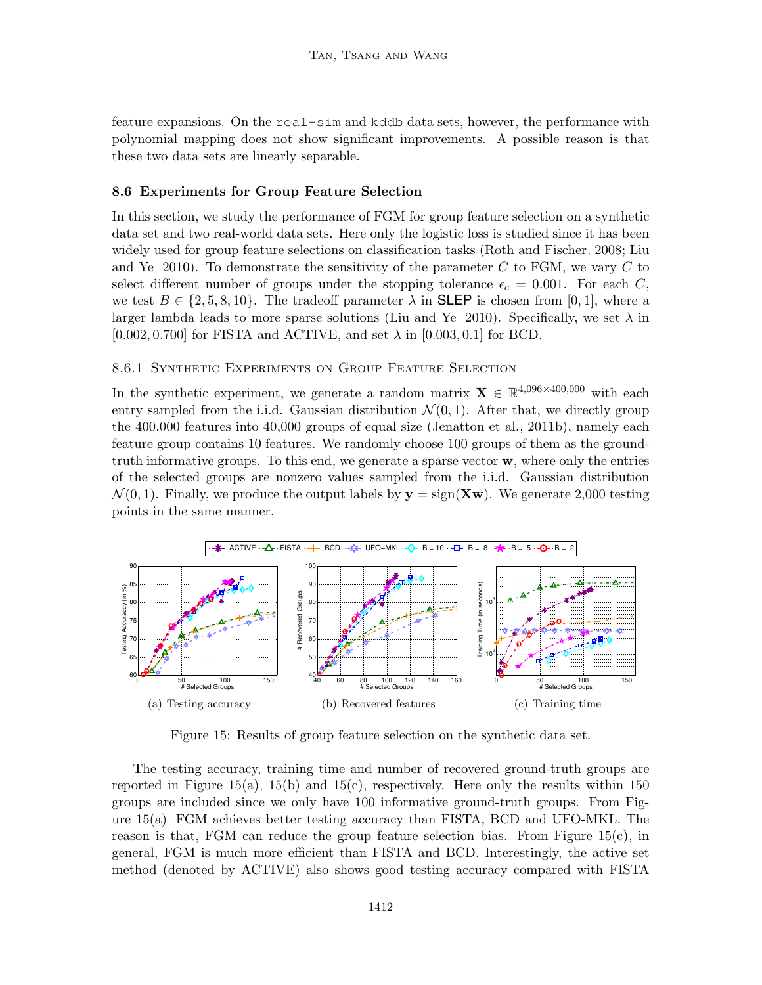feature expansions. On the real-sim and kddb data sets, however, the performance with polynomial mapping does not show significant improvements. A possible reason is that these two data sets are linearly separable.

#### <span id="page-41-0"></span>8.6 Experiments for Group Feature Selection

In this section, we study the performance of FGM for group feature selection on a synthetic data set and two real-world data sets. Here only the logistic loss is studied since it has been widely used for group feature selections on classification tasks [\(Roth and Fischer, 2008;](#page-56-7) [Liu](#page-55-10) [and Ye, 2010\)](#page-55-10). To demonstrate the sensitivity of the parameter  $C$  to FGM, we vary  $C$  to select different number of groups under the stopping tolerance  $\epsilon_c = 0.001$ . For each C, we test  $B \in \{2, 5, 8, 10\}$ . The tradeoff parameter  $\lambda$  in **SLEP** is chosen from [0, 1], where a larger lambda leads to more sparse solutions [\(Liu and Ye, 2010\)](#page-55-10). Specifically, we set  $\lambda$  in  $[0.002, 0.700]$  for FISTA and ACTIVE, and set  $\lambda$  in  $[0.003, 0.1]$  for BCD.

#### 8.6.1 Synthetic Experiments on Group Feature Selection

In the synthetic experiment, we generate a random matrix  $X \in \mathbb{R}^{4,096\times400,000}$  with each entry sampled from the i.i.d. Gaussian distribution  $\mathcal{N}(0, 1)$ . After that, we directly group the 400,000 features into 40,000 groups of equal size [\(Jenatton et al., 2011b\)](#page-54-10), namely each feature group contains 10 features. We randomly choose 100 groups of them as the groundtruth informative groups. To this end, we generate a sparse vector  $w$ , where only the entries of the selected groups are nonzero values sampled from the i.i.d. Gaussian distribution  $\mathcal{N}(0, 1)$ . Finally, we produce the output labels by  $y = sign(\mathbf{Xw})$ . We generate 2,000 testing points in the same manner.

<span id="page-41-1"></span>

<span id="page-41-3"></span><span id="page-41-2"></span>Figure 15: Results of group feature selection on the synthetic data set.

The testing accuracy, training time and number of recovered ground-truth groups are reported in Figure [15\(a\),](#page-41-1) [15\(b\)](#page-41-2) and [15\(c\),](#page-41-3) respectively. Here only the results within 150 groups are included since we only have 100 informative ground-truth groups. From Figure [15\(a\),](#page-41-1) FGM achieves better testing accuracy than FISTA, BCD and UFO-MKL. The reason is that, FGM can reduce the group feature selection bias. From Figure [15\(c\),](#page-41-3) in general, FGM is much more efficient than FISTA and BCD. Interestingly, the active set method (denoted by ACTIVE) also shows good testing accuracy compared with FISTA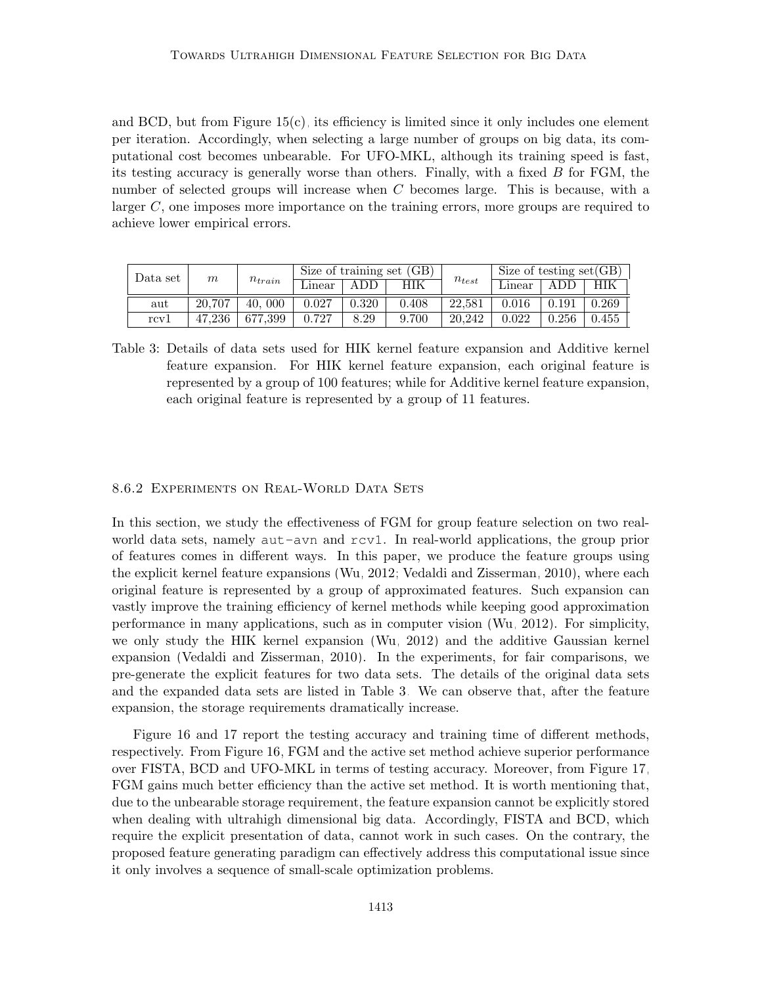and BCD, but from Figure  $15(c)$ , its efficiency is limited since it only includes one element per iteration. Accordingly, when selecting a large number of groups on big data, its computational cost becomes unbearable. For UFO-MKL, although its training speed is fast, its testing accuracy is generally worse than others. Finally, with a fixed B for FGM, the number of selected groups will increase when C becomes large. This is because, with a larger  $C$ , one imposes more importance on the training errors, more groups are required to achieve lower empirical errors.

<span id="page-42-0"></span>

| Data set | $\,m$  |             |        |       | Size of training set (GB) | $n_{test}$ | Size of testing $set(GB)$ |       |       |
|----------|--------|-------------|--------|-------|---------------------------|------------|---------------------------|-------|-------|
|          |        | $n_{train}$ | Linear | ADD   | HIK                       |            | Linear                    | ADD   | HIK   |
| aut      | 20.707 | 000<br>40.  | 0.027  | 0.320 | 0.408                     | 22.581     | 0.016                     | 0.191 | 0.269 |
| rcv1     | 47.236 | 677.399     | 0.727  | 8.29  | 9.700                     | 20.242     | 0.022                     | 0.256 | 0.455 |

Table 3: Details of data sets used for HIK kernel feature expansion and Additive kernel feature expansion. For HIK kernel feature expansion, each original feature is represented by a group of 100 features; while for Additive kernel feature expansion, each original feature is represented by a group of 11 features.

#### 8.6.2 Experiments on Real-World Data Sets

In this section, we study the effectiveness of FGM for group feature selection on two realworld data sets, namely aut-avn and rcv1. In real-world applications, the group prior of features comes in different ways. In this paper, we produce the feature groups using the explicit kernel feature expansions [\(Wu, 2012;](#page-57-1) [Vedaldi and Zisserman, 2010\)](#page-57-12), where each original feature is represented by a group of approximated features. Such expansion can vastly improve the training efficiency of kernel methods while keeping good approximation performance in many applications, such as in computer vision [\(Wu, 2012\)](#page-57-1). For simplicity, we only study the HIK kernel expansion [\(Wu, 2012\)](#page-57-1) and the additive Gaussian kernel expansion [\(Vedaldi and Zisserman, 2010\)](#page-57-12). In the experiments, for fair comparisons, we pre-generate the explicit features for two data sets. The details of the original data sets and the expanded data sets are listed in Table [3.](#page-42-0) We can observe that, after the feature expansion, the storage requirements dramatically increase.

Figure [16](#page-43-1) and [17](#page-44-0) report the testing accuracy and training time of different methods, respectively. From Figure [16,](#page-43-1) FGM and the active set method achieve superior performance over FISTA, BCD and UFO-MKL in terms of testing accuracy. Moreover, from Figure [17,](#page-44-0) FGM gains much better efficiency than the active set method. It is worth mentioning that, due to the unbearable storage requirement, the feature expansion cannot be explicitly stored when dealing with ultrahigh dimensional big data. Accordingly, FISTA and BCD, which require the explicit presentation of data, cannot work in such cases. On the contrary, the proposed feature generating paradigm can effectively address this computational issue since it only involves a sequence of small-scale optimization problems.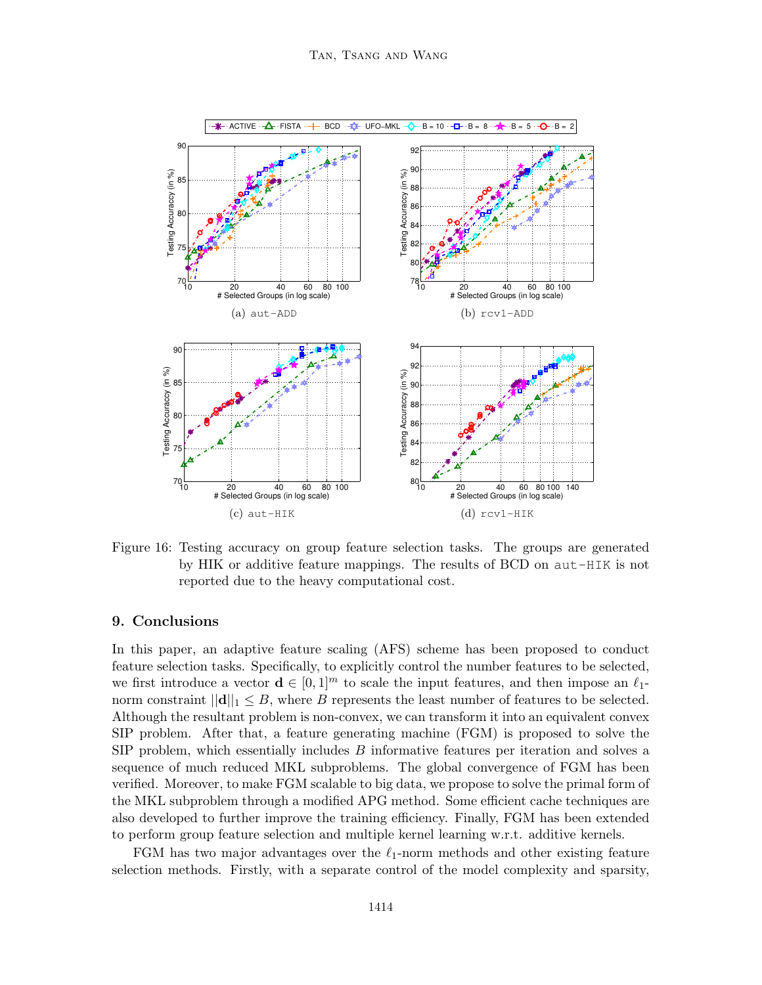

<span id="page-43-1"></span>Figure 16: Testing accuracy on group feature selection tasks. The groups are generated by HIK or additive feature mappings. The results of BCD on aut-HIK is not reported due to the heavy computational cost.

## <span id="page-43-0"></span>9. Conclusions

In this paper, an adaptive feature scaling (AFS) scheme has been proposed to conduct feature selection tasks. Specifically, to explicitly control the number features to be selected, we first introduce a vector  $\mathbf{d} \in [0,1]^m$  to scale the input features, and then impose an  $\ell_1$ norm constraint  $||\mathbf{d}||_1 \leq B$ , where B represents the least number of features to be selected. Although the resultant problem is non-convex, we can transform it into an equivalent convex SIP problem. After that, a feature generating machine (FGM) is proposed to solve the SIP problem, which essentially includes B informative features per iteration and solves a sequence of much reduced MKL subproblems. The global convergence of FGM has been verified. Moreover, to make FGM scalable to big data, we propose to solve the primal form of the MKL subproblem through a modified APG method. Some efficient cache techniques are also developed to further improve the training efficiency. Finally, FGM has been extended to perform group feature selection and multiple kernel learning w.r.t. additive kernels.

FGM has two major advantages over the  $\ell_1$ -norm methods and other existing feature selection methods. Firstly, with a separate control of the model complexity and sparsity,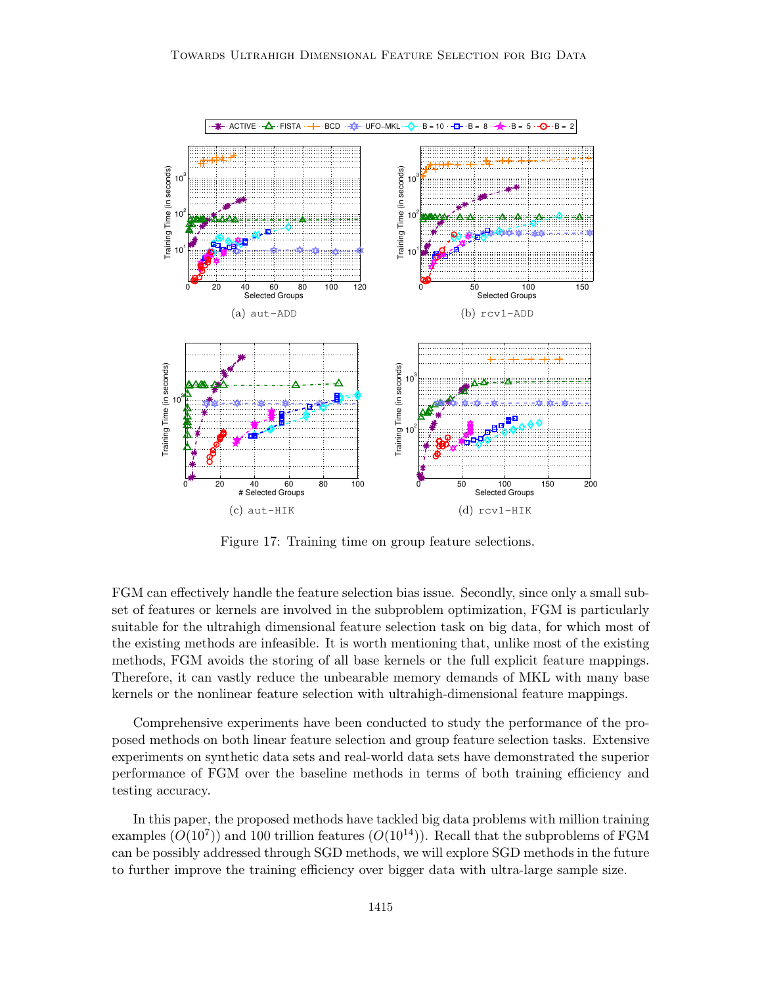

<span id="page-44-0"></span>Figure 17: Training time on group feature selections.

FGM can effectively handle the feature selection bias issue. Secondly, since only a small subset of features or kernels are involved in the subproblem optimization, FGM is particularly suitable for the ultrahigh dimensional feature selection task on big data, for which most of the existing methods are infeasible. It is worth mentioning that, unlike most of the existing methods, FGM avoids the storing of all base kernels or the full explicit feature mappings. Therefore, it can vastly reduce the unbearable memory demands of MKL with many base kernels or the nonlinear feature selection with ultrahigh-dimensional feature mappings.

Comprehensive experiments have been conducted to study the performance of the proposed methods on both linear feature selection and group feature selection tasks. Extensive experiments on synthetic data sets and real-world data sets have demonstrated the superior performance of FGM over the baseline methods in terms of both training efficiency and testing accuracy.

In this paper, the proposed methods have tackled big data problems with million training examples  $(O(10^7))$  and 100 trillion features  $(O(10^{14}))$ . Recall that the subproblems of FGM can be possibly addressed through SGD methods, we will explore SGD methods in the future to further improve the training efficiency over bigger data with ultra-large sample size.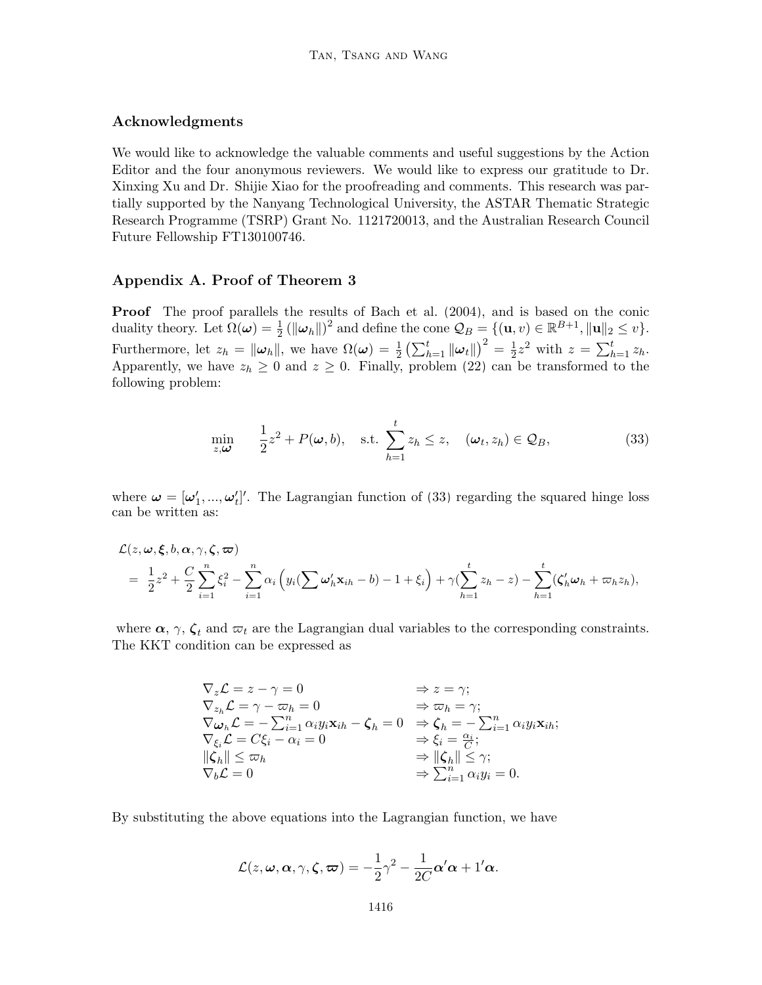### Acknowledgments

We would like to acknowledge the valuable comments and useful suggestions by the Action Editor and the four anonymous reviewers. We would like to express our gratitude to Dr. Xinxing Xu and Dr. Shijie Xiao for the proofreading and comments. This research was partially supported by the Nanyang Technological University, the ASTAR Thematic Strategic Research Programme (TSRP) Grant No. 1121720013, and the Australian Research Council Future Fellowship FT130100746.

### Appendix A. Proof of Theorem [3](#page-14-1)

Proof The proof parallels the results of [Bach et al.](#page-53-11) [\(2004\)](#page-53-11), and is based on the conic duality theory. Let  $\Omega(\boldsymbol{\omega}) = \frac{1}{2} (\|\boldsymbol{\omega}_h\|)^2$  and define the cone  $\mathcal{Q}_B = \{(\mathbf{u}, v) \in \mathbb{R}^{B+1}, \|\mathbf{u}\|_2 \le v\}.$ 2 Furthermore, let  $z_h = ||\boldsymbol{\omega}_h||$ , we have  $\Omega(\boldsymbol{\omega}) = \frac{1}{2} \left( \sum_{h=1}^t ||\boldsymbol{\omega}_t|| \right)^2 = \frac{1}{2}$  $\frac{1}{2}z^2$  with  $z = \sum_{h=1}^t z_h$ . Apparently, we have  $z_h \geq 0$  and  $z \geq 0$ . Finally, problem [\(22\)](#page-14-2) can be transformed to the following problem:

<span id="page-45-0"></span>
$$
\min_{z,\boldsymbol{\omega}} \quad \frac{1}{2}z^2 + P(\boldsymbol{\omega}, b), \quad \text{s.t.} \sum_{h=1}^t z_h \le z, \quad (\boldsymbol{\omega}_t, z_h) \in \mathcal{Q}_B,
$$
\n(33)

where  $\boldsymbol{\omega} = [\omega'_1, ..., \omega'_t]'$ . The Lagrangian function of [\(33\)](#page-45-0) regarding the squared hinge loss can be written as:

<span id="page-45-1"></span>
$$
\mathcal{L}(z,\omega,\xi,b,\alpha,\gamma,\zeta,\varpi) = \frac{1}{2}z^2 + \frac{C}{2}\sum_{i=1}^n\xi_i^2 - \sum_{i=1}^n\alpha_i\left(y_i(\sum \omega_h'\mathbf{x}_{ih}-b)-1+\xi_i\right) + \gamma(\sum_{h=1}^t z_h-z) - \sum_{h=1}^t(\zeta_h'\omega_h+\varpi_hz_h),
$$

where  $\alpha$ ,  $\gamma$ ,  $\zeta_t$  and  $\varpi_t$  are the Lagrangian dual variables to the corresponding constraints. The KKT condition can be expressed as

$$
\nabla_z \mathcal{L} = z - \gamma = 0 \qquad \Rightarrow z = \gamma; \n\nabla_{z_h} \mathcal{L} = \gamma - \varpi_h = 0 \qquad \Rightarrow \varpi_h = \gamma; \n\nabla_{\omega_h} \mathcal{L} = -\sum_{i=1}^n \alpha_i y_i \mathbf{x}_{ih} - \zeta_h = 0 \qquad \Rightarrow \zeta_h = -\sum_{i=1}^n \alpha_i y_i \mathbf{x}_{ih}; \n\nabla_{\xi_i} \mathcal{L} = C \xi_i - \alpha_i = 0 \qquad \Rightarrow \xi_i = \frac{\alpha_i}{C}; \n\|\zeta_h\| \leq \varpi_h \qquad \Rightarrow \|\zeta_h\| \leq \gamma; \n\nabla_b \mathcal{L} = 0 \qquad \Rightarrow \sum_{i=1}^n \alpha_i y_i = 0.
$$

By substituting the above equations into the Lagrangian function, we have

$$
\mathcal{L}(z,\omega,\alpha,\gamma,\zeta,\varpi)=-\frac{1}{2}\gamma^2-\frac{1}{2C}\alpha'\alpha+1'\alpha.
$$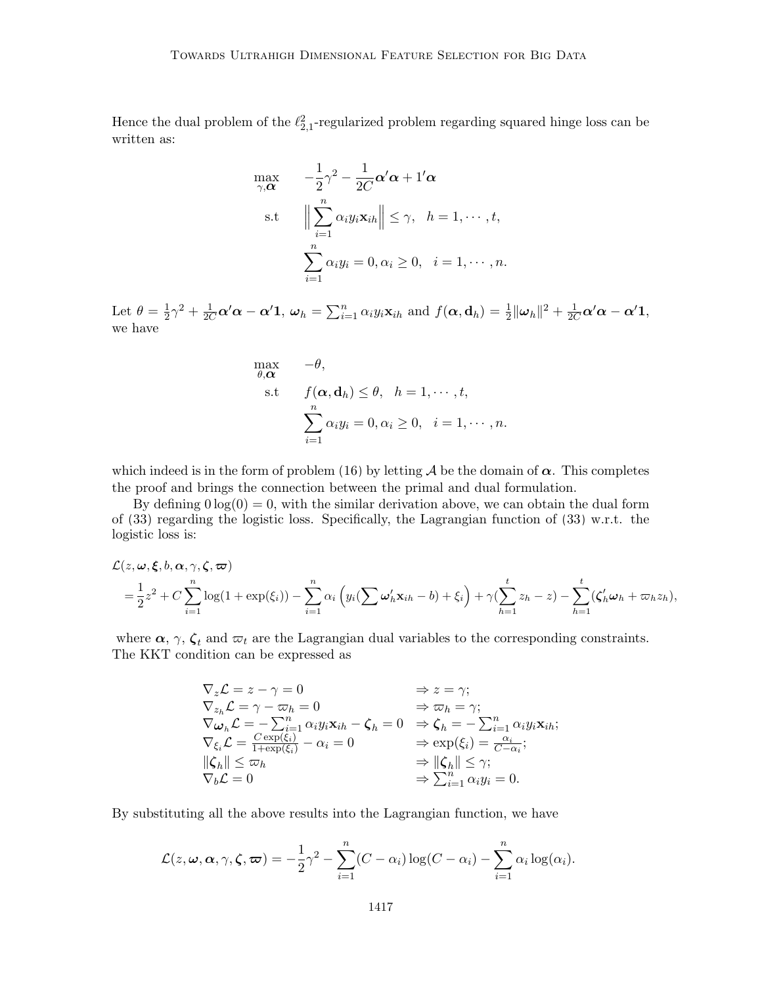Hence the dual problem of the  $\ell_{2,1}^2$ -regularized problem regarding squared hinge loss can be written as:

$$
\max_{\gamma, \alpha} \quad -\frac{1}{2}\gamma^2 - \frac{1}{2C}\alpha'\alpha + 1'\alpha
$$
\n
$$
\text{s.t} \quad \left\|\sum_{i=1}^n \alpha_i y_i \mathbf{x}_{ih}\right\| \leq \gamma, \quad h = 1, \cdots, t,
$$
\n
$$
\sum_{i=1}^n \alpha_i y_i = 0, \alpha_i \geq 0, \quad i = 1, \cdots, n.
$$

Let  $\theta = \frac{1}{2}$  $\frac{1}{2}\gamma^2 + \frac{1}{2C}\alpha'\alpha - \alpha' \mathbf{1}, \ \omega_h = \sum_{i=1}^n \alpha_i y_i \mathbf{x}_{ih} \text{ and } f(\alpha, \mathbf{d}_h) = \frac{1}{2} ||\boldsymbol{\omega}_h||^2 + \frac{1}{2C}\alpha'\alpha - \alpha' \mathbf{1},$ we have

$$
\begin{aligned}\n\max_{\theta, \alpha} & -\theta, \\
\text{s.t} & f(\alpha, \mathbf{d}_h) \le \theta, \ \ h = 1, \cdots, t, \\
& \sum_{i=1}^n \alpha_i y_i = 0, \alpha_i \ge 0, \ \ i = 1, \cdots, n.\n\end{aligned}
$$

which indeed is in the form of problem [\(16\)](#page-9-3) by letting A be the domain of  $\alpha$ . This completes the proof and brings the connection between the primal and dual formulation.

By defining  $0 \log(0) = 0$ , with the similar derivation above, we can obtain the dual form of [\(33\)](#page-45-0) regarding the logistic loss. Specifically, the Lagrangian function of [\(33\)](#page-45-0) w.r.t. the logistic loss is:

$$
\mathcal{L}(z,\omega,\xi,b,\alpha,\gamma,\zeta,\varpi) = \frac{1}{2}z^2 + C\sum_{i=1}^n \log(1+\exp(\xi_i)) - \sum_{i=1}^n \alpha_i \left(y_i(\sum \omega'_h x_{ih} - b) + \xi_i\right) + \gamma(\sum_{h=1}^t z_h - z) - \sum_{h=1}^t (\zeta'_h \omega_h + \varpi_h z_h),
$$

where  $\alpha$ ,  $\gamma$ ,  $\zeta_t$  and  $\varpi_t$  are the Lagrangian dual variables to the corresponding constraints. The KKT condition can be expressed as

$$
\nabla_z \mathcal{L} = z - \gamma = 0 \qquad \Rightarrow z = \gamma; \n\nabla_{z_h} \mathcal{L} = \gamma - \varpi_h = 0 \qquad \Rightarrow \varpi_h = \gamma; \n\nabla_{\omega_h} \mathcal{L} = -\sum_{i=1}^n \alpha_i y_i \mathbf{x}_{ih} - \zeta_h = 0 \qquad \Rightarrow \zeta_h = -\sum_{i=1}^n \alpha_i y_i \mathbf{x}_{ih}; \n\nabla_{\xi_i} \mathcal{L} = \frac{C \exp(\xi_i)}{1 + \exp(\xi_i)} - \alpha_i = 0 \qquad \Rightarrow \exp(\xi_i) = \frac{\alpha_i}{C - \alpha_i}; \n\n\|\zeta_h\| \leq \varpi_h \qquad \Rightarrow \|\zeta_h\| \leq \gamma; \n\nabla_b \mathcal{L} = 0 \qquad \Rightarrow \sum_{i=1}^n \alpha_i y_i = 0.
$$

By substituting all the above results into the Lagrangian function, we have

$$
\mathcal{L}(z,\omega,\alpha,\gamma,\zeta,\varpi)=-\frac{1}{2}\gamma^2-\sum_{i=1}^n(C-\alpha_i)\log(C-\alpha_i)-\sum_{i=1}^n\alpha_i\log(\alpha_i).
$$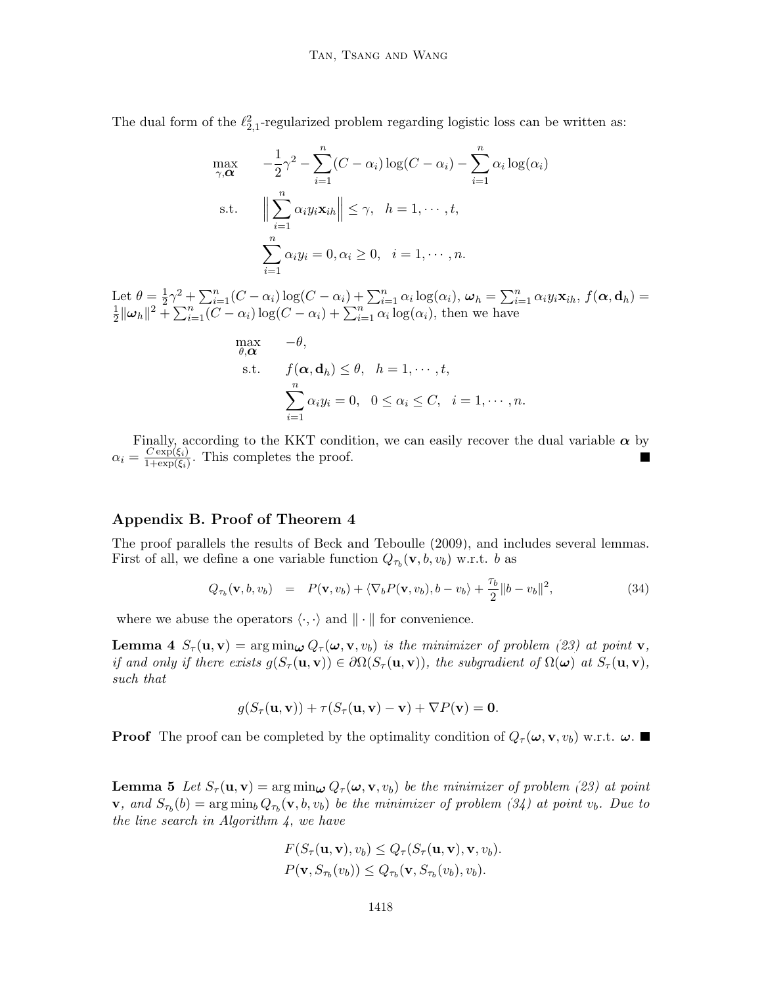The dual form of the  $\ell_{2,1}^2$ -regularized problem regarding logistic loss can be written as:

$$
\max_{\gamma, \alpha} \quad -\frac{1}{2}\gamma^2 - \sum_{i=1}^n (C - \alpha_i) \log(C - \alpha_i) - \sum_{i=1}^n \alpha_i \log(\alpha_i)
$$
\n
$$
\text{s.t.} \quad \Big\| \sum_{i=1}^n \alpha_i y_i \mathbf{x}_{ih} \Big\| \leq \gamma, \quad h = 1, \cdots, t,
$$
\n
$$
\sum_{i=1}^n \alpha_i y_i = 0, \alpha_i \geq 0, \quad i = 1, \cdots, n.
$$

Let  $\theta = \frac{1}{2}$ Let  $\theta = \frac{1}{2}\gamma^2 + \sum_{i=1}^n (C - \alpha_i) \log(C - \alpha_i) + \sum_{i=1}^n \alpha_i \log(\alpha_i), \omega_h = \sum_{i=1}^n \alpha_i y_i \mathbf{x}_{ih}, f(\mathbf{\alpha}, \mathbf{d}_h) =$ <br> $\frac{1}{2} \sum_{i=1}^n \sum_{i=1}^n (C - \alpha_i) \log(C - \alpha_i) + \sum_{i=1}^n \alpha_i \log(\alpha_i)$ , then we have  $\frac{1}{2} ||\boldsymbol{\omega}_h||^2 + \sum_{i=1}^n (C - \alpha_i) \log(C - \alpha_i) + \sum_{i=1}^n \alpha_i \log(\alpha_i),$  then we have

$$
\begin{aligned}\n\max_{\theta, \alpha} & -\theta, \\
\text{s.t.} & f(\alpha, \mathbf{d}_h) \le \theta, \quad h = 1, \cdots, t, \\
& \sum_{i=1}^n \alpha_i y_i = 0, \quad 0 \le \alpha_i \le C, \quad i = 1, \cdots, n.\n\end{aligned}
$$

Finally, according to the KKT condition, we can easily recover the dual variable  $\alpha$  by  $\alpha_i = \frac{C \exp(\xi_i)}{1+\exp(\xi_i)}$  $\frac{C \exp(\xi_i)}{1+\exp(\xi_i)}$ . This completes the proof.

## Appendix B. Proof of Theorem [4](#page-16-2)

The proof parallels the results of [Beck and Teboulle](#page-53-10) [\(2009\)](#page-53-10), and includes several lemmas. First of all, we define a one variable function  $Q_{\tau_b}(\mathbf{v}, b, v_b)$  w.r.t. b as

$$
Q_{\tau_b}(\mathbf{v}, b, v_b) = P(\mathbf{v}, v_b) + \langle \nabla_b P(\mathbf{v}, v_b), b - v_b \rangle + \frac{\tau_b}{2} ||b - v_b||^2, \qquad (34)
$$

where we abuse the operators  $\langle \cdot, \cdot \rangle$  and  $\| \cdot \|$  for convenience.

**Lemma 4**  $S_{\tau}(\mathbf{u}, \mathbf{v}) = \arg\min_{\boldsymbol{\omega}} Q_{\tau}(\boldsymbol{\omega}, \mathbf{v}, v_b)$  is the minimizer of problem [\(23\)](#page-15-3) at point **v**, if and only if there exists  $g(S_\tau(\mathbf{u}, \mathbf{v})) \in \partial \Omega(S_\tau(\mathbf{u}, \mathbf{v}))$ , the subgradient of  $\Omega(\boldsymbol{\omega})$  at  $S_\tau(\mathbf{u}, \mathbf{v})$ , such that

<span id="page-47-1"></span><span id="page-47-0"></span>
$$
g(S_{\tau}(\mathbf{u}, \mathbf{v})) + \tau(S_{\tau}(\mathbf{u}, \mathbf{v}) - \mathbf{v}) + \nabla P(\mathbf{v}) = \mathbf{0}.
$$

<span id="page-47-2"></span>**Proof** The proof can be completed by the optimality condition of  $Q_{\tau}(\omega, \mathbf{v}, v_b)$  w.r.t.  $\omega$ .

**Lemma 5** Let  $S_{\tau}(\mathbf{u}, \mathbf{v}) = \arg\min_{\boldsymbol{\omega}} Q_{\tau}(\boldsymbol{\omega}, \mathbf{v}, v_b)$  be the minimizer of problem [\(23\)](#page-15-3) at point **v**, and  $S_{\tau_b}(b) = \arg \min_b Q_{\tau_b}(\mathbf{v}, b, v_b)$  be the minimizer of problem [\(34\)](#page-45-1) at point  $v_b$ . Due to the line search in Algorithm  $4$ , we have

$$
F(S_{\tau}(\mathbf{u}, \mathbf{v}), v_b) \leq Q_{\tau}(S_{\tau}(\mathbf{u}, \mathbf{v}), \mathbf{v}, v_b).
$$
  

$$
P(\mathbf{v}, S_{\tau_b}(v_b)) \leq Q_{\tau_b}(\mathbf{v}, S_{\tau_b}(v_b), v_b).
$$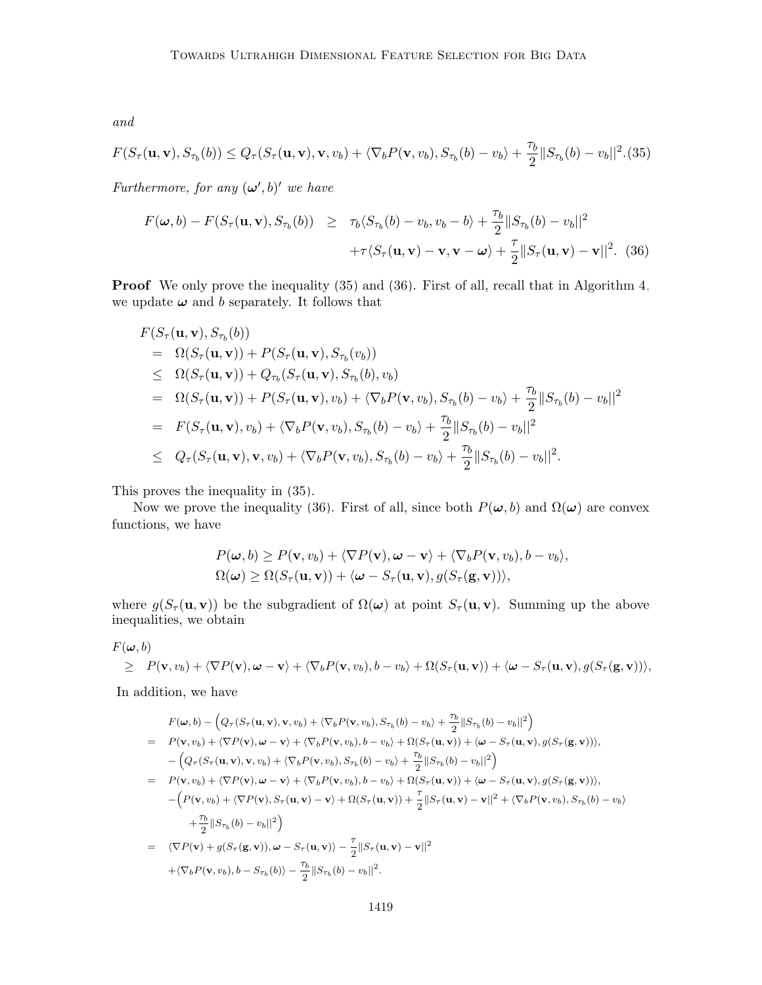and

$$
F(S_{\tau}(\mathbf{u}, \mathbf{v}), S_{\tau_b}(b)) \le Q_{\tau}(S_{\tau}(\mathbf{u}, \mathbf{v}), \mathbf{v}, v_b) + \langle \nabla_b P(\mathbf{v}, v_b), S_{\tau_b}(b) - v_b \rangle + \frac{\tau_b}{2} ||S_{\tau_b}(b) - v_b||^2. (35)
$$

Furthermore, for any  $(\omega', b)'$  we have

<span id="page-48-0"></span>
$$
F(\boldsymbol{\omega},b) - F(S_{\tau}(\mathbf{u},\mathbf{v}), S_{\tau_b}(b)) \geq \tau_b \langle S_{\tau_b}(b) - v_b, v_b - b \rangle + \frac{\tau_b}{2} ||S_{\tau_b}(b) - v_b||^2
$$
  
 
$$
+ \tau \langle S_{\tau}(\mathbf{u}, \mathbf{v}) - \mathbf{v}, \mathbf{v} - \boldsymbol{\omega} \rangle + \frac{\tau}{2} ||S_{\tau}(\mathbf{u}, \mathbf{v}) - \mathbf{v}||^2. (36)
$$

**Proof** We only prove the inequality  $(35)$  and  $(36)$ . First of all, recall that in Algorithm [4,](#page-17-0) we update  $\omega$  and b separately. It follows that

$$
F(S_{\tau}(\mathbf{u}, \mathbf{v}), S_{\tau_b}(b))
$$
  
\n
$$
= \Omega(S_{\tau}(\mathbf{u}, \mathbf{v})) + P(S_{\tau}(\mathbf{u}, \mathbf{v}), S_{\tau_b}(v_b))
$$
  
\n
$$
\leq \Omega(S_{\tau}(\mathbf{u}, \mathbf{v})) + Q_{\tau_b}(S_{\tau}(\mathbf{u}, \mathbf{v}), S_{\tau_b}(b), v_b)
$$
  
\n
$$
= \Omega(S_{\tau}(\mathbf{u}, \mathbf{v})) + P(S_{\tau}(\mathbf{u}, \mathbf{v}), v_b) + \langle \nabla_b P(\mathbf{v}, v_b), S_{\tau_b}(b) - v_b \rangle + \frac{\tau_b}{2} ||S_{\tau_b}(b) - v_b||^2
$$
  
\n
$$
= F(S_{\tau}(\mathbf{u}, \mathbf{v}), v_b) + \langle \nabla_b P(\mathbf{v}, v_b), S_{\tau_b}(b) - v_b \rangle + \frac{\tau_b}{2} ||S_{\tau_b}(b) - v_b||^2
$$
  
\n
$$
\leq Q_{\tau}(S_{\tau}(\mathbf{u}, \mathbf{v}), \mathbf{v}, v_b) + \langle \nabla_b P(\mathbf{v}, v_b), S_{\tau_b}(b) - v_b \rangle + \frac{\tau_b}{2} ||S_{\tau_b}(b) - v_b||^2.
$$

This proves the inequality in [\(35\)](#page-47-0).

Now we prove the inequality [\(36\)](#page-48-0). First of all, since both  $P(\omega, b)$  and  $\Omega(\omega)$  are convex functions, we have

<span id="page-48-1"></span>
$$
P(\omega, b) \ge P(\mathbf{v}, v_b) + \langle \nabla P(\mathbf{v}), \omega - \mathbf{v} \rangle + \langle \nabla_b P(\mathbf{v}, v_b), b - v_b \rangle,
$$
  

$$
\Omega(\omega) \ge \Omega(S_\tau(\mathbf{u}, \mathbf{v})) + \langle \omega - S_\tau(\mathbf{u}, \mathbf{v}), g(S_\tau(\mathbf{g}, \mathbf{v})) \rangle,
$$

where  $g(S_\tau(\mathbf{u}, \mathbf{v}))$  be the subgradient of  $\Omega(\omega)$  at point  $S_\tau(\mathbf{u}, \mathbf{v})$ . Summing up the above inequalities, we obtain

 $F(\boldsymbol{\omega}, b)$ 

$$
\geq P(\mathbf{v},v_b)+\langle \nabla P(\mathbf{v}), \boldsymbol{\omega}-\mathbf{v}\rangle+\langle \nabla_b P(\mathbf{v},v_b), b-v_b\rangle+\Omega(S_{\tau}(\mathbf{u},\mathbf{v}))+\langle \boldsymbol{\omega}-S_{\tau}(\mathbf{u},\mathbf{v}), g(S_{\tau}(\mathbf{g},\mathbf{v}))\rangle,
$$

In addition, we have

$$
F(\omega, b) - \left(Q_{\tau}(S_{\tau}(\mathbf{u}, \mathbf{v}), \mathbf{v}, v_{b}) + \langle \nabla_{b} P(\mathbf{v}, v_{b}), S_{\tau_{b}}(b) - v_{b} \rangle + \frac{\tau_{b}}{2} ||S_{\tau_{b}}(b) - v_{b}||^{2}\right)
$$
  
\n
$$
= P(\mathbf{v}, v_{b}) + \langle \nabla P(\mathbf{v}), \omega - \mathbf{v} \rangle + \langle \nabla_{b} P(\mathbf{v}, v_{b}), b - v_{b} \rangle + \Omega(S_{\tau}(\mathbf{u}, \mathbf{v})) + \langle \omega - S_{\tau}(\mathbf{u}, \mathbf{v}), g(S_{\tau}(\mathbf{g}, \mathbf{v})) \rangle,
$$
  
\n
$$
- \left(Q_{\tau}(S_{\tau}(\mathbf{u}, \mathbf{v}), \mathbf{v}, v_{b}) + \langle \nabla_{b} P(\mathbf{v}, v_{b}), S_{\tau_{b}}(b) - v_{b} \rangle + \frac{\tau_{b}}{2} ||S_{\tau_{b}}(b) - v_{b}||^{2}\right)
$$
  
\n
$$
= P(\mathbf{v}, v_{b}) + \langle \nabla P(\mathbf{v}), \omega - \mathbf{v} \rangle + \langle \nabla_{b} P(\mathbf{v}, v_{b}), b - v_{b} \rangle + \Omega(S_{\tau}(\mathbf{u}, \mathbf{v})) + \langle \omega - S_{\tau}(\mathbf{u}, \mathbf{v}), g(S_{\tau}(\mathbf{g}, \mathbf{v})) \rangle,
$$
  
\n
$$
- \left(P(\mathbf{v}, v_{b}) + \langle \nabla P(\mathbf{v}), S_{\tau}(\mathbf{u}, \mathbf{v}) - \mathbf{v} \rangle + \Omega(S_{\tau}(\mathbf{u}, \mathbf{v})) + \frac{\tau}{2} ||S_{\tau}(\mathbf{u}, \mathbf{v}) - \mathbf{v}||^{2} + \langle \nabla_{b} P(\mathbf{v}, v_{b}), S_{\tau_{b}}(b) - v_{b} \rangle
$$
  
\n
$$
+ \frac{\tau_{b}}{2} ||S_{\tau_{b}}(b) - v_{b}||^{2}\right)
$$
  
\n
$$
= \langle \nabla P(\mathbf{v}) + g(S_{\tau}(\mathbf{g}, \mathbf{v
$$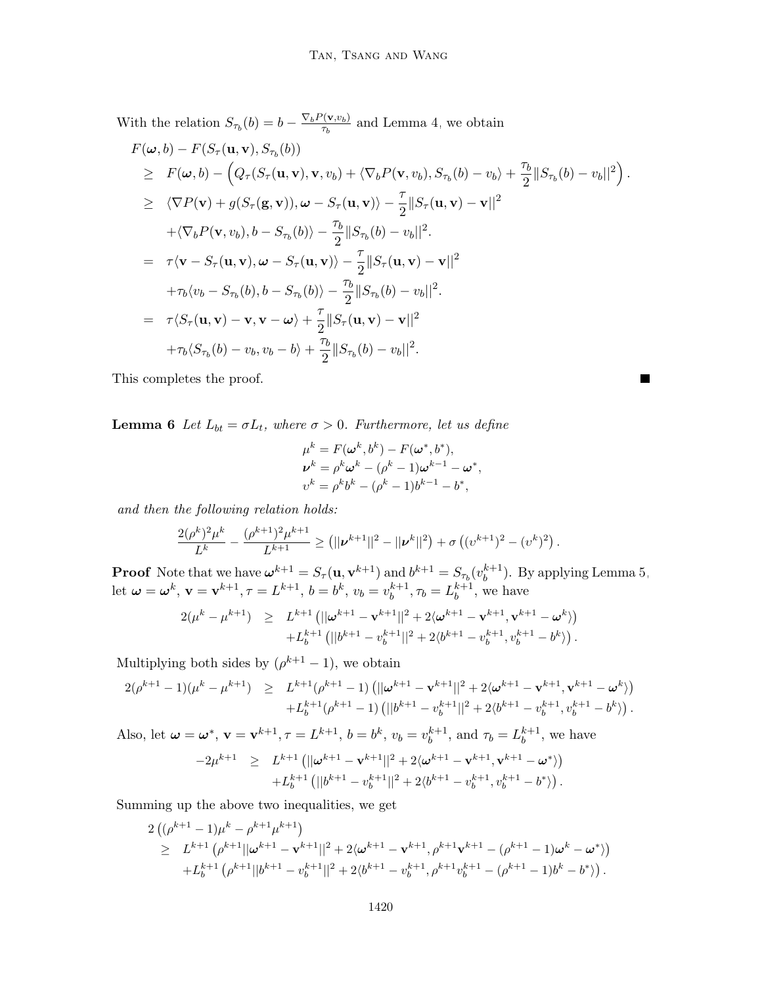With the relation  $S_{\tau_b}(b) = b - \frac{\nabla_b P(\mathbf{v}, v_b)}{\tau_b}$  $\frac{\partial(\mathbf{V},v_b)}{\partial t}$  and Lemma [4,](#page-47-1) we obtain

$$
F(\omega, b) - F(S_{\tau}(\mathbf{u}, \mathbf{v}), S_{\tau_b}(b))
$$
  
\n
$$
\geq F(\omega, b) - (Q_{\tau}(S_{\tau}(\mathbf{u}, \mathbf{v}), \mathbf{v}, v_b) + \langle \nabla_b P(\mathbf{v}, v_b), S_{\tau_b}(b) - v_b \rangle + \frac{\tau_b}{2} ||S_{\tau_b}(b) - v_b||^2 ).
$$
  
\n
$$
\geq \langle \nabla P(\mathbf{v}) + g(S_{\tau}(\mathbf{g}, \mathbf{v})), \omega - S_{\tau}(\mathbf{u}, \mathbf{v}) \rangle - \frac{\tau}{2} ||S_{\tau}(\mathbf{u}, \mathbf{v}) - \mathbf{v}||^2
$$
  
\n
$$
+ \langle \nabla_b P(\mathbf{v}, v_b), b - S_{\tau_b}(b) \rangle - \frac{\tau_b}{2} ||S_{\tau_b}(b) - v_b||^2.
$$
  
\n
$$
= \tau \langle \mathbf{v} - S_{\tau}(\mathbf{u}, \mathbf{v}), \omega - S_{\tau}(\mathbf{u}, \mathbf{v}) \rangle - \frac{\tau}{2} ||S_{\tau}(\mathbf{u}, \mathbf{v}) - \mathbf{v}||^2
$$
  
\n
$$
+ \tau_b \langle v_b - S_{\tau_b}(b), b - S_{\tau_b}(b) \rangle - \frac{\tau_b}{2} ||S_{\tau_b}(b) - v_b||^2.
$$
  
\n
$$
= \tau \langle S_{\tau}(\mathbf{u}, \mathbf{v}) - \mathbf{v}, \mathbf{v} - \omega \rangle + \frac{\tau}{2} ||S_{\tau}(\mathbf{u}, \mathbf{v}) - \mathbf{v}||^2
$$
  
\n
$$
+ \tau_b \langle S_{\tau_b}(b) - v_b, v_b - b \rangle + \frac{\tau_b}{2} ||S_{\tau_b}(b) - v_b||^2.
$$

<span id="page-49-0"></span>This completes the proof.

**Lemma 6** Let  $L_{bt} = \sigma L_t$ , where  $\sigma > 0$ . Furthermore, let us define

$$
\mu^{k} = F(\omega^{k}, b^{k}) - F(\omega^{*}, b^{*}), \n\nu^{k} = \rho^{k}\omega^{k} - (\rho^{k} - 1)\omega^{k-1} - \omega^{*}, \nv^{k} = \rho^{k}b^{k} - (\rho^{k} - 1)b^{k-1} - b^{*},
$$

ш

and then the following relation holds:

$$
\frac{2(\rho^k)^2\mu^k}{L^k} - \frac{(\rho^{k+1})^2\mu^{k+1}}{L^{k+1}} \geq (||\boldsymbol{\nu}^{k+1}||^2 - ||\boldsymbol{\nu}^k||^2) + \sigma ((\boldsymbol{\nu}^{k+1})^2 - (\boldsymbol{\nu}^k)^2).
$$

**Proof** Note that we have  $\boldsymbol{\omega}^{k+1} = S_{\tau}(\mathbf{u}, \mathbf{v}^{k+1})$  and  $b^{k+1} = S_{\tau_b}(v_b^{k+1})$  $b^{k+1}$ ). By applying Lemma [5,](#page-47-2) let  $\boldsymbol{\omega} = \boldsymbol{\omega}^k$ ,  $\mathbf{v} = \mathbf{v}^{k+1}$ ,  $\tau = L^{k+1}$ ,  $b = b^k$ ,  $v_b = v_b^{k+1}$  $b^{k+1}, \tau_b = L_b^{k+1}$  $b^{k+1}$ , we have

$$
2(\mu^{k} - \mu^{k+1}) \geq L^{k+1} (||\omega^{k+1} - \mathbf{v}^{k+1}||^{2} + 2\langle \omega^{k+1} - \mathbf{v}^{k+1}, \mathbf{v}^{k+1} - \omega^{k})
$$
  
+L<sub>b</sub><sup>k+1</sup> (||b<sup>k+1</sup> - v<sub>b</sub><sup>k+1</sup>||<sup>2</sup> + 2(b<sup>k+1</sup> - v<sub>b</sub><sup>k+1</sup>, v<sub>b</sub><sup>k+1</sup> - b<sup>k</sup>)).

Multiplying both sides by  $(\rho^{k+1} - 1)$ , we obtain

$$
\begin{array}{lcl} 2(\rho^{k+1}-1)(\mu^{k}-\mu^{k+1}) & \geq & L^{k+1}(\rho^{k+1}-1) \left( ||\omega^{k+1}-\mathbf{v}^{k+1}||^2 + 2\langle \omega^{k+1}-\mathbf{v}^{k+1}, \mathbf{v}^{k+1}-\omega^{k} \rangle \right) \\ & & + L_b^{k+1}(\rho^{k+1}-1) \left( ||b^{k+1}-v_b^{k+1}||^2 + 2\langle b^{k+1}-v_b^{k+1}, v_b^{k+1}-b^{k} \rangle \right). \end{array}
$$

Also, let  $\boldsymbol{\omega} = \boldsymbol{\omega}^*, \, \mathbf{v} = \mathbf{v}^{k+1}, \tau = L^{k+1}, \, b = b^k, \, v_b = v_b^{k+1}$  $b^{k+1}$ , and  $\tau_b = L_b^{k+1}$  $b^{k+1}$ , we have

$$
-2\mu^{k+1} \geq L^{k+1} \left( ||\boldsymbol{\omega}^{k+1} - \mathbf{v}^{k+1}||^2 + 2\langle \boldsymbol{\omega}^{k+1} - \mathbf{v}^{k+1}, \mathbf{v}^{k+1} - \boldsymbol{\omega}^* \rangle \right) + L_b^{k+1} \left( ||b^{k+1} - v_b^{k+1}||^2 + 2\langle b^{k+1} - v_b^{k+1}, v_b^{k+1} - b^* \rangle \right).
$$

Summing up the above two inequalities, we get

$$
\begin{split} &2\left((\rho^{k+1}-1)\mu^k-\rho^{k+1}\mu^{k+1}\right) \\ &\geq \hspace{0.2cm} L^{k+1}\left(\rho^{k+1}||\omega^{k+1}-\mathbf{v}^{k+1}||^2+2\langle\omega^{k+1}-\mathbf{v}^{k+1},\rho^{k+1}\mathbf{v}^{k+1}-(\rho^{k+1}-1)\omega^k-\omega^*\rangle\right) \\ &\hspace{0.2cm}+L^{k+1}_b\left(\rho^{k+1}||b^{k+1}-v^{k+1}_b||^2+2\langle b^{k+1}-v^{k+1}_b,\rho^{k+1}v^{k+1}_b-(\rho^{k+1}-1)b^k-b^*\rangle\right). \end{split}
$$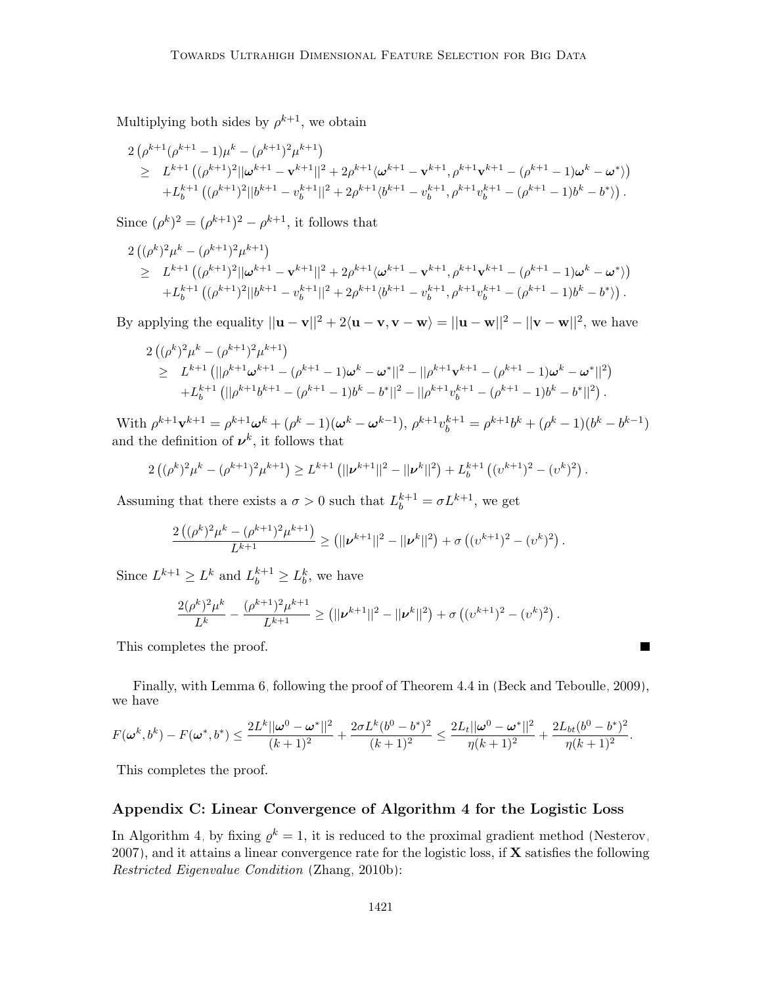Multiplying both sides by  $\rho^{k+1}$ , we obtain

$$
\begin{split} &2\left(\rho^{k+1}(\rho^{k+1}-1)\mu^{k}-(\rho^{k+1})^{2}\mu^{k+1}\right) \\ &\geq \ L^{k+1}\left((\rho^{k+1})^{2}||\omega^{k+1}-\mathbf{v}^{k+1}||^{2}+2\rho^{k+1}\langle\omega^{k+1}-\mathbf{v}^{k+1},\rho^{k+1}\mathbf{v}^{k+1}-(\rho^{k+1}-1)\omega^{k}-\omega^{*}\rangle\right) \\ &+L^{k+1}_{b}\left((\rho^{k+1})^{2}||b^{k+1}-v_{b}^{k+1}||^{2}+2\rho^{k+1}\langle b^{k+1}-v_{b}^{k+1},\rho^{k+1}v_{b}^{k+1}-(\rho^{k+1}-1)b^{k}-b^{*}\rangle\right). \end{split}
$$

Since  $(\rho^k)^2 = (\rho^{k+1})^2 - \rho^{k+1}$ , it follows that

$$
2\left((\rho^k)^2\mu^k - (\rho^{k+1})^2\mu^{k+1}\right) \n\geq L^{k+1}\left((\rho^{k+1})^2||\omega^{k+1} - \mathbf{v}^{k+1}||^2 + 2\rho^{k+1}\langle\omega^{k+1} - \mathbf{v}^{k+1}, \rho^{k+1}\mathbf{v}^{k+1} - (\rho^{k+1} - 1)\omega^k - \omega^*\rangle\right) \n+ L_b^{k+1}\left((\rho^{k+1})^2||b^{k+1} - v_b^{k+1}||^2 + 2\rho^{k+1}\langle b^{k+1} - v_b^{k+1}, \rho^{k+1}v_b^{k+1} - (\rho^{k+1} - 1)b^k - b^*\rangle\right).
$$

By applying the equality  $||\mathbf{u} - \mathbf{v}||^2 + 2\langle \mathbf{u} - \mathbf{v}, \mathbf{v} - \mathbf{w} \rangle = ||\mathbf{u} - \mathbf{w}||^2 - ||\mathbf{v} - \mathbf{w}||^2$ , we have

$$
\begin{array}{lcl} &2 \left( (\rho^k)^2 \mu^k - (\rho^{k+1})^2 \mu^{k+1} \right) \\ &\geq & L^{k+1} \left( ||\rho^{k+1} \boldsymbol{\omega}^{k+1} - (\rho^{k+1} - 1) \boldsymbol{\omega}^k - \boldsymbol{\omega}^*||^2 - ||\rho^{k+1} \mathbf{v}^{k+1} - (\rho^{k+1} - 1) \boldsymbol{\omega}^k - \boldsymbol{\omega}^*||^2 \right) \\ & & + L_b^{k+1} \left( ||\rho^{k+1} b^{k+1} - (\rho^{k+1} - 1) b^k - b^*||^2 - ||\rho^{k+1} v_b^{k+1} - (\rho^{k+1} - 1) b^k - b^*||^2 \right). \end{array}
$$

With  $\rho^{k+1}\mathbf{v}^{k+1} = \rho^{k+1}\omega^k + (\rho^k - 1)(\omega^k - \omega^{k-1}), \ \rho^{k+1}v_b^{k+1} = \rho^{k+1}b^k + (\rho^k - 1)(b^k - b^{k-1})$ and the definition of  $v^k$ , it follows that

$$
2((\rho^k)^2\mu^k - (\rho^{k+1})^2\mu^{k+1}) \ge L^{k+1} (||\nu^{k+1}||^2 - ||\nu^k||^2) + L_b^{k+1} ((\nu^{k+1})^2 - (\nu^k)^2).
$$

Assuming that there exists a  $\sigma > 0$  such that  $L_b^{k+1} = \sigma L^{k+1}$ , we get

$$
\frac{2((\rho^k)^2\mu^k-(\rho^{k+1})^2\mu^{k+1})}{L^{k+1}} \geq (||\boldsymbol{\nu}^{k+1}||^2 - ||\boldsymbol{\nu}^k||^2) + \sigma ((\boldsymbol{\nu}^{k+1})^2 - (\boldsymbol{\nu}^k)^2).
$$

Since  $L^{k+1} \ge L^k$  and  $L_b^{k+1} \ge L_b^k$ , we have

$$
\frac{2(\rho^k)^2\mu^k}{L^k} - \frac{(\rho^{k+1})^2\mu^{k+1}}{L^{k+1}} \geq (||\boldsymbol{\nu}^{k+1}||^2 - ||\boldsymbol{\nu}^k||^2) + \sigma ((\boldsymbol{\nu}^{k+1})^2 - (\boldsymbol{\nu}^k)^2).
$$

This completes the proof.

Finally, with Lemma [6,](#page-49-0) following the proof of Theorem 4.4 in [\(Beck and Teboulle, 2009\)](#page-53-10), we have

**The Second Service** 

$$
F(\boldsymbol{\omega}^k, b^k) - F(\boldsymbol{\omega}^*, b^*) \leq \frac{2L^k||\boldsymbol{\omega}^0 - \boldsymbol{\omega}^*||^2}{(k+1)^2} + \frac{2\sigma L^k(b^0 - b^*)^2}{(k+1)^2} \leq \frac{2L_t||\boldsymbol{\omega}^0 - \boldsymbol{\omega}^*||^2}{\eta(k+1)^2} + \frac{2L_{bt}(b^0 - b^*)^2}{\eta(k+1)^2}.
$$

This completes the proof.

## Appendix C: Linear Convergence of Algorithm [4](#page-17-0) for the Logistic Loss

In Algorithm [4,](#page-17-0) by fixing  $\rho^k = 1$ , it is reduced to the proximal gradient method [\(Nesterov,](#page-56-15) [2007\)](#page-56-15), and it attains a linear convergence rate for the logistic loss, if  $X$  satisfies the following Restricted Eigenvalue Condition [\(Zhang, 2010b\)](#page-58-5):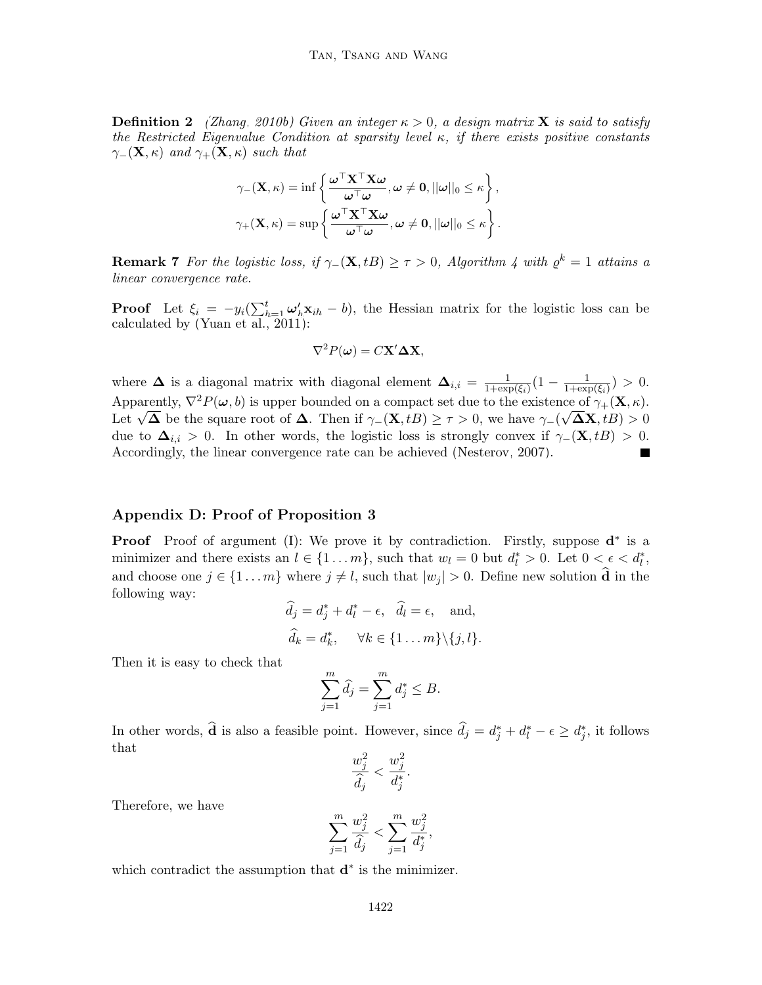**Definition 2** [\(Zhang, 2010b\)](#page-58-5) Given an integer  $\kappa > 0$ , a design matrix **X** is said to satisfy the Restricted Eigenvalue Condition at sparsity level  $\kappa$ , if there exists positive constants  $\gamma_-(\mathbf{X}, \kappa)$  and  $\gamma_+(\mathbf{X}, \kappa)$  such that

$$
\gamma_{-}(\mathbf{X}, \kappa) = \inf \left\{ \frac{\boldsymbol{\omega}^{\top} \mathbf{X}^{\top} \mathbf{X} \boldsymbol{\omega}}{\boldsymbol{\omega}^{\top} \boldsymbol{\omega}}, \boldsymbol{\omega} \neq \mathbf{0}, ||\boldsymbol{\omega}||_{0} \leq \kappa \right\},
$$

$$
\gamma_{+}(\mathbf{X}, \kappa) = \sup \left\{ \frac{\boldsymbol{\omega}^{\top} \mathbf{X}^{\top} \mathbf{X} \boldsymbol{\omega}}{\boldsymbol{\omega}^{\top} \boldsymbol{\omega}}, \boldsymbol{\omega} \neq \mathbf{0}, ||\boldsymbol{\omega}||_{0} \leq \kappa \right\}.
$$

**Remark 7** For the logistic loss, if  $\gamma$ -(**X**, tB) ≥  $\tau > 0$ , Algorithm [4](#page-17-0) with  $\varrho^k = 1$  attains a linear convergence rate.

**Proof** Let  $\xi_i = -y_i(\sum_{h=1}^t \omega_h' \mathbf{x}_{ih} - b)$ , the Hessian matrix for the logistic loss can be calculated by [\(Yuan et al., 2011\)](#page-58-3):

$$
\nabla^2 P(\boldsymbol{\omega}) = C \mathbf{X}' \boldsymbol{\Delta} \mathbf{X},
$$

where  $\Delta$  is a diagonal matrix with diagonal element  $\Delta_{i,i} = \frac{1}{1+\exp(i)}$  $\frac{1}{1+\exp(\xi_i)}(1-\frac{1}{1+\exp(i\xi_i)})$  $\frac{1}{1+\exp(\xi_i)}$ ) > 0. Apparently,  $\nabla^2 P(\boldsymbol{\omega}, b)$  is upper bounded on a compact set due to the existence of  $\gamma_+(\mathbf{X}, \kappa)$ . Apparently,  $\mathbf{v} \cdot P(\boldsymbol{\omega}, \theta)$  is upper bounded on a compact set due to the existence of  $\gamma_+(\mathbf{\Lambda}, \kappa)$ .<br>Let  $\sqrt{\mathbf{\Delta}}$  be the square root of  $\mathbf{\Delta}$ . Then if  $\gamma_-(\mathbf{X}, tB) \geq \tau > 0$ , we have  $\gamma_-(\sqrt{\mathbf{\Delta}}\mathbf{X}, tB) > 0$ due to  $\Delta_{i,i} > 0$ . In other words, the logistic loss is strongly convex if  $\gamma_-(\mathbf{X}, tB) > 0$ . Accordingly, the linear convergence rate can be achieved [\(Nesterov, 2007\)](#page-56-15).

### Appendix D: Proof of Proposition [3](#page-23-3)

**Proof** Proof of argument (I): We prove it by contradiction. Firstly, suppose  $\mathbf{d}^*$  is a minimizer and there exists an  $l \in \{1 \dots m\}$ , such that  $w_l = 0$  but  $d_l^* > 0$ . Let  $0 < \epsilon < d_l^*$ , and choose one  $j \in \{1 \dots m\}$  where  $j \neq l$ , such that  $|w_j| > 0$ . Define new solution  $\widehat{\mathbf{d}}$  in the following way:

$$
\widehat{d}_j = d_j^* + d_l^* - \epsilon, \quad \widehat{d}_l = \epsilon, \text{ and,}
$$

$$
\widehat{d}_k = d_k^*, \quad \forall k \in \{1 \dots m\} \setminus \{j, l\}.
$$

Then it is easy to check that

$$
\sum_{j=1}^{m} \widehat{d}_j = \sum_{j=1}^{m} d_j^* \le B.
$$

In other words,  $\hat{\mathbf{d}}$  is also a feasible point. However, since  $\hat{d}_j = d_j^* + d_l^* - \epsilon \geq d_j^*$ , it follows that

$$
\frac{w_j^2}{\widehat{d}_j} < \frac{w_j^2}{d_j^*}.
$$

Therefore, we have

$$
\sum_{j=1}^{m} \frac{w_j^2}{\hat{d}_j} < \sum_{j=1}^{m} \frac{w_j^2}{d_j^*},
$$

which contradict the assumption that  $\mathbf{d}^*$  is the minimizer.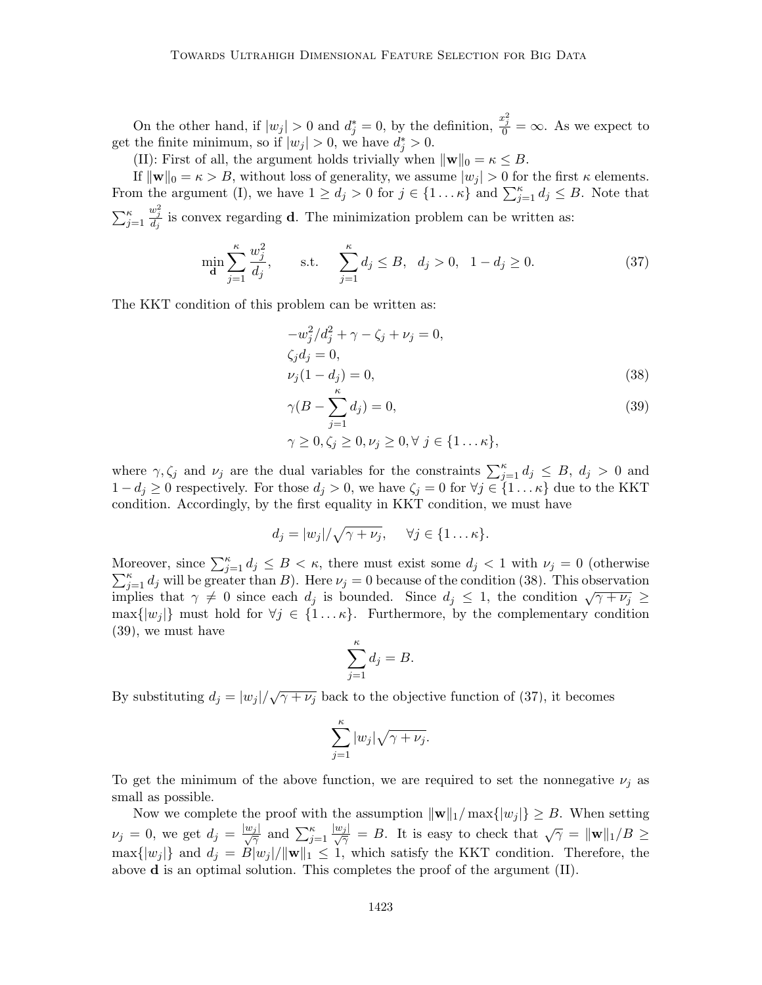On the other hand, if  $|w_j| > 0$  and  $d_j^* = 0$ , by the definition,  $\frac{x_j^2}{0} = \infty$ . As we expect to get the finite minimum, so if  $|w_j| > 0$ , we have  $d_j^* > 0$ .

(II): First of all, the argument holds trivially when  $\|\mathbf{w}\|_0 = \kappa \leq B$ .

If  $\|\mathbf{w}\|_0 = \kappa > B$ , without loss of generality, we assume  $|w_j| > 0$  for the first  $\kappa$  elements. From the argument (I), we have  $1 \ge d_j > 0$  for  $j \in \{1 \dots \kappa\}$  and  $\sum_{j=1}^{\kappa} d_j \le B$ . Note that  $\sum_{j=1}^{\kappa}$  $\frac{w_j^2}{d_j}$  is convex regarding **d**. The minimization problem can be written as:

$$
\min_{\mathbf{d}} \sum_{j=1}^{\kappa} \frac{w_j^2}{d_j}, \qquad \text{s.t.} \quad \sum_{j=1}^{\kappa} d_j \le B, \quad d_j > 0, \quad 1 - d_j \ge 0. \tag{37}
$$

The KKT condition of this problem can be written as:

<span id="page-52-0"></span>
$$
-w_j^2/d_j^2 + \gamma - \zeta_j + \nu_j = 0,
$$
  
\n
$$
\zeta_j d_j = 0,
$$
  
\n
$$
\nu_j (1 - d_j) = 0,
$$
\n(38)

$$
\gamma(B - \sum_{j=1}^{\kappa} d_j) = 0,
$$
  
\n
$$
\gamma \ge 0, \zeta_j \ge 0, \nu_j \ge 0, \forall j \in \{1 \dots \kappa\},
$$
\n(39)

where  $\gamma, \zeta_j$  and  $\nu_j$  are the dual variables for the constraints  $\sum_{j=1}^{\kappa} d_j \leq B$ ,  $d_j > 0$  and  $1 - d_j \geq 0$  respectively. For those  $d_j > 0$ , we have  $\zeta_j = 0$  for  $\forall j \in \{1 \dots \kappa\}$  due to the KKT condition. Accordingly, by the first equality in KKT condition, we must have

$$
d_j = |w_j|/\sqrt{\gamma + \nu_j}, \quad \forall j \in \{1 \dots \kappa\}.
$$

Moreover, since  $\sum_{j=1}^{\kappa} d_j \leq B < \kappa$ , there must exist some  $d_j < 1$  with  $\nu_j = 0$  (otherwise  $\sum_{j=1}^{\kappa} d_j$  will be greater than B). Here  $\nu_j = 0$  because of the condition [\(38\)](#page-52-0). This observation  $\sum_{j=1}^{\infty} a_j$  with be greater than *D*). Here  $\nu_j = 0$  because of the condition (50). This observation implies that  $\gamma \neq 0$  since each  $d_j$  is bounded. Since  $d_j \leq 1$ , the condition  $\sqrt{\gamma + \nu_j} \geq$  $\max\{|w_j|\}$  must hold for  $\forall j \in \{1 \dots \kappa\}$ . Furthermore, by the complementary condition [\(39\)](#page-52-0), we must have

$$
\sum_{j=1}^{\kappa} d_j = B.
$$

By substituting  $d_j = |w_j| / \sqrt{\gamma + \nu_j}$  back to the objective function of [\(37\)](#page-48-1), it becomes

$$
\sum_{j=1}^{\kappa} |w_j| \sqrt{\gamma + \nu_j}.
$$

To get the minimum of the above function, we are required to set the nonnegative  $\nu_i$  as small as possible.

Now we complete the proof with the assumption  $\|\mathbf{w}\|_1/\max\{|w_i|\} \geq B$ . When setting  $\nu_j = 0$ , we get  $d_j = \frac{|w_j|}{\sqrt{\gamma}}$  and  $\sum_{j=1}^{\kappa}$  $\frac{|w_j|}{\sqrt{\gamma}} = B$ . It is easy to check that  $\sqrt{\gamma} = ||\mathbf{w}||_1/B \geq$  $\max\{|w_j|\}$  and  $d_j = \dot{B}|w_j|/\|\mathbf{w}\|_1 \leq 1$ , which satisfy the KKT condition. Therefore, the above  $\bf d$  is an optimal solution. This completes the proof of the argument (II).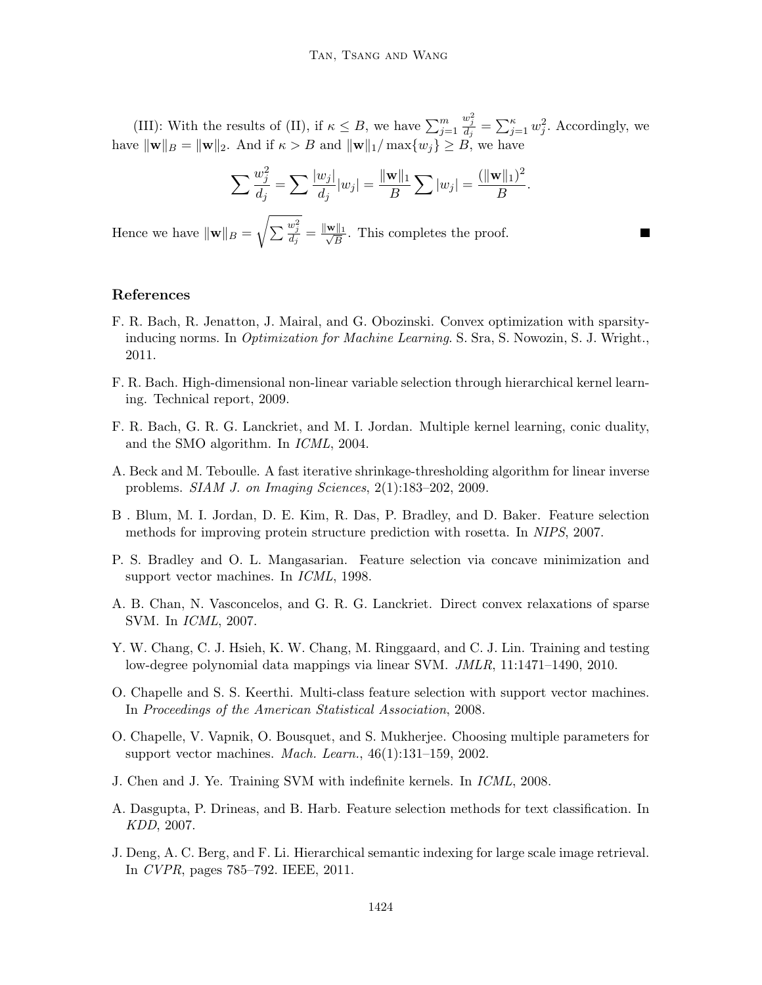(III): With the results of (II), if  $\kappa \leq B$ , we have  $\sum_{j=1}^{m}$  $\frac{w_j^2}{d_j} = \sum_{j=1}^{\kappa} w_j^2$ . Accordingly, we have  $\|\mathbf{w}\|_B = \|\mathbf{w}\|_2$ . And if  $\kappa > B$  and  $\|\mathbf{w}\|_1/\max\{w_j\} \ge B$ , we have

$$
\sum \frac{w_j^2}{d_j} = \sum \frac{|w_j|}{d_j}|w_j| = \frac{\|\mathbf{w}\|_1}{B} \sum |w_j| = \frac{(\|\mathbf{w}\|_1)^2}{B}.
$$

Hence we have  $\|\mathbf{w}\|_B =$  $\sqrt{\sum \frac{w_j^2}{d_j}} = \frac{\|\mathbf{w}\|_1}{\sqrt{B}}$  $\frac{\sqrt{11}}{B}$ . This completes the proof.

#### References

- <span id="page-53-7"></span>F. R. Bach, R. Jenatton, J. Mairal, and G. Obozinski. Convex optimization with sparsityinducing norms. In Optimization for Machine Learning. S. Sra, S. Nowozin, S. J. Wright., 2011.
- <span id="page-53-8"></span>F. R. Bach. High-dimensional non-linear variable selection through hierarchical kernel learning. Technical report, 2009.
- <span id="page-53-11"></span>F. R. Bach, G. R. G. Lanckriet, and M. I. Jordan. Multiple kernel learning, conic duality, and the SMO algorithm. In ICML, 2004.
- <span id="page-53-10"></span>A. Beck and M. Teboulle. A fast iterative shrinkage-thresholding algorithm for linear inverse problems. SIAM J. on Imaging Sciences, 2(1):183–202, 2009.
- <span id="page-53-2"></span>B . Blum, M. I. Jordan, D. E. Kim, R. Das, P. Bradley, and D. Baker. Feature selection methods for improving protein structure prediction with rosetta. In NIPS, 2007.
- <span id="page-53-6"></span>P. S. Bradley and O. L. Mangasarian. Feature selection via concave minimization and support vector machines. In ICML, 1998.
- <span id="page-53-5"></span>A. B. Chan, N. Vasconcelos, and G. R. G. Lanckriet. Direct convex relaxations of sparse SVM. In ICML, 2007.
- <span id="page-53-3"></span>Y. W. Chang, C. J. Hsieh, K. W. Chang, M. Ringgaard, and C. J. Lin. Training and testing low-degree polynomial data mappings via linear SVM. JMLR, 11:1471–1490, 2010.
- <span id="page-53-4"></span>O. Chapelle and S. S. Keerthi. Multi-class feature selection with support vector machines. In Proceedings of the American Statistical Association, 2008.
- O. Chapelle, V. Vapnik, O. Bousquet, and S. Mukherjee. Choosing multiple parameters for support vector machines. *Mach. Learn.*,  $46(1):131-159$ ,  $2002$ .
- <span id="page-53-9"></span>J. Chen and J. Ye. Training SVM with indefinite kernels. In ICML, 2008.
- <span id="page-53-1"></span>A. Dasgupta, P. Drineas, and B. Harb. Feature selection methods for text classification. In KDD, 2007.
- <span id="page-53-0"></span>J. Deng, A. C. Berg, and F. Li. Hierarchical semantic indexing for large scale image retrieval. In CVPR, pages 785–792. IEEE, 2011.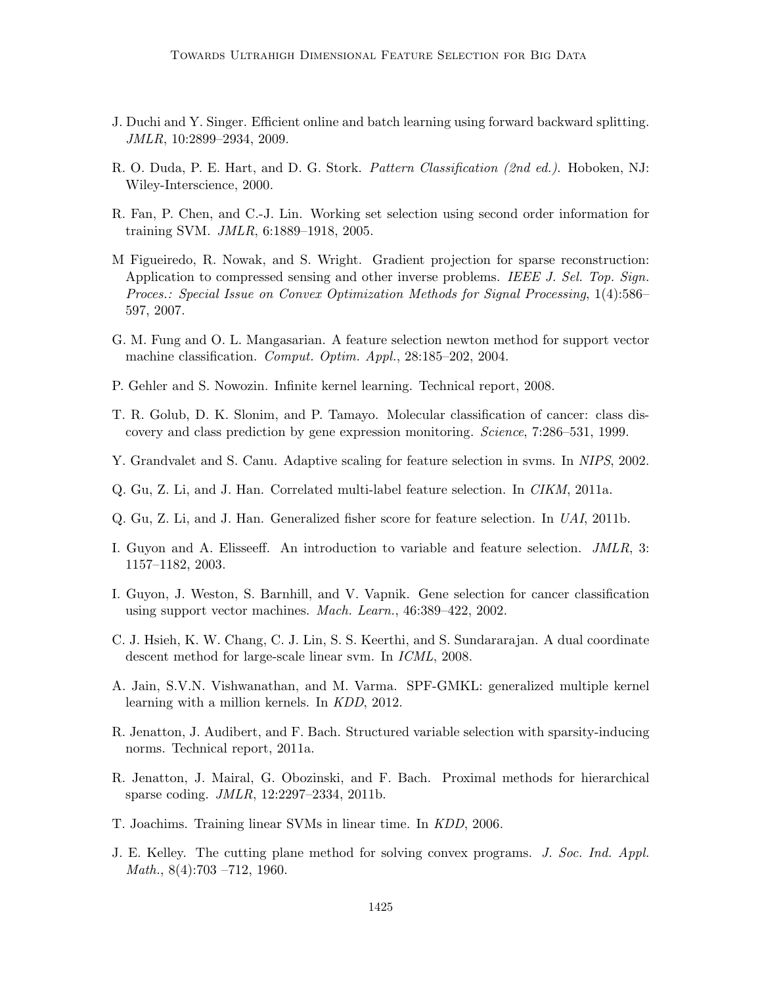- <span id="page-54-5"></span>J. Duchi and Y. Singer. Efficient online and batch learning using forward backward splitting. JMLR, 10:2899–2934, 2009.
- <span id="page-54-0"></span>R. O. Duda, P. E. Hart, and D. G. Stork. *Pattern Classification (2nd ed.)*. Hoboken, NJ: Wiley-Interscience, 2000.
- <span id="page-54-12"></span>R. Fan, P. Chen, and C.-J. Lin. Working set selection using second order information for training SVM. JMLR, 6:1889–1918, 2005.
- <span id="page-54-6"></span>M Figueiredo, R. Nowak, and S. Wright. Gradient projection for sparse reconstruction: Application to compressed sensing and other inverse problems. IEEE J. Sel. Top. Sign. Proces.: Special Issue on Convex Optimization Methods for Signal Processing, 1(4):586– 597, 2007.
- <span id="page-54-4"></span>G. M. Fung and O. L. Mangasarian. A feature selection newton method for support vector machine classification. Comput. Optim. Appl., 28:185–202, 2004.
- <span id="page-54-14"></span>P. Gehler and S. Nowozin. Infinite kernel learning. Technical report, 2008.
- <span id="page-54-3"></span>T. R. Golub, D. K. Slonim, and P. Tamayo. Molecular classification of cancer: class discovery and class prediction by gene expression monitoring. Science, 7:286–531, 1999.
- Y. Grandvalet and S. Canu. Adaptive scaling for feature selection in svms. In NIPS, 2002.
- <span id="page-54-7"></span>Q. Gu, Z. Li, and J. Han. Correlated multi-label feature selection. In CIKM, 2011a.
- <span id="page-54-8"></span>Q. Gu, Z. Li, and J. Han. Generalized fisher score for feature selection. In UAI, 2011b.
- <span id="page-54-1"></span>I. Guyon and A. Elisseeff. An introduction to variable and feature selection. JMLR, 3: 1157–1182, 2003.
- <span id="page-54-2"></span>I. Guyon, J. Weston, S. Barnhill, and V. Vapnik. Gene selection for cancer classification using support vector machines. Mach. Learn., 46:389–422, 2002.
- <span id="page-54-9"></span>C. J. Hsieh, K. W. Chang, C. J. Lin, S. S. Keerthi, and S. Sundararajan. A dual coordinate descent method for large-scale linear svm. In ICML, 2008.
- A. Jain, S.V.N. Vishwanathan, and M. Varma. SPF-GMKL: generalized multiple kernel learning with a million kernels. In KDD, 2012.
- <span id="page-54-13"></span>R. Jenatton, J. Audibert, and F. Bach. Structured variable selection with sparsity-inducing norms. Technical report, 2011a.
- <span id="page-54-10"></span>R. Jenatton, J. Mairal, G. Obozinski, and F. Bach. Proximal methods for hierarchical sparse coding. JMLR, 12:2297–2334, 2011b.
- <span id="page-54-15"></span>T. Joachims. Training linear SVMs in linear time. In KDD, 2006.
- <span id="page-54-11"></span>J. E. Kelley. The cutting plane method for solving convex programs. J. Soc. Ind. Appl. *Math.*,  $8(4):703 - 712$ , 1960.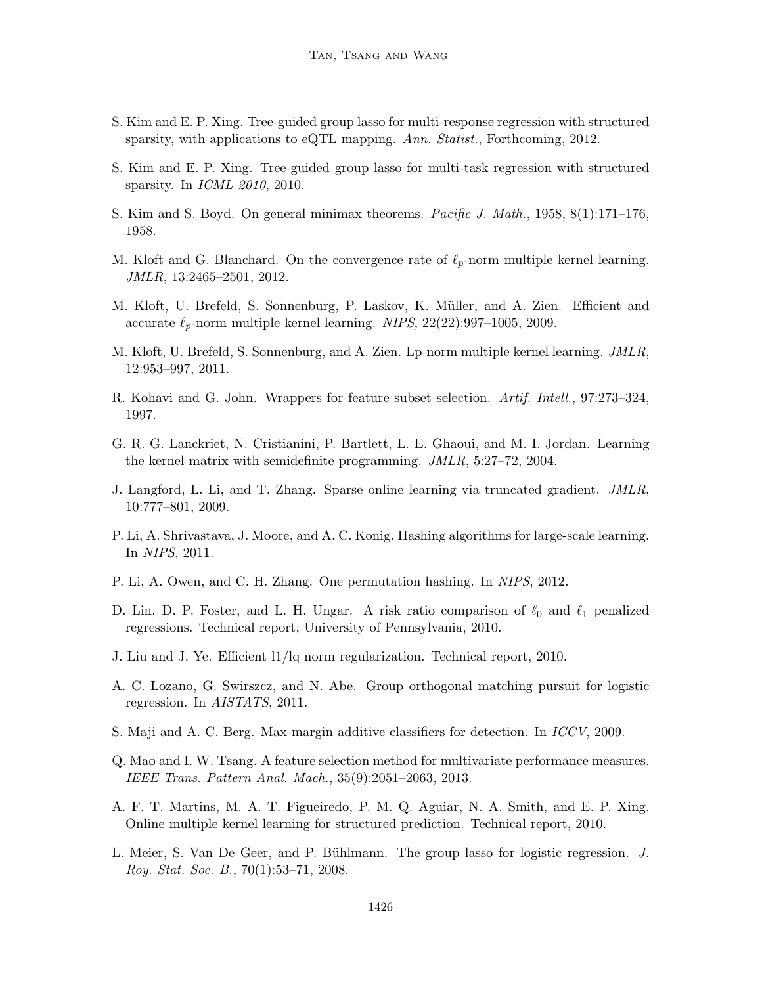- <span id="page-55-12"></span>S. Kim and E. P. Xing. Tree-guided group lasso for multi-response regression with structured sparsity, with applications to eQTL mapping. Ann. Statist., Forthcoming, 2012.
- <span id="page-55-11"></span>S. Kim and E. P. Xing. Tree-guided group lasso for multi-task regression with structured sparsity. In ICML 2010, 2010.
- <span id="page-55-8"></span>S. Kim and S. Boyd. On general minimax theorems. Pacific J. Math., 1958, 8(1):171–176, 1958.
- <span id="page-55-17"></span>M. Kloft and G. Blanchard. On the convergence rate of  $\ell_p$ -norm multiple kernel learning. JMLR, 13:2465–2501, 2012.
- <span id="page-55-15"></span>M. Kloft, U. Brefeld, S. Sonnenburg, P. Laskov, K. Müller, and A. Zien. Efficient and accurate  $\ell_p$ -norm multiple kernel learning. NIPS, 22(22):997–1005, 2009.
- <span id="page-55-16"></span>M. Kloft, U. Brefeld, S. Sonnenburg, and A. Zien. Lp-norm multiple kernel learning. JMLR, 12:953–997, 2011.
- <span id="page-55-3"></span>R. Kohavi and G. John. Wrappers for feature subset selection. Artif. Intell., 97:273–324, 1997.
- <span id="page-55-13"></span>G. R. G. Lanckriet, N. Cristianini, P. Bartlett, L. E. Ghaoui, and M. I. Jordan. Learning the kernel matrix with semidefinite programming. JMLR, 5:27–72, 2004.
- <span id="page-55-5"></span>J. Langford, L. Li, and T. Zhang. Sparse online learning via truncated gradient. JMLR, 10:777–801, 2009.
- <span id="page-55-0"></span>P. Li, A. Shrivastava, J. Moore, and A. C. Konig. Hashing algorithms for large-scale learning. In NIPS, 2011.
- <span id="page-55-1"></span>P. Li, A. Owen, and C. H. Zhang. One permutation hashing. In NIPS, 2012.
- <span id="page-55-6"></span>D. Lin, D. P. Foster, and L. H. Ungar. A risk ratio comparison of  $\ell_0$  and  $\ell_1$  penalized regressions. Technical report, University of Pennsylvania, 2010.
- <span id="page-55-10"></span>J. Liu and J. Ye. Efficient l1/lq norm regularization. Technical report, 2010.
- <span id="page-55-4"></span>A. C. Lozano, G. Swirszcz, and N. Abe. Group orthogonal matching pursuit for logistic regression. In AISTATS, 2011.
- <span id="page-55-2"></span>S. Maji and A. C. Berg. Max-margin additive classifiers for detection. In ICCV, 2009.
- <span id="page-55-7"></span>Q. Mao and I. W. Tsang. A feature selection method for multivariate performance measures. IEEE Trans. Pattern Anal. Mach., 35(9):2051–2063, 2013.
- <span id="page-55-14"></span>A. F. T. Martins, M. A. T. Figueiredo, P. M. Q. Aguiar, N. A. Smith, and E. P. Xing. Online multiple kernel learning for structured prediction. Technical report, 2010.
- <span id="page-55-9"></span>L. Meier, S. Van De Geer, and P. Bühlmann. The group lasso for logistic regression. J. Roy. Stat. Soc. B., 70(1):53–71, 2008.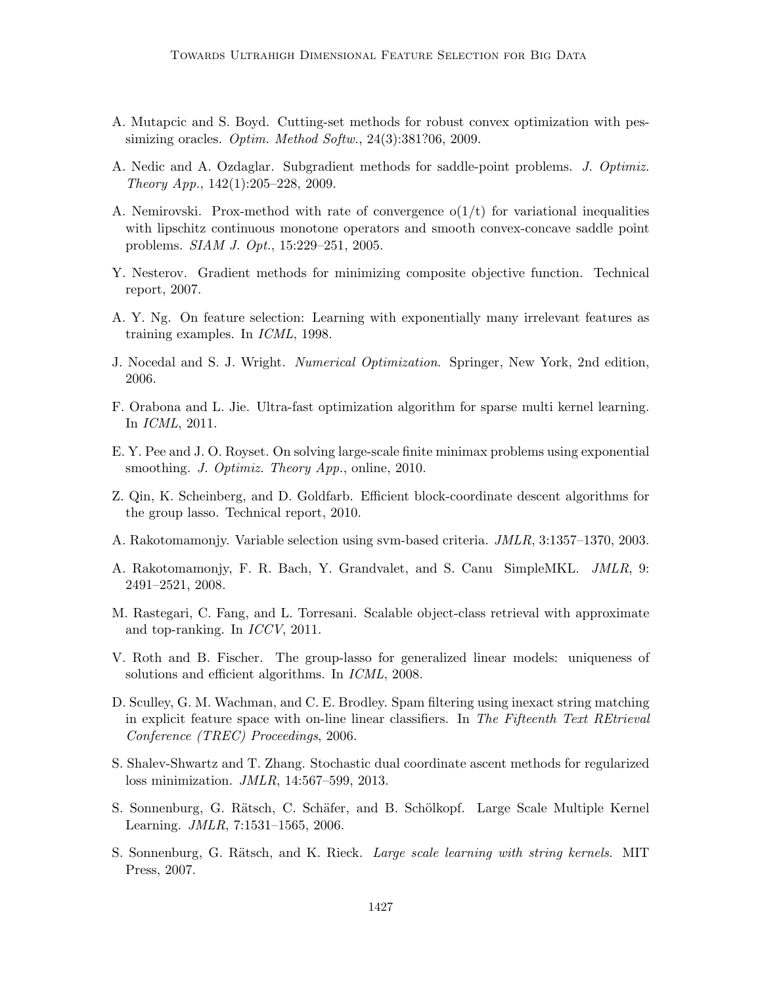- <span id="page-56-9"></span>A. Mutapcic and S. Boyd. Cutting-set methods for robust convex optimization with pessimizing oracles. Optim. Method Softw., 24(3):381?06, 2009.
- <span id="page-56-10"></span>A. Nedic and A. Ozdaglar. Subgradient methods for saddle-point problems. J. Optimiz. Theory App., 142(1):205–228, 2009.
- <span id="page-56-11"></span>A. Nemirovski. Prox-method with rate of convergence  $o(1/t)$  for variational inequalities with lipschitz continuous monotone operators and smooth convex-concave saddle point problems. SIAM J. Opt., 15:229–251, 2005.
- <span id="page-56-15"></span>Y. Nesterov. Gradient methods for minimizing composite objective function. Technical report, 2007.
- <span id="page-56-0"></span>A. Y. Ng. On feature selection: Learning with exponentially many irrelevant features as training examples. In ICML, 1998.
- <span id="page-56-12"></span>J. Nocedal and S. J. Wright. Numerical Optimization. Springer, New York, 2nd edition, 2006.
- <span id="page-56-14"></span>F. Orabona and L. Jie. Ultra-fast optimization algorithm for sparse multi kernel learning. In ICML, 2011.
- <span id="page-56-8"></span>E. Y. Pee and J. O. Royset. On solving large-scale finite minimax problems using exponential smoothing. J. Optimiz. Theory App., online, 2010.
- <span id="page-56-6"></span>Z. Qin, K. Scheinberg, and D. Goldfarb. Efficient block-coordinate descent algorithms for the group lasso. Technical report, 2010.
- A. Rakotomamonjy. Variable selection using svm-based criteria. JMLR, 3:1357–1370, 2003.
- <span id="page-56-5"></span>A. Rakotomamonjy, F. R. Bach, Y. Grandvalet, and S. Canu SimpleMKL. JMLR, 9: 2491–2521, 2008.
- <span id="page-56-4"></span>M. Rastegari, C. Fang, and L. Torresani. Scalable object-class retrieval with approximate and top-ranking. In ICCV, 2011.
- <span id="page-56-7"></span>V. Roth and B. Fischer. The group-lasso for generalized linear models: uniqueness of solutions and efficient algorithms. In ICML, 2008.
- <span id="page-56-2"></span>D. Sculley, G. M. Wachman, and C. E. Brodley. Spam filtering using inexact string matching in explicit feature space with on-line linear classifiers. In The Fifteenth Text REtrieval Conference (TREC) Proceedings, 2006.
- <span id="page-56-3"></span>S. Shalev-Shwartz and T. Zhang. Stochastic dual coordinate ascent methods for regularized loss minimization. JMLR, 14:567–599, 2013.
- <span id="page-56-13"></span>S. Sonnenburg, G. Rätsch, C. Schäfer, and B. Schölkopf. Large Scale Multiple Kernel Learning. JMLR, 7:1531–1565, 2006.
- <span id="page-56-1"></span>S. Sonnenburg, G. Rätsch, and K. Rieck. *Large scale learning with string kernels*. MIT Press, 2007.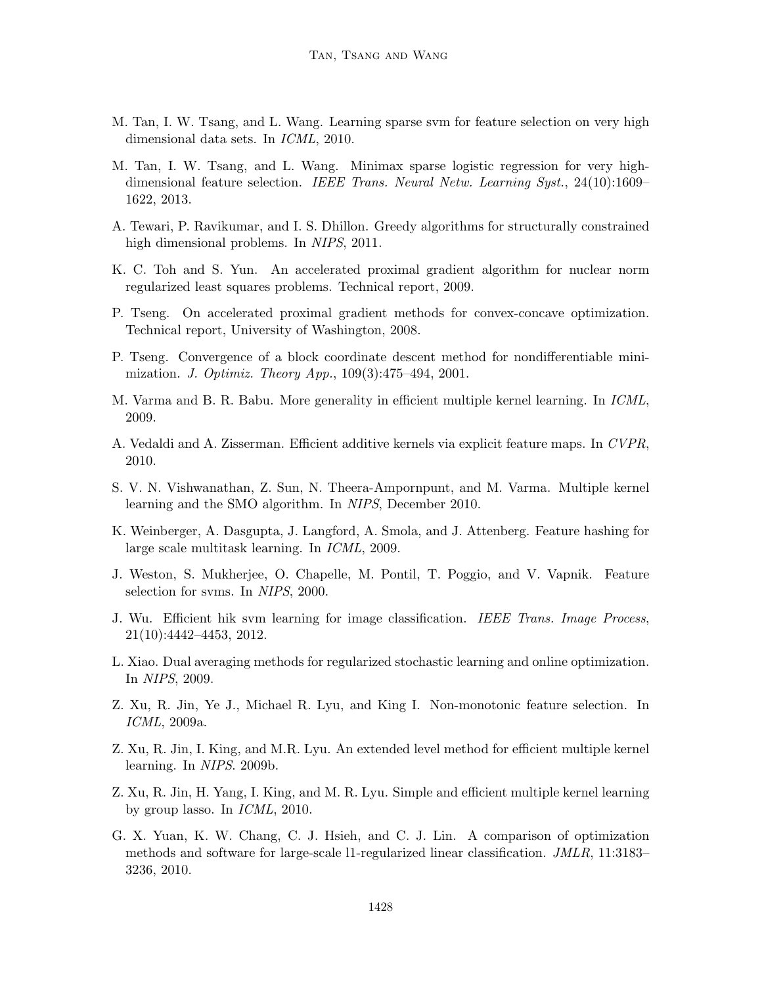- <span id="page-57-3"></span>M. Tan, I. W. Tsang, and L. Wang. Learning sparse svm for feature selection on very high dimensional data sets. In ICML, 2010.
- <span id="page-57-7"></span>M. Tan, I. W. Tsang, and L. Wang. Minimax sparse logistic regression for very highdimensional feature selection. IEEE Trans. Neural Netw. Learning Syst., 24(10):1609– 1622, 2013.
- <span id="page-57-4"></span>A. Tewari, P. Ravikumar, and I. S. Dhillon. Greedy algorithms for structurally constrained high dimensional problems. In NIPS, 2011.
- <span id="page-57-11"></span>K. C. Toh and S. Yun. An accelerated proximal gradient algorithm for nuclear norm regularized least squares problems. Technical report, 2009.
- <span id="page-57-9"></span>P. Tseng. On accelerated proximal gradient methods for convex-concave optimization. Technical report, University of Washington, 2008.
- <span id="page-57-10"></span>P. Tseng. Convergence of a block coordinate descent method for nondifferentiable minimization. J. Optimiz. Theory App., 109(3):475–494, 2001.
- M. Varma and B. R. Babu. More generality in efficient multiple kernel learning. In ICML, 2009.
- <span id="page-57-12"></span>A. Vedaldi and A. Zisserman. Efficient additive kernels via explicit feature maps. In CVPR, 2010.
- <span id="page-57-8"></span>S. V. N. Vishwanathan, Z. Sun, N. Theera-Ampornpunt, and M. Varma. Multiple kernel learning and the SMO algorithm. In NIPS, December 2010.
- <span id="page-57-0"></span>K. Weinberger, A. Dasgupta, J. Langford, A. Smola, and J. Attenberg. Feature hashing for large scale multitask learning. In ICML, 2009.
- J. Weston, S. Mukherjee, O. Chapelle, M. Pontil, T. Poggio, and V. Vapnik. Feature selection for svms. In NIPS, 2000.
- <span id="page-57-1"></span>J. Wu. Efficient hik svm learning for image classification. IEEE Trans. Image Process, 21(10):4442–4453, 2012.
- <span id="page-57-6"></span>L. Xiao. Dual averaging methods for regularized stochastic learning and online optimization. In NIPS, 2009.
- <span id="page-57-2"></span>Z. Xu, R. Jin, Ye J., Michael R. Lyu, and King I. Non-monotonic feature selection. In ICML, 2009a.
- <span id="page-57-13"></span>Z. Xu, R. Jin, I. King, and M.R. Lyu. An extended level method for efficient multiple kernel learning. In NIPS. 2009b.
- Z. Xu, R. Jin, H. Yang, I. King, and M. R. Lyu. Simple and efficient multiple kernel learning by group lasso. In ICML, 2010.
- <span id="page-57-5"></span>G. X. Yuan, K. W. Chang, C. J. Hsieh, and C. J. Lin. A comparison of optimization methods and software for large-scale l1-regularized linear classification. JMLR, 11:3183– 3236, 2010.